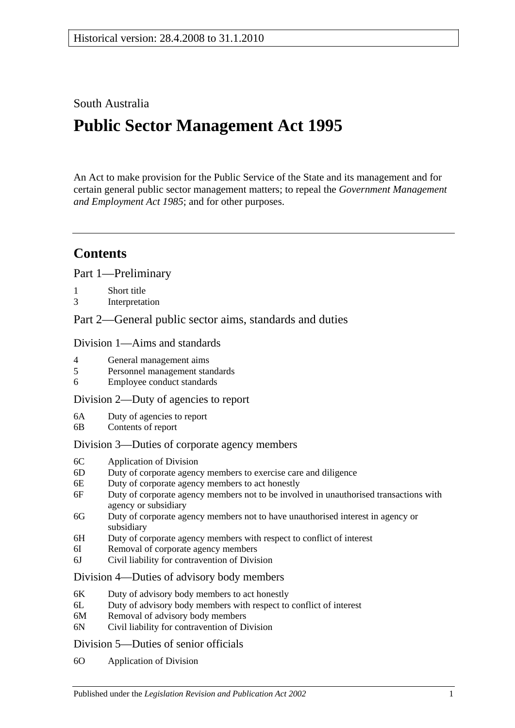## South Australia

# **Public Sector Management Act 1995**

An Act to make provision for the Public Service of the State and its management and for certain general public sector management matters; to repeal the *[Government Management](http://www.legislation.sa.gov.au/index.aspx?action=legref&type=act&legtitle=Government%20Management%20and%20Employment%20Act%201985)  [and Employment Act](http://www.legislation.sa.gov.au/index.aspx?action=legref&type=act&legtitle=Government%20Management%20and%20Employment%20Act%201985) 1985*; and for other purposes.

# **Contents**

[Part 1—Preliminary](#page-5-0)

- 1 [Short title](#page-5-1)
- 3 [Interpretation](#page-5-2)

[Part 2—General public sector aims, standards and duties](#page-10-0)

#### [Division 1—Aims and standards](#page-10-1)

- 4 [General management aims](#page-10-2)
- 5 [Personnel management standards](#page-10-3)
- 6 [Employee conduct standards](#page-10-4)

#### [Division 2—Duty of agencies to report](#page-11-0)

- 6A [Duty of agencies to report](#page-11-1)
- 6B [Contents of report](#page-11-2)

#### [Division 3—Duties of corporate agency members](#page-11-3)

- 6C [Application of Division](#page-11-4)
- 6D [Duty of corporate agency members to exercise care and diligence](#page-12-0)
- 6E [Duty of corporate agency members to act honestly](#page-12-1)
- 6F [Duty of corporate agency members not to be involved in unauthorised transactions with](#page-12-2)  [agency or subsidiary](#page-12-2)
- 6G [Duty of corporate agency members not to have unauthorised interest in agency or](#page-13-0)  [subsidiary](#page-13-0)
- 6H [Duty of corporate agency members with respect to conflict of interest](#page-13-1)
- 6I [Removal of corporate agency members](#page-14-0)
- 6J [Civil liability for contravention of Division](#page-15-0)

#### [Division 4—Duties of advisory body members](#page-15-1)

- 6K [Duty of advisory body members to act honestly](#page-15-2)
- 6L [Duty of advisory body members with respect to conflict of interest](#page-15-3)
- 6M [Removal of advisory body members](#page-16-0)
- 6N [Civil liability for contravention of Division](#page-16-1)

#### [Division 5—Duties of senior officials](#page-16-2)

6O [Application of Division](#page-16-3)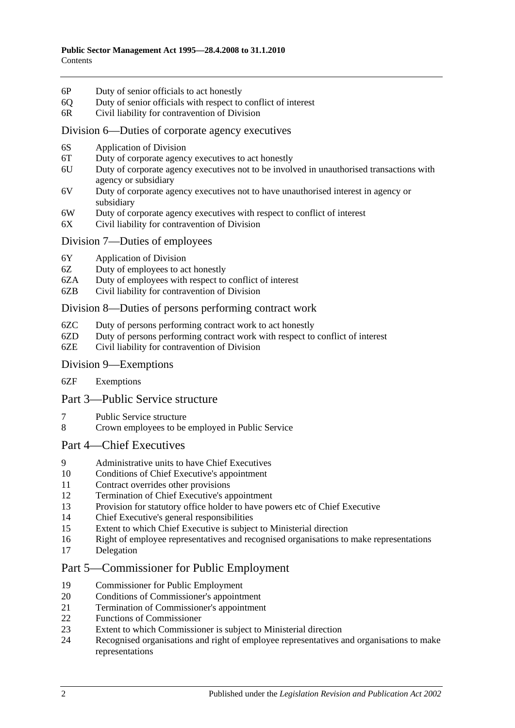- 6P [Duty of senior officials to act honestly](#page-16-4)
- 6Q [Duty of senior officials with respect to conflict of interest](#page-16-5)
- 6R [Civil liability for contravention of Division](#page-17-0)

#### [Division 6—Duties of corporate agency executives](#page-18-0)

- 6S [Application of Division](#page-18-1)
- 6T [Duty of corporate agency executives to act honestly](#page-18-2)
- 6U [Duty of corporate agency executives not to be involved in unauthorised transactions with](#page-18-3)  [agency or subsidiary](#page-18-3)
- 6V [Duty of corporate agency executives not to have unauthorised interest in agency or](#page-19-0)  [subsidiary](#page-19-0)
- 6W [Duty of corporate agency executives with respect to conflict of interest](#page-19-1)
- 6X [Civil liability for contravention of Division](#page-20-0)

#### [Division 7—Duties of employees](#page-20-1)

- 6Y [Application of Division](#page-20-2)
- 6Z [Duty of employees to act honestly](#page-21-0)
- 6ZA [Duty of employees with respect to conflict of interest](#page-21-1)
- 6ZB [Civil liability for contravention of Division](#page-22-0)

#### [Division 8—Duties of persons performing contract work](#page-22-1)

- 6ZC [Duty of persons performing contract work to act honestly](#page-22-2)
- 6ZD [Duty of persons performing contract work with respect to conflict of interest](#page-22-3)
- 6ZE [Civil liability for contravention of Division](#page-23-0)

#### [Division 9—Exemptions](#page-24-0)

6ZF [Exemptions](#page-24-1)

#### [Part 3—Public Service structure](#page-24-2)

- 7 [Public Service structure](#page-24-3)
- 8 [Crown employees to be employed in Public Service](#page-25-0)

#### [Part 4—Chief Executives](#page-25-1)

- 9 [Administrative units to have Chief Executives](#page-25-2)
- 10 [Conditions of Chief Executive's appointment](#page-25-3)
- 11 [Contract overrides other provisions](#page-26-0)
- 12 [Termination of Chief Executive's appointment](#page-26-1)
- 13 [Provision for statutory office holder to have powers etc of Chief Executive](#page-27-0)
- 14 [Chief Executive's general responsibilities](#page-27-1)
- 15 [Extent to which Chief Executive is subject to Ministerial direction](#page-27-2)
- 16 [Right of employee representatives and recognised organisations to make representations](#page-27-3)
- 17 [Delegation](#page-28-0)

## [Part 5—Commissioner for Public Employment](#page-28-1)

- 19 [Commissioner for Public Employment](#page-28-2)
- 20 [Conditions of Commissioner's appointment](#page-28-3)
- 21 [Termination of Commissioner's appointment](#page-28-4)
- 22 Functions [of Commissioner](#page-29-0)
- 23 [Extent to which Commissioner is subject to Ministerial direction](#page-30-0)<br>24 Recognised organisations and right of employee representatives a
- 24 [Recognised organisations and right of employee representatives and organisations to make](#page-30-1)  [representations](#page-30-1)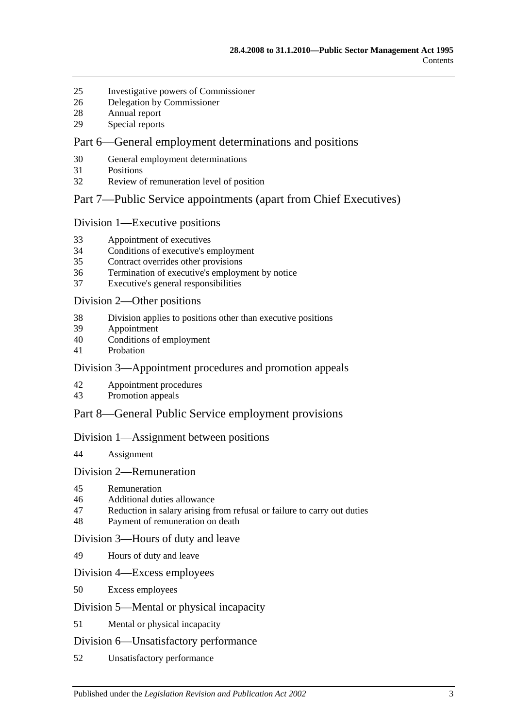- [Investigative powers of Commissioner](#page-31-0)
- [Delegation by Commissioner](#page-32-0)
- [Annual report](#page-32-1)
- [Special reports](#page-33-0)

## [Part 6—General employment determinations and positions](#page-33-1)

- [General employment determinations](#page-33-2)
- [Positions](#page-34-0)
- [Review of remuneration level of position](#page-34-1)

#### [Part 7—Public Service appointments \(apart from Chief Executives\)](#page-35-0)

#### [Division 1—Executive positions](#page-35-1)

- [Appointment of executives](#page-35-2)
- [Conditions of executive's employment](#page-36-0)
- [Contract overrides other provisions](#page-37-0)
- [Termination of executive's employment by notice](#page-37-1)
- [Executive's general responsibilities](#page-38-0)

#### [Division 2—Other positions](#page-38-1)

- [Division applies to positions other than executive positions](#page-38-2)
- [Appointment](#page-38-3)
- [Conditions of employment](#page-38-4)
- [Probation](#page-39-0)

## [Division 3—Appointment procedures and promotion appeals](#page-40-0)

- [Appointment procedures](#page-40-1)
- [Promotion appeals](#page-41-0)

## [Part 8—General Public Service employment provisions](#page-42-0)

#### [Division 1—Assignment between positions](#page-42-1)

[Assignment](#page-42-2)

#### [Division 2—Remuneration](#page-42-3)

- [Remuneration](#page-42-4)
- [Additional duties allowance](#page-42-5)
- [Reduction in salary arising from refusal or failure to carry out duties](#page-43-0)
- [Payment of remuneration on death](#page-43-1)

#### [Division 3—Hours of duty and leave](#page-43-2)

[Hours of duty and leave](#page-43-3)

#### [Division 4—Excess employees](#page-43-4)

[Excess employees](#page-43-5)

#### [Division 5—Mental or physical incapacity](#page-44-0)

[Mental or physical incapacity](#page-44-1)

#### [Division 6—Unsatisfactory performance](#page-46-0)

[Unsatisfactory performance](#page-46-1)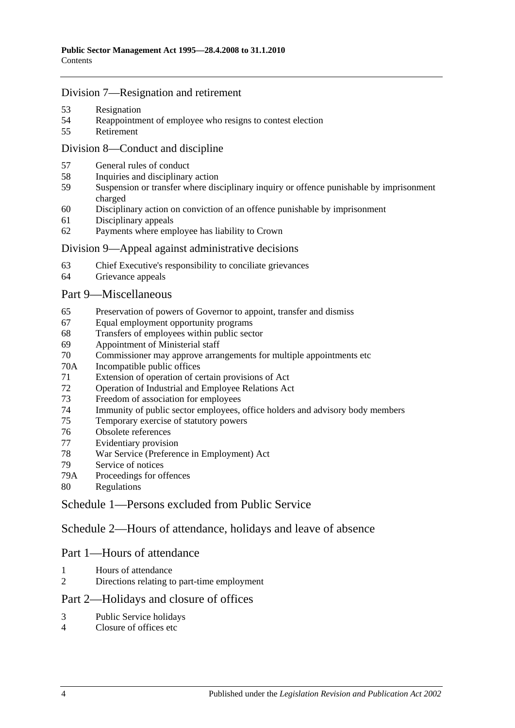## [Division 7—Resignation and retirement](#page-47-0)

- [Resignation](#page-47-1)
- [Reappointment of employee who resigns to contest election](#page-47-2)
- [Retirement](#page-47-3)

## [Division 8—Conduct and discipline](#page-47-4)

- [General rules of conduct](#page-47-5)
- [Inquiries and disciplinary action](#page-48-0)
- [Suspension or transfer where disciplinary inquiry or offence punishable by imprisonment](#page-49-0)  [charged](#page-49-0)
- [Disciplinary action on conviction of an offence punishable by imprisonment](#page-50-0)
- [Disciplinary appeals](#page-51-0)
- [Payments where employee has liability to Crown](#page-51-1)

#### [Division 9—Appeal against administrative decisions](#page-52-0)

- [Chief Executive's responsibility to conciliate grievances](#page-52-1)
- [Grievance appeals](#page-52-2)

#### [Part 9—Miscellaneous](#page-52-3)

- [Preservation of powers of Governor to appoint, transfer and dismiss](#page-52-4)
- [Equal employment opportunity programs](#page-53-0)
- [Transfers of employees within public sector](#page-53-1)
- [Appointment of Ministerial staff](#page-53-2)
- [Commissioner may approve arrangements for multiple appointments etc](#page-54-0)
- 70A [Incompatible public offices](#page-54-1)
- [Extension of operation of certain provisions of Act](#page-55-0)
- [Operation of Industrial and Employee Relations Act](#page-55-1)
- [Freedom of association for employees](#page-55-2)
- [Immunity of public sector employees, office holders and advisory body members](#page-56-0)
- [Temporary exercise of statutory powers](#page-56-1)
- [Obsolete references](#page-56-2)
- [Evidentiary provision](#page-57-0)
- [War Service \(Preference in Employment\) Act](#page-57-1)
- [Service of notices](#page-57-2)
- 79A [Proceedings for offences](#page-57-3)
- [Regulations](#page-57-4)

[Schedule 1—Persons excluded from Public Service](#page-58-0)

[Schedule 2—Hours of attendance, holidays and leave of absence](#page-59-0)

## Part 1—Hours of attendance

- [Hours of attendance](#page-59-1)
- [Directions relating to part-time employment](#page-59-2)

## Part 2—Holidays and closure of offices

- [Public Service holidays](#page-59-3)
- [Closure of offices etc](#page-59-4)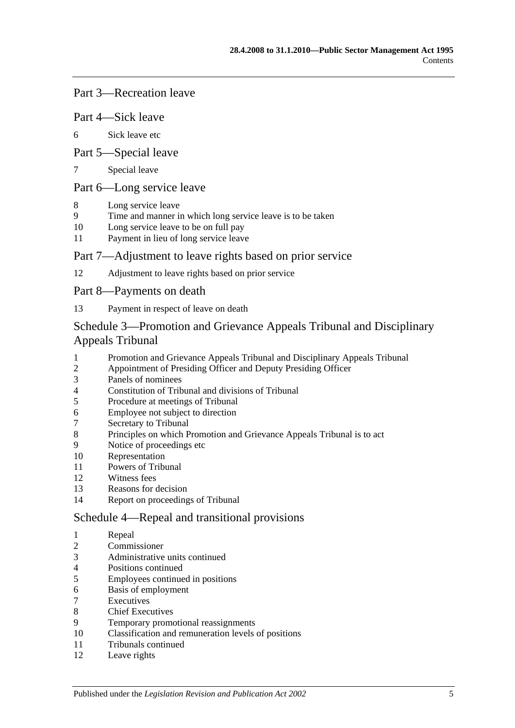## Part 3—Recreation leave

#### Part 4—Sick leave

[Sick leave etc](#page-60-0)

#### Part 5—Special leave

[Special leave](#page-61-0)

## Part 6—Long service leave

- [Long service leave](#page-62-0)
- [Time and manner in which long service leave is to be taken](#page-62-1)
- [Long service leave to be on full pay](#page-62-2)
- [Payment in lieu of long service leave](#page-63-0)

#### Part 7—Adjustment to leave rights based on prior service

[Adjustment to leave rights based on prior service](#page-64-0)

#### Part 8—Payments on death

[Payment in respect of leave on death](#page-64-1)

## [Schedule 3—Promotion and Grievance Appeals Tribunal and Disciplinary](#page-64-2)  [Appeals Tribunal](#page-64-2)

- [Promotion and Grievance Appeals Tribunal and Disciplinary Appeals Tribunal](#page-64-3)<br>2 Appointment of Presiding Officer and Deputy Presiding Officer
- [Appointment of Presiding Officer and Deputy Presiding Officer](#page-64-4)
- [Panels of nominees](#page-65-0)
- [Constitution of Tribunal and divisions of Tribunal](#page-66-0)
- [Procedure at meetings of Tribunal](#page-66-1)
- [Employee not subject to direction](#page-67-0)
- [Secretary to Tribunal](#page-67-1)
- [Principles on which Promotion and Grievance Appeals Tribunal is to](#page-67-2) act
- [Notice of proceedings etc](#page-67-3)
- [Representation](#page-67-4)
- [Powers of Tribunal](#page-67-5)
- [Witness fees](#page-68-0)
- [Reasons for decision](#page-68-1)
- [Report on proceedings of Tribunal](#page-68-2)

#### [Schedule 4—Repeal and transitional provisions](#page-69-0)

- [Repeal](#page-69-1)
- [Commissioner](#page-69-2)
- [Administrative units continued](#page-69-3)
- [Positions continued](#page-69-4)
- [Employees continued in positions](#page-69-5)
- [Basis of employment](#page-69-6)
- **[Executives](#page-70-0)**
- [Chief Executives](#page-70-1)
- [Temporary promotional reassignments](#page-72-0)
- [Classification and remuneration levels of positions](#page-72-1)
- [Tribunals continued](#page-72-2)
- [Leave rights](#page-72-3)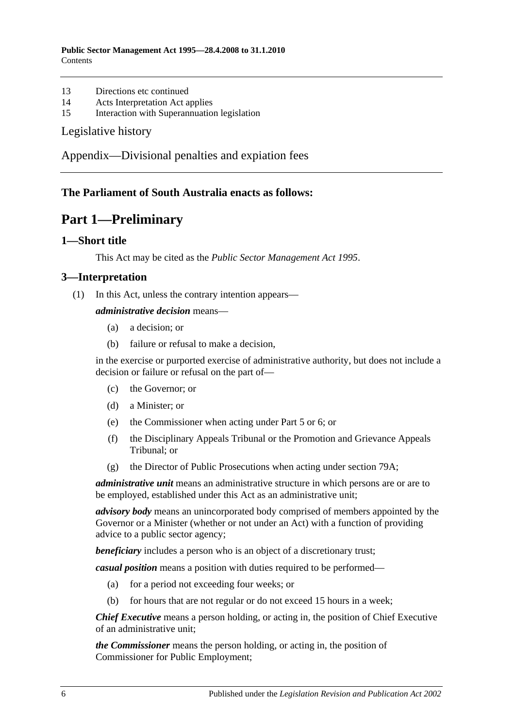- 13 [Directions etc continued](#page-72-4)
- 14 [Acts Interpretation Act applies](#page-72-5)
- 15 [Interaction with Superannuation legislation](#page-72-6)

#### [Legislative history](#page-73-0)

[Appendix—Divisional penalties and expiation fees](#page-76-0)

## <span id="page-5-0"></span>**The Parliament of South Australia enacts as follows:**

# **Part 1—Preliminary**

#### <span id="page-5-1"></span>**1—Short title**

This Act may be cited as the *Public Sector Management Act 1995*.

#### <span id="page-5-2"></span>**3—Interpretation**

(1) In this Act, unless the contrary intention appears—

#### *administrative decision* means—

- (a) a decision; or
- (b) failure or refusal to make a decision,

in the exercise or purported exercise of administrative authority, but does not include a decision or failure or refusal on the part of—

- (c) the Governor; or
- (d) a Minister; or
- (e) the Commissioner when acting under [Part 5](#page-28-1) or [6;](#page-33-1) or
- (f) the Disciplinary Appeals Tribunal or the Promotion and Grievance Appeals Tribunal; or
- (g) the Director of Public Prosecutions when acting under [section](#page-57-3) 79A;

*administrative unit* means an administrative structure in which persons are or are to be employed, established under this Act as an administrative unit;

*advisory body* means an unincorporated body comprised of members appointed by the Governor or a Minister (whether or not under an Act) with a function of providing advice to a public sector agency;

**beneficiary** includes a person who is an object of a discretionary trust;

*casual position* means a position with duties required to be performed—

- (a) for a period not exceeding four weeks; or
- (b) for hours that are not regular or do not exceed 15 hours in a week;

*Chief Executive* means a person holding, or acting in, the position of Chief Executive of an administrative unit;

*the Commissioner* means the person holding, or acting in, the position of Commissioner for Public Employment;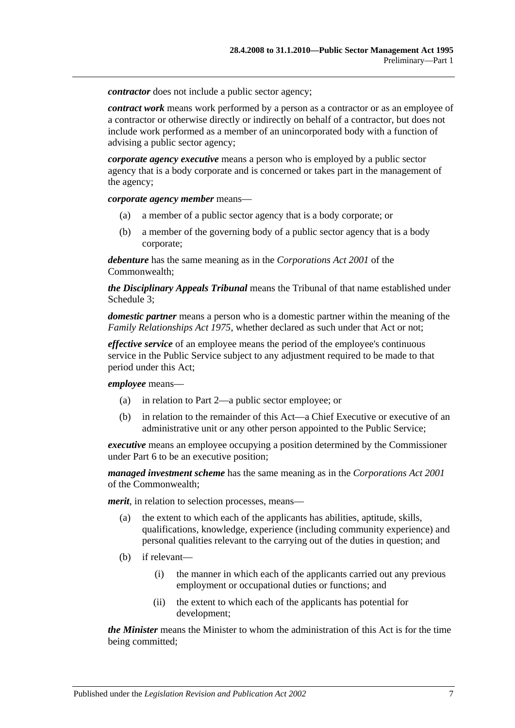*contractor* does not include a public sector agency:

*contract work* means work performed by a person as a contractor or as an employee of a contractor or otherwise directly or indirectly on behalf of a contractor, but does not include work performed as a member of an unincorporated body with a function of advising a public sector agency;

*corporate agency executive* means a person who is employed by a public sector agency that is a body corporate and is concerned or takes part in the management of the agency;

*corporate agency member* means—

- (a) a member of a public sector agency that is a body corporate; or
- (b) a member of the governing body of a public sector agency that is a body corporate;

*debenture* has the same meaning as in the *Corporations Act 2001* of the Commonwealth;

*the Disciplinary Appeals Tribunal* means the Tribunal of that name established under [Schedule 3;](#page-64-2)

*domestic partner* means a person who is a domestic partner within the meaning of the *[Family Relationships Act](http://www.legislation.sa.gov.au/index.aspx?action=legref&type=act&legtitle=Family%20Relationships%20Act%201975) 1975*, whether declared as such under that Act or not;

*effective service* of an employee means the period of the employee's continuous service in the Public Service subject to any adjustment required to be made to that period under this Act;

*employee* means—

- (a) in relation to [Part 2—](#page-10-0)a public sector employee; or
- (b) in relation to the remainder of this Act—a Chief Executive or executive of an administrative unit or any other person appointed to the Public Service;

*executive* means an employee occupying a position determined by the Commissioner under [Part 6](#page-33-1) to be an executive position;

*managed investment scheme* has the same meaning as in the *Corporations Act 2001* of the Commonwealth;

*merit*, in relation to selection processes, means—

- (a) the extent to which each of the applicants has abilities, aptitude, skills, qualifications, knowledge, experience (including community experience) and personal qualities relevant to the carrying out of the duties in question; and
- (b) if relevant—
	- (i) the manner in which each of the applicants carried out any previous employment or occupational duties or functions; and
	- (ii) the extent to which each of the applicants has potential for development;

*the Minister* means the Minister to whom the administration of this Act is for the time being committed;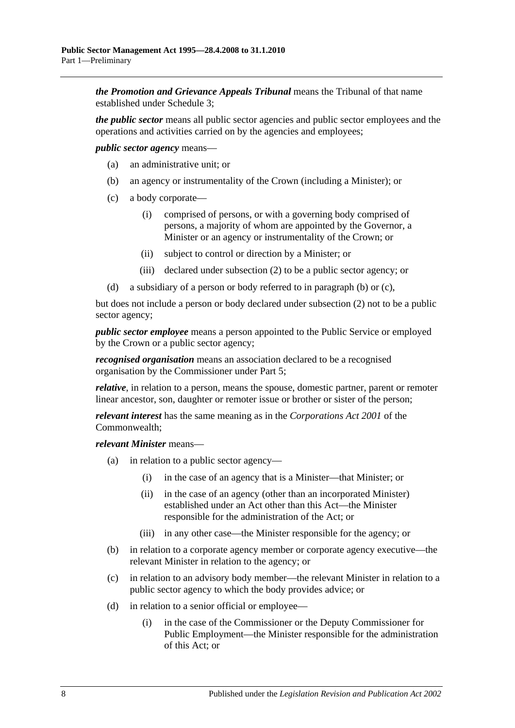*the Promotion and Grievance Appeals Tribunal* means the Tribunal of that name established under [Schedule 3;](#page-64-2)

*the public sector* means all public sector agencies and public sector employees and the operations and activities carried on by the agencies and employees;

<span id="page-7-0"></span>*public sector agency* means—

- (a) an administrative unit; or
- (b) an agency or instrumentality of the Crown (including a Minister); or
- <span id="page-7-1"></span>(c) a body corporate—
	- (i) comprised of persons, or with a governing body comprised of persons, a majority of whom are appointed by the Governor, a Minister or an agency or instrumentality of the Crown; or
	- (ii) subject to control or direction by a Minister; or
	- (iii) declared under [subsection](#page-9-0) (2) to be a public sector agency; or
- (d) a subsidiary of a person or body referred to in [paragraph](#page-7-0) (b) or [\(c\),](#page-7-1)

but does not include a person or body declared under [subsection](#page-9-0) (2) not to be a public sector agency;

*public sector employee* means a person appointed to the Public Service or employed by the Crown or a public sector agency;

*recognised organisation* means an association declared to be a recognised organisation by the Commissioner under [Part 5;](#page-28-1)

*relative*, in relation to a person, means the spouse, domestic partner, parent or remoter linear ancestor, son, daughter or remoter issue or brother or sister of the person;

*relevant interest* has the same meaning as in the *Corporations Act 2001* of the Commonwealth;

*relevant Minister* means—

- (a) in relation to a public sector agency—
	- (i) in the case of an agency that is a Minister—that Minister; or
	- (ii) in the case of an agency (other than an incorporated Minister) established under an Act other than this Act—the Minister responsible for the administration of the Act; or
	- (iii) in any other case—the Minister responsible for the agency; or
- (b) in relation to a corporate agency member or corporate agency executive—the relevant Minister in relation to the agency; or
- (c) in relation to an advisory body member—the relevant Minister in relation to a public sector agency to which the body provides advice; or
- (d) in relation to a senior official or employee—
	- (i) in the case of the Commissioner or the Deputy Commissioner for Public Employment—the Minister responsible for the administration of this Act; or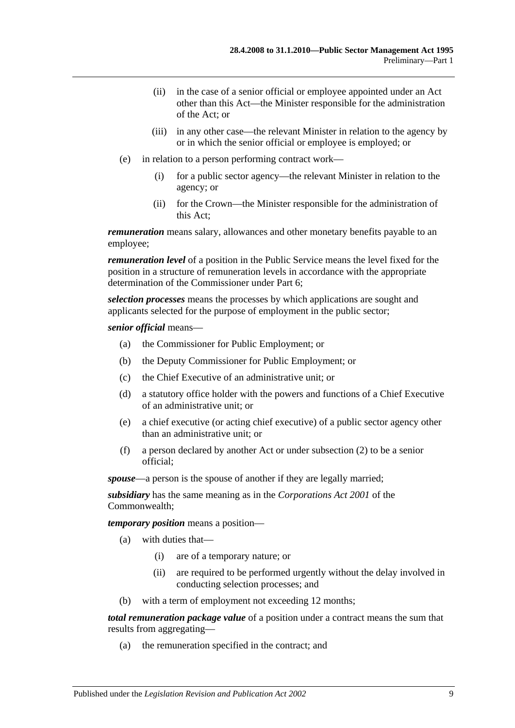- (ii) in the case of a senior official or employee appointed under an Act other than this Act—the Minister responsible for the administration of the Act; or
- (iii) in any other case—the relevant Minister in relation to the agency by or in which the senior official or employee is employed; or
- (e) in relation to a person performing contract work—
	- (i) for a public sector agency—the relevant Minister in relation to the agency; or
	- (ii) for the Crown—the Minister responsible for the administration of this Act;

*remuneration* means salary, allowances and other monetary benefits payable to an employee;

*remuneration level* of a position in the Public Service means the level fixed for the position in a structure of remuneration levels in accordance with the appropriate determination of the Commissioner under [Part 6;](#page-33-1)

*selection processes* means the processes by which applications are sought and applicants selected for the purpose of employment in the public sector;

#### *senior official* means—

- (a) the Commissioner for Public Employment; or
- (b) the Deputy Commissioner for Public Employment; or
- (c) the Chief Executive of an administrative unit; or
- (d) a statutory office holder with the powers and functions of a Chief Executive of an administrative unit; or
- (e) a chief executive (or acting chief executive) of a public sector agency other than an administrative unit; or
- (f) a person declared by another Act or under [subsection](#page-9-0) (2) to be a senior official;

*spouse*—a person is the spouse of another if they are legally married;

*subsidiary* has the same meaning as in the *Corporations Act 2001* of the Commonwealth;

*temporary position* means a position—

- (a) with duties that—
	- (i) are of a temporary nature; or
	- (ii) are required to be performed urgently without the delay involved in conducting selection processes; and
- (b) with a term of employment not exceeding 12 months;

*total remuneration package value* of a position under a contract means the sum that results from aggregating—

(a) the remuneration specified in the contract; and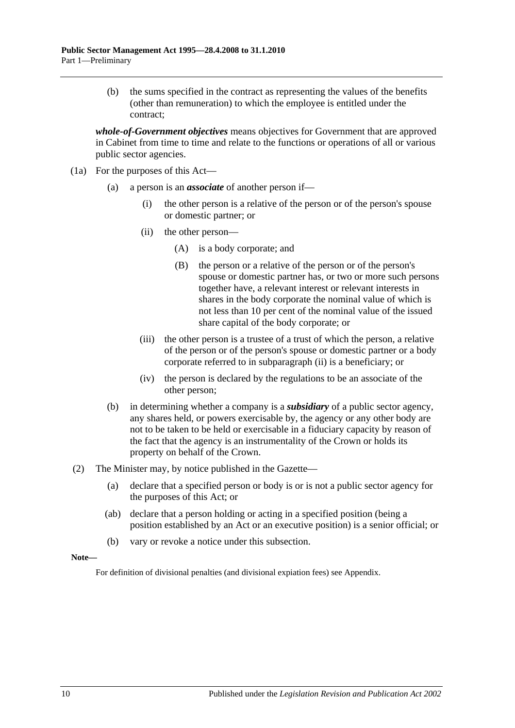(b) the sums specified in the contract as representing the values of the benefits (other than remuneration) to which the employee is entitled under the contract;

*whole-of-Government objectives* means objectives for Government that are approved in Cabinet from time to time and relate to the functions or operations of all or various public sector agencies.

- <span id="page-9-1"></span>(1a) For the purposes of this Act—
	- (a) a person is an *associate* of another person if—
		- (i) the other person is a relative of the person or of the person's spouse or domestic partner; or
		- (ii) the other person—
			- (A) is a body corporate; and
			- (B) the person or a relative of the person or of the person's spouse or domestic partner has, or two or more such persons together have, a relevant interest or relevant interests in shares in the body corporate the nominal value of which is not less than 10 per cent of the nominal value of the issued share capital of the body corporate; or
		- (iii) the other person is a trustee of a trust of which the person, a relative of the person or of the person's spouse or domestic partner or a body corporate referred to in [subparagraph](#page-9-1) (ii) is a beneficiary; or
		- (iv) the person is declared by the regulations to be an associate of the other person;
	- (b) in determining whether a company is a *subsidiary* of a public sector agency, any shares held, or powers exercisable by, the agency or any other body are not to be taken to be held or exercisable in a fiduciary capacity by reason of the fact that the agency is an instrumentality of the Crown or holds its property on behalf of the Crown.
- <span id="page-9-0"></span>(2) The Minister may, by notice published in the Gazette—
	- (a) declare that a specified person or body is or is not a public sector agency for the purposes of this Act; or
	- (ab) declare that a person holding or acting in a specified position (being a position established by an Act or an executive position) is a senior official; or
	- (b) vary or revoke a notice under this subsection.

#### **Note—**

For definition of divisional penalties (and divisional expiation fees) see Appendix.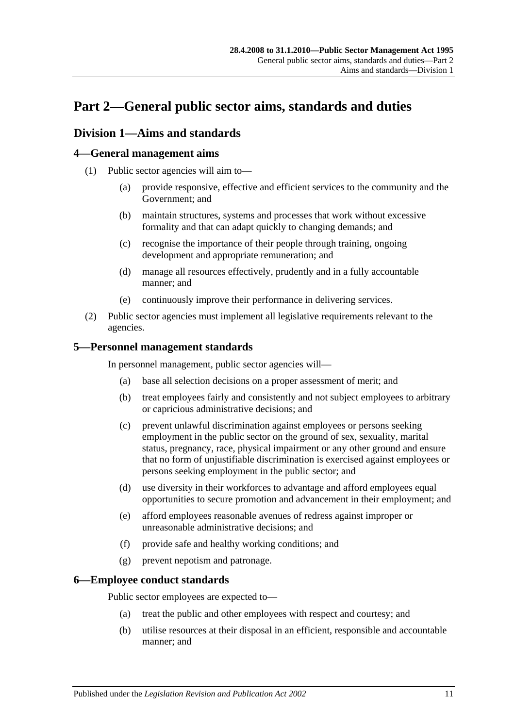# <span id="page-10-0"></span>**Part 2—General public sector aims, standards and duties**

## <span id="page-10-1"></span>**Division 1—Aims and standards**

## <span id="page-10-2"></span>**4—General management aims**

- (1) Public sector agencies will aim to—
	- (a) provide responsive, effective and efficient services to the community and the Government; and
	- (b) maintain structures, systems and processes that work without excessive formality and that can adapt quickly to changing demands; and
	- (c) recognise the importance of their people through training, ongoing development and appropriate remuneration; and
	- (d) manage all resources effectively, prudently and in a fully accountable manner; and
	- (e) continuously improve their performance in delivering services.
- (2) Public sector agencies must implement all legislative requirements relevant to the agencies.

## <span id="page-10-3"></span>**5—Personnel management standards**

In personnel management, public sector agencies will—

- (a) base all selection decisions on a proper assessment of merit; and
- (b) treat employees fairly and consistently and not subject employees to arbitrary or capricious administrative decisions; and
- (c) prevent unlawful discrimination against employees or persons seeking employment in the public sector on the ground of sex, sexuality, marital status, pregnancy, race, physical impairment or any other ground and ensure that no form of unjustifiable discrimination is exercised against employees or persons seeking employment in the public sector; and
- (d) use diversity in their workforces to advantage and afford employees equal opportunities to secure promotion and advancement in their employment; and
- (e) afford employees reasonable avenues of redress against improper or unreasonable administrative decisions; and
- (f) provide safe and healthy working conditions; and
- (g) prevent nepotism and patronage.

## <span id="page-10-4"></span>**6—Employee conduct standards**

Public sector employees are expected to—

- (a) treat the public and other employees with respect and courtesy; and
- (b) utilise resources at their disposal in an efficient, responsible and accountable manner; and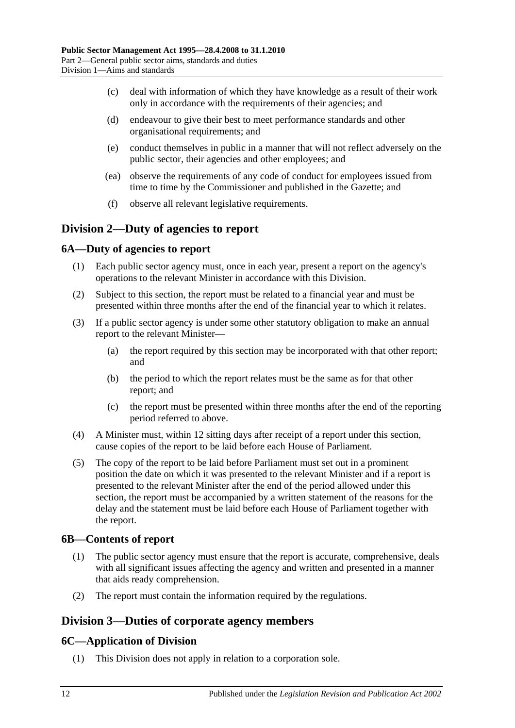- (c) deal with information of which they have knowledge as a result of their work only in accordance with the requirements of their agencies; and
- (d) endeavour to give their best to meet performance standards and other organisational requirements; and
- (e) conduct themselves in public in a manner that will not reflect adversely on the public sector, their agencies and other employees; and
- (ea) observe the requirements of any code of conduct for employees issued from time to time by the Commissioner and published in the Gazette; and
- (f) observe all relevant legislative requirements.

## <span id="page-11-0"></span>**Division 2—Duty of agencies to report**

## <span id="page-11-1"></span>**6A—Duty of agencies to report**

- (1) Each public sector agency must, once in each year, present a report on the agency's operations to the relevant Minister in accordance with this Division.
- (2) Subject to this section, the report must be related to a financial year and must be presented within three months after the end of the financial year to which it relates.
- (3) If a public sector agency is under some other statutory obligation to make an annual report to the relevant Minister—
	- (a) the report required by this section may be incorporated with that other report; and
	- (b) the period to which the report relates must be the same as for that other report; and
	- (c) the report must be presented within three months after the end of the reporting period referred to above.
- (4) A Minister must, within 12 sitting days after receipt of a report under this section, cause copies of the report to be laid before each House of Parliament.
- (5) The copy of the report to be laid before Parliament must set out in a prominent position the date on which it was presented to the relevant Minister and if a report is presented to the relevant Minister after the end of the period allowed under this section, the report must be accompanied by a written statement of the reasons for the delay and the statement must be laid before each House of Parliament together with the report.

## <span id="page-11-2"></span>**6B—Contents of report**

- (1) The public sector agency must ensure that the report is accurate, comprehensive, deals with all significant issues affecting the agency and written and presented in a manner that aids ready comprehension.
- (2) The report must contain the information required by the regulations.

## <span id="page-11-3"></span>**Division 3—Duties of corporate agency members**

## <span id="page-11-4"></span>**6C—Application of Division**

(1) This Division does not apply in relation to a corporation sole.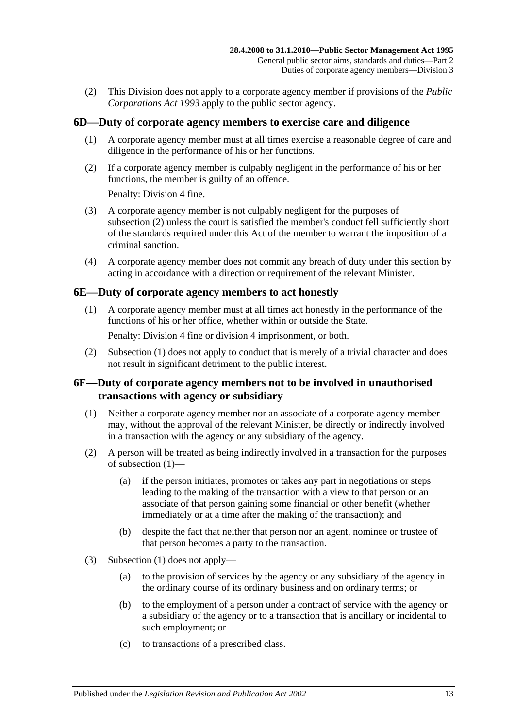(2) This Division does not apply to a corporate agency member if provisions of the *[Public](http://www.legislation.sa.gov.au/index.aspx?action=legref&type=act&legtitle=Public%20Corporations%20Act%201993)  [Corporations Act](http://www.legislation.sa.gov.au/index.aspx?action=legref&type=act&legtitle=Public%20Corporations%20Act%201993) 1993* apply to the public sector agency.

## <span id="page-12-0"></span>**6D—Duty of corporate agency members to exercise care and diligence**

- (1) A corporate agency member must at all times exercise a reasonable degree of care and diligence in the performance of his or her functions.
- <span id="page-12-3"></span>(2) If a corporate agency member is culpably negligent in the performance of his or her functions, the member is guilty of an offence.

Penalty: Division 4 fine.

- (3) A corporate agency member is not culpably negligent for the purposes of [subsection](#page-12-3) (2) unless the court is satisfied the member's conduct fell sufficiently short of the standards required under this Act of the member to warrant the imposition of a criminal sanction.
- (4) A corporate agency member does not commit any breach of duty under this section by acting in accordance with a direction or requirement of the relevant Minister.

#### <span id="page-12-4"></span><span id="page-12-1"></span>**6E—Duty of corporate agency members to act honestly**

(1) A corporate agency member must at all times act honestly in the performance of the functions of his or her office, whether within or outside the State.

Penalty: Division 4 fine or division 4 imprisonment, or both.

(2) [Subsection](#page-12-4) (1) does not apply to conduct that is merely of a trivial character and does not result in significant detriment to the public interest.

#### <span id="page-12-2"></span>**6F—Duty of corporate agency members not to be involved in unauthorised transactions with agency or subsidiary**

- <span id="page-12-5"></span>(1) Neither a corporate agency member nor an associate of a corporate agency member may, without the approval of the relevant Minister, be directly or indirectly involved in a transaction with the agency or any subsidiary of the agency.
- (2) A person will be treated as being indirectly involved in a transaction for the purposes of [subsection](#page-12-5) (1)—
	- (a) if the person initiates, promotes or takes any part in negotiations or steps leading to the making of the transaction with a view to that person or an associate of that person gaining some financial or other benefit (whether immediately or at a time after the making of the transaction); and
	- (b) despite the fact that neither that person nor an agent, nominee or trustee of that person becomes a party to the transaction.
- (3) [Subsection](#page-12-5) (1) does not apply—
	- (a) to the provision of services by the agency or any subsidiary of the agency in the ordinary course of its ordinary business and on ordinary terms; or
	- (b) to the employment of a person under a contract of service with the agency or a subsidiary of the agency or to a transaction that is ancillary or incidental to such employment; or
	- (c) to transactions of a prescribed class.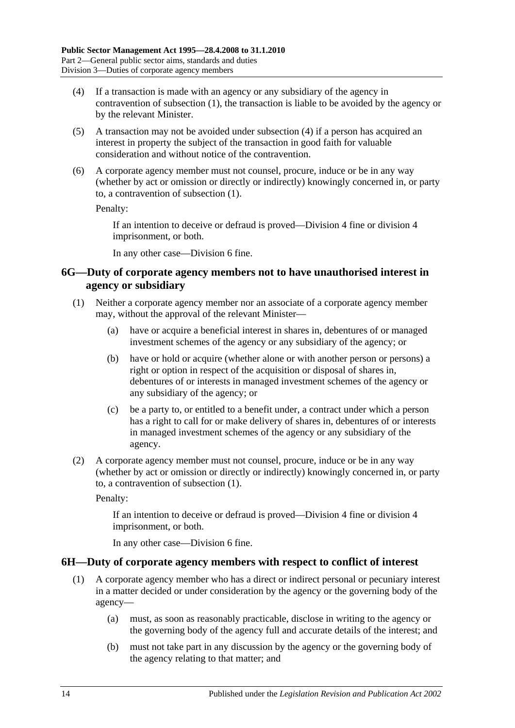- <span id="page-13-2"></span>(4) If a transaction is made with an agency or any subsidiary of the agency in contravention of [subsection](#page-12-5) (1), the transaction is liable to be avoided by the agency or by the relevant Minister.
- (5) A transaction may not be avoided under [subsection](#page-13-2) (4) if a person has acquired an interest in property the subject of the transaction in good faith for valuable consideration and without notice of the contravention.
- (6) A corporate agency member must not counsel, procure, induce or be in any way (whether by act or omission or directly or indirectly) knowingly concerned in, or party to, a contravention of [subsection](#page-12-5) (1).

Penalty:

If an intention to deceive or defraud is proved—Division 4 fine or division 4 imprisonment, or both.

In any other case—Division 6 fine.

## <span id="page-13-0"></span>**6G—Duty of corporate agency members not to have unauthorised interest in agency or subsidiary**

- <span id="page-13-3"></span>(1) Neither a corporate agency member nor an associate of a corporate agency member may, without the approval of the relevant Minister—
	- (a) have or acquire a beneficial interest in shares in, debentures of or managed investment schemes of the agency or any subsidiary of the agency; or
	- (b) have or hold or acquire (whether alone or with another person or persons) a right or option in respect of the acquisition or disposal of shares in, debentures of or interests in managed investment schemes of the agency or any subsidiary of the agency; or
	- (c) be a party to, or entitled to a benefit under, a contract under which a person has a right to call for or make delivery of shares in, debentures of or interests in managed investment schemes of the agency or any subsidiary of the agency.
- (2) A corporate agency member must not counsel, procure, induce or be in any way (whether by act or omission or directly or indirectly) knowingly concerned in, or party to, a contravention of [subsection](#page-13-3) (1).

Penalty:

If an intention to deceive or defraud is proved—Division 4 fine or division 4 imprisonment, or both.

In any other case—Division 6 fine.

#### <span id="page-13-4"></span><span id="page-13-1"></span>**6H—Duty of corporate agency members with respect to conflict of interest**

- (1) A corporate agency member who has a direct or indirect personal or pecuniary interest in a matter decided or under consideration by the agency or the governing body of the agency—
	- (a) must, as soon as reasonably practicable, disclose in writing to the agency or the governing body of the agency full and accurate details of the interest; and
	- (b) must not take part in any discussion by the agency or the governing body of the agency relating to that matter; and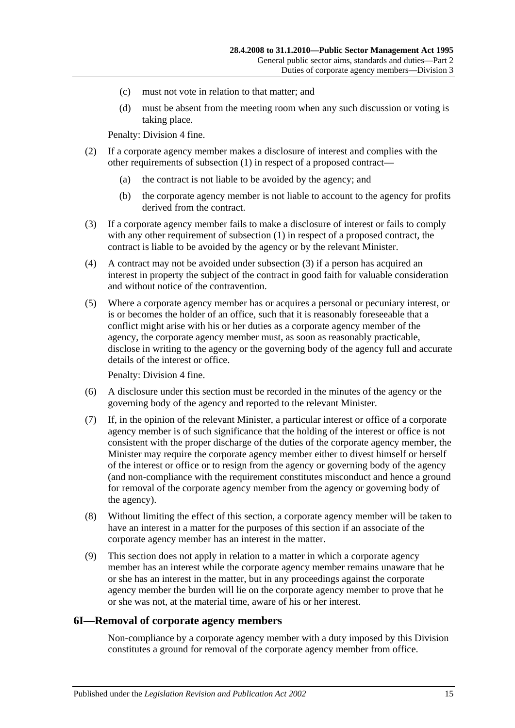- (c) must not vote in relation to that matter; and
- (d) must be absent from the meeting room when any such discussion or voting is taking place.

Penalty: Division 4 fine.

- (2) If a corporate agency member makes a disclosure of interest and complies with the other requirements of [subsection](#page-13-4) (1) in respect of a proposed contract—
	- (a) the contract is not liable to be avoided by the agency; and
	- (b) the corporate agency member is not liable to account to the agency for profits derived from the contract.
- <span id="page-14-1"></span>(3) If a corporate agency member fails to make a disclosure of interest or fails to comply with any other requirement of [subsection](#page-13-4) (1) in respect of a proposed contract, the contract is liable to be avoided by the agency or by the relevant Minister.
- (4) A contract may not be avoided under [subsection](#page-14-1) (3) if a person has acquired an interest in property the subject of the contract in good faith for valuable consideration and without notice of the contravention.
- (5) Where a corporate agency member has or acquires a personal or pecuniary interest, or is or becomes the holder of an office, such that it is reasonably foreseeable that a conflict might arise with his or her duties as a corporate agency member of the agency, the corporate agency member must, as soon as reasonably practicable, disclose in writing to the agency or the governing body of the agency full and accurate details of the interest or office.

Penalty: Division 4 fine.

- (6) A disclosure under this section must be recorded in the minutes of the agency or the governing body of the agency and reported to the relevant Minister.
- (7) If, in the opinion of the relevant Minister, a particular interest or office of a corporate agency member is of such significance that the holding of the interest or office is not consistent with the proper discharge of the duties of the corporate agency member, the Minister may require the corporate agency member either to divest himself or herself of the interest or office or to resign from the agency or governing body of the agency (and non-compliance with the requirement constitutes misconduct and hence a ground for removal of the corporate agency member from the agency or governing body of the agency).
- (8) Without limiting the effect of this section, a corporate agency member will be taken to have an interest in a matter for the purposes of this section if an associate of the corporate agency member has an interest in the matter.
- (9) This section does not apply in relation to a matter in which a corporate agency member has an interest while the corporate agency member remains unaware that he or she has an interest in the matter, but in any proceedings against the corporate agency member the burden will lie on the corporate agency member to prove that he or she was not, at the material time, aware of his or her interest.

#### <span id="page-14-0"></span>**6I—Removal of corporate agency members**

Non-compliance by a corporate agency member with a duty imposed by this Division constitutes a ground for removal of the corporate agency member from office.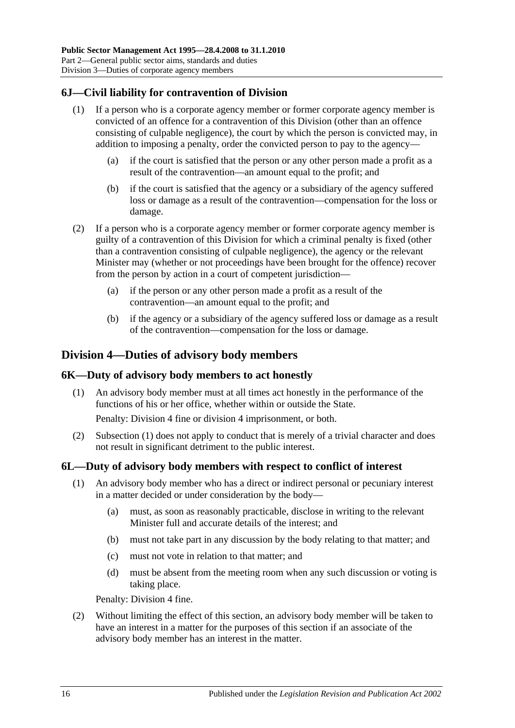## <span id="page-15-0"></span>**6J—Civil liability for contravention of Division**

- (1) If a person who is a corporate agency member or former corporate agency member is convicted of an offence for a contravention of this Division (other than an offence consisting of culpable negligence), the court by which the person is convicted may, in addition to imposing a penalty, order the convicted person to pay to the agency—
	- (a) if the court is satisfied that the person or any other person made a profit as a result of the contravention—an amount equal to the profit; and
	- (b) if the court is satisfied that the agency or a subsidiary of the agency suffered loss or damage as a result of the contravention—compensation for the loss or damage.
- (2) If a person who is a corporate agency member or former corporate agency member is guilty of a contravention of this Division for which a criminal penalty is fixed (other than a contravention consisting of culpable negligence), the agency or the relevant Minister may (whether or not proceedings have been brought for the offence) recover from the person by action in a court of competent jurisdiction—
	- (a) if the person or any other person made a profit as a result of the contravention—an amount equal to the profit; and
	- (b) if the agency or a subsidiary of the agency suffered loss or damage as a result of the contravention—compensation for the loss or damage.

## <span id="page-15-1"></span>**Division 4—Duties of advisory body members**

#### <span id="page-15-4"></span><span id="page-15-2"></span>**6K—Duty of advisory body members to act honestly**

(1) An advisory body member must at all times act honestly in the performance of the functions of his or her office, whether within or outside the State.

Penalty: Division 4 fine or division 4 imprisonment, or both.

(2) [Subsection](#page-15-4) (1) does not apply to conduct that is merely of a trivial character and does not result in significant detriment to the public interest.

## <span id="page-15-3"></span>**6L—Duty of advisory body members with respect to conflict of interest**

- (1) An advisory body member who has a direct or indirect personal or pecuniary interest in a matter decided or under consideration by the body—
	- (a) must, as soon as reasonably practicable, disclose in writing to the relevant Minister full and accurate details of the interest; and
	- (b) must not take part in any discussion by the body relating to that matter; and
	- (c) must not vote in relation to that matter; and
	- (d) must be absent from the meeting room when any such discussion or voting is taking place.

Penalty: Division 4 fine.

(2) Without limiting the effect of this section, an advisory body member will be taken to have an interest in a matter for the purposes of this section if an associate of the advisory body member has an interest in the matter.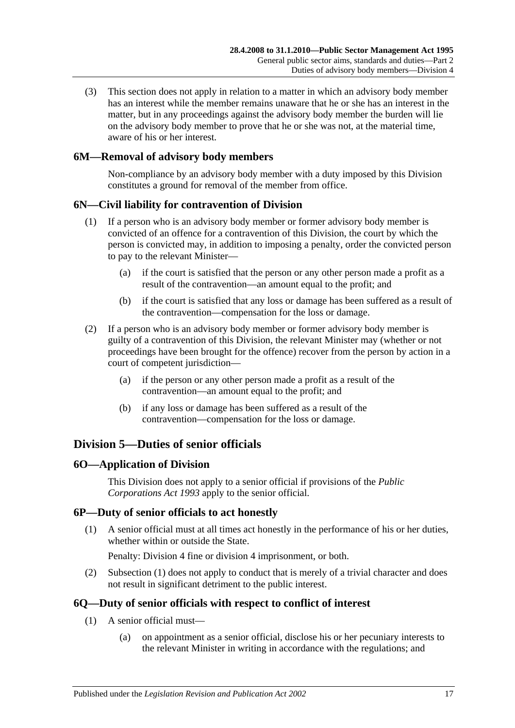(3) This section does not apply in relation to a matter in which an advisory body member has an interest while the member remains unaware that he or she has an interest in the matter, but in any proceedings against the advisory body member the burden will lie on the advisory body member to prove that he or she was not, at the material time, aware of his or her interest.

## <span id="page-16-0"></span>**6M—Removal of advisory body members**

Non-compliance by an advisory body member with a duty imposed by this Division constitutes a ground for removal of the member from office.

## <span id="page-16-1"></span>**6N—Civil liability for contravention of Division**

- (1) If a person who is an advisory body member or former advisory body member is convicted of an offence for a contravention of this Division, the court by which the person is convicted may, in addition to imposing a penalty, order the convicted person to pay to the relevant Minister—
	- (a) if the court is satisfied that the person or any other person made a profit as a result of the contravention—an amount equal to the profit; and
	- (b) if the court is satisfied that any loss or damage has been suffered as a result of the contravention—compensation for the loss or damage.
- (2) If a person who is an advisory body member or former advisory body member is guilty of a contravention of this Division, the relevant Minister may (whether or not proceedings have been brought for the offence) recover from the person by action in a court of competent jurisdiction—
	- (a) if the person or any other person made a profit as a result of the contravention—an amount equal to the profit; and
	- (b) if any loss or damage has been suffered as a result of the contravention—compensation for the loss or damage.

## <span id="page-16-2"></span>**Division 5—Duties of senior officials**

## <span id="page-16-3"></span>**6O—Application of Division**

This Division does not apply to a senior official if provisions of the *[Public](http://www.legislation.sa.gov.au/index.aspx?action=legref&type=act&legtitle=Public%20Corporations%20Act%201993)  [Corporations Act](http://www.legislation.sa.gov.au/index.aspx?action=legref&type=act&legtitle=Public%20Corporations%20Act%201993) 1993* apply to the senior official.

## <span id="page-16-6"></span><span id="page-16-4"></span>**6P—Duty of senior officials to act honestly**

(1) A senior official must at all times act honestly in the performance of his or her duties, whether within or outside the State.

Penalty: Division 4 fine or division 4 imprisonment, or both.

(2) [Subsection](#page-16-6) (1) does not apply to conduct that is merely of a trivial character and does not result in significant detriment to the public interest.

## <span id="page-16-8"></span><span id="page-16-5"></span>**6Q—Duty of senior officials with respect to conflict of interest**

- <span id="page-16-7"></span>(1) A senior official must—
	- (a) on appointment as a senior official, disclose his or her pecuniary interests to the relevant Minister in writing in accordance with the regulations; and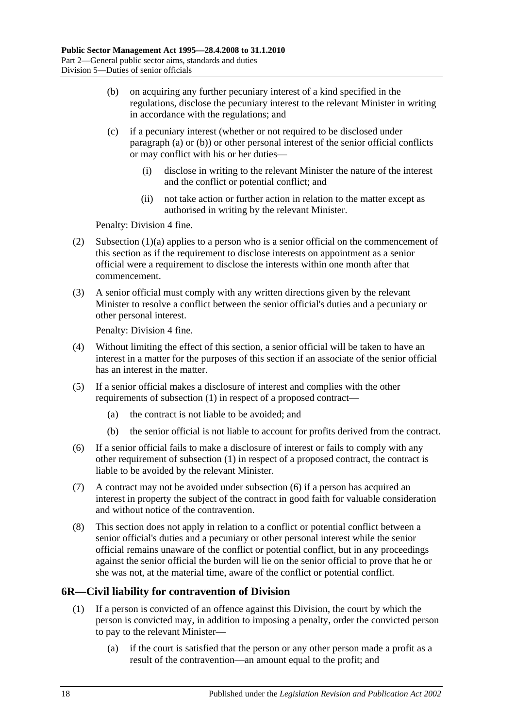- <span id="page-17-1"></span>(b) on acquiring any further pecuniary interest of a kind specified in the regulations, disclose the pecuniary interest to the relevant Minister in writing in accordance with the regulations; and
- (c) if a pecuniary interest (whether or not required to be disclosed under [paragraph](#page-16-7) (a) or [\(b\)\)](#page-17-1) or other personal interest of the senior official conflicts or may conflict with his or her duties—
	- (i) disclose in writing to the relevant Minister the nature of the interest and the conflict or potential conflict; and
	- (ii) not take action or further action in relation to the matter except as authorised in writing by the relevant Minister.

Penalty: Division 4 fine.

- (2) [Subsection](#page-16-7)  $(1)(a)$  applies to a person who is a senior official on the commencement of this section as if the requirement to disclose interests on appointment as a senior official were a requirement to disclose the interests within one month after that commencement.
- (3) A senior official must comply with any written directions given by the relevant Minister to resolve a conflict between the senior official's duties and a pecuniary or other personal interest.

Penalty: Division 4 fine.

- (4) Without limiting the effect of this section, a senior official will be taken to have an interest in a matter for the purposes of this section if an associate of the senior official has an interest in the matter.
- (5) If a senior official makes a disclosure of interest and complies with the other requirements of [subsection](#page-16-8) (1) in respect of a proposed contract—
	- (a) the contract is not liable to be avoided; and
	- (b) the senior official is not liable to account for profits derived from the contract.
- <span id="page-17-2"></span>(6) If a senior official fails to make a disclosure of interest or fails to comply with any other requirement of [subsection](#page-16-8) (1) in respect of a proposed contract, the contract is liable to be avoided by the relevant Minister.
- (7) A contract may not be avoided under [subsection](#page-17-2) (6) if a person has acquired an interest in property the subject of the contract in good faith for valuable consideration and without notice of the contravention.
- (8) This section does not apply in relation to a conflict or potential conflict between a senior official's duties and a pecuniary or other personal interest while the senior official remains unaware of the conflict or potential conflict, but in any proceedings against the senior official the burden will lie on the senior official to prove that he or she was not, at the material time, aware of the conflict or potential conflict.

## <span id="page-17-0"></span>**6R—Civil liability for contravention of Division**

- (1) If a person is convicted of an offence against this Division, the court by which the person is convicted may, in addition to imposing a penalty, order the convicted person to pay to the relevant Minister—
	- (a) if the court is satisfied that the person or any other person made a profit as a result of the contravention—an amount equal to the profit; and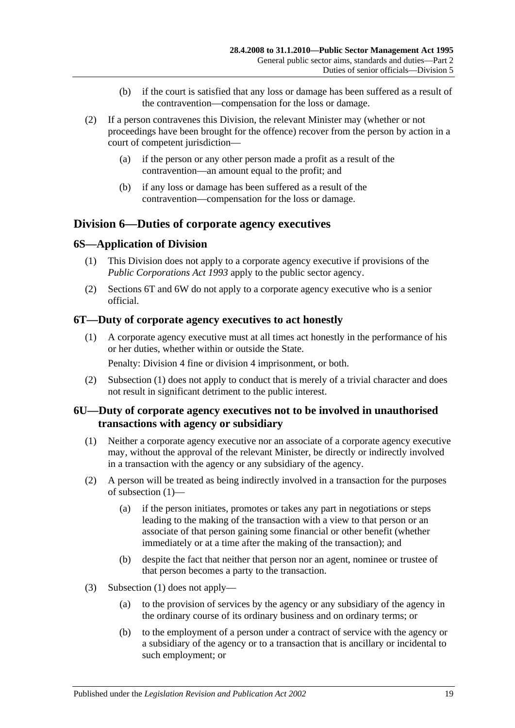- (b) if the court is satisfied that any loss or damage has been suffered as a result of the contravention—compensation for the loss or damage.
- (2) If a person contravenes this Division, the relevant Minister may (whether or not proceedings have been brought for the offence) recover from the person by action in a court of competent jurisdiction—
	- (a) if the person or any other person made a profit as a result of the contravention—an amount equal to the profit; and
	- (b) if any loss or damage has been suffered as a result of the contravention—compensation for the loss or damage.

## <span id="page-18-0"></span>**Division 6—Duties of corporate agency executives**

## <span id="page-18-1"></span>**6S—Application of Division**

- (1) This Division does not apply to a corporate agency executive if provisions of the *[Public Corporations Act](http://www.legislation.sa.gov.au/index.aspx?action=legref&type=act&legtitle=Public%20Corporations%20Act%201993) 1993* apply to the public sector agency.
- (2) [Sections](#page-18-2) 6T and [6W](#page-19-1) do not apply to a corporate agency executive who is a senior official.

## <span id="page-18-4"></span><span id="page-18-2"></span>**6T—Duty of corporate agency executives to act honestly**

(1) A corporate agency executive must at all times act honestly in the performance of his or her duties, whether within or outside the State.

Penalty: Division 4 fine or division 4 imprisonment, or both.

(2) [Subsection](#page-18-4) (1) does not apply to conduct that is merely of a trivial character and does not result in significant detriment to the public interest.

## <span id="page-18-3"></span>**6U—Duty of corporate agency executives not to be involved in unauthorised transactions with agency or subsidiary**

- <span id="page-18-5"></span>(1) Neither a corporate agency executive nor an associate of a corporate agency executive may, without the approval of the relevant Minister, be directly or indirectly involved in a transaction with the agency or any subsidiary of the agency.
- (2) A person will be treated as being indirectly involved in a transaction for the purposes of [subsection](#page-18-5) (1)—
	- (a) if the person initiates, promotes or takes any part in negotiations or steps leading to the making of the transaction with a view to that person or an associate of that person gaining some financial or other benefit (whether immediately or at a time after the making of the transaction); and
	- (b) despite the fact that neither that person nor an agent, nominee or trustee of that person becomes a party to the transaction.
- (3) [Subsection](#page-18-5) (1) does not apply—
	- (a) to the provision of services by the agency or any subsidiary of the agency in the ordinary course of its ordinary business and on ordinary terms; or
	- (b) to the employment of a person under a contract of service with the agency or a subsidiary of the agency or to a transaction that is ancillary or incidental to such employment; or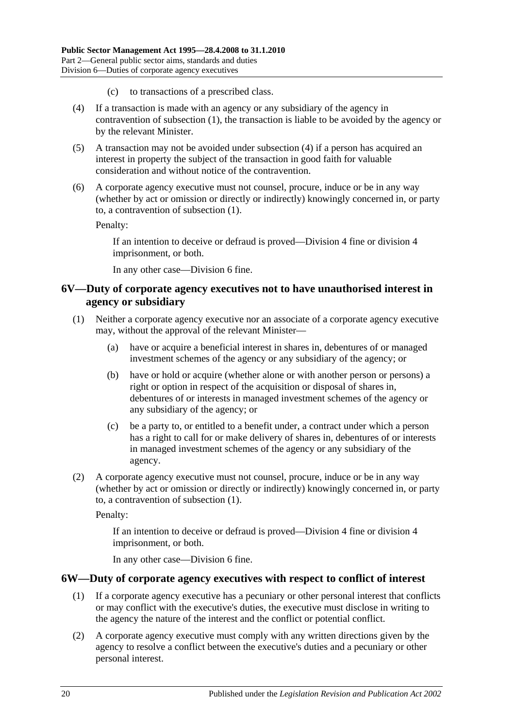- (c) to transactions of a prescribed class.
- <span id="page-19-2"></span>(4) If a transaction is made with an agency or any subsidiary of the agency in contravention of [subsection](#page-18-5) (1), the transaction is liable to be avoided by the agency or by the relevant Minister.
- (5) A transaction may not be avoided under [subsection](#page-19-2) (4) if a person has acquired an interest in property the subject of the transaction in good faith for valuable consideration and without notice of the contravention.
- (6) A corporate agency executive must not counsel, procure, induce or be in any way (whether by act or omission or directly or indirectly) knowingly concerned in, or party to, a contravention of [subsection](#page-18-5) (1).

Penalty:

If an intention to deceive or defraud is proved—Division 4 fine or division 4 imprisonment, or both.

In any other case—Division 6 fine.

#### <span id="page-19-0"></span>**6V—Duty of corporate agency executives not to have unauthorised interest in agency or subsidiary**

- <span id="page-19-3"></span>(1) Neither a corporate agency executive nor an associate of a corporate agency executive may, without the approval of the relevant Minister—
	- (a) have or acquire a beneficial interest in shares in, debentures of or managed investment schemes of the agency or any subsidiary of the agency; or
	- (b) have or hold or acquire (whether alone or with another person or persons) a right or option in respect of the acquisition or disposal of shares in, debentures of or interests in managed investment schemes of the agency or any subsidiary of the agency; or
	- (c) be a party to, or entitled to a benefit under, a contract under which a person has a right to call for or make delivery of shares in, debentures of or interests in managed investment schemes of the agency or any subsidiary of the agency.
- (2) A corporate agency executive must not counsel, procure, induce or be in any way (whether by act or omission or directly or indirectly) knowingly concerned in, or party to, a contravention of [subsection](#page-19-3) (1).

Penalty:

If an intention to deceive or defraud is proved—Division 4 fine or division 4 imprisonment, or both.

In any other case—Division 6 fine.

#### <span id="page-19-4"></span><span id="page-19-1"></span>**6W—Duty of corporate agency executives with respect to conflict of interest**

- (1) If a corporate agency executive has a pecuniary or other personal interest that conflicts or may conflict with the executive's duties, the executive must disclose in writing to the agency the nature of the interest and the conflict or potential conflict.
- (2) A corporate agency executive must comply with any written directions given by the agency to resolve a conflict between the executive's duties and a pecuniary or other personal interest.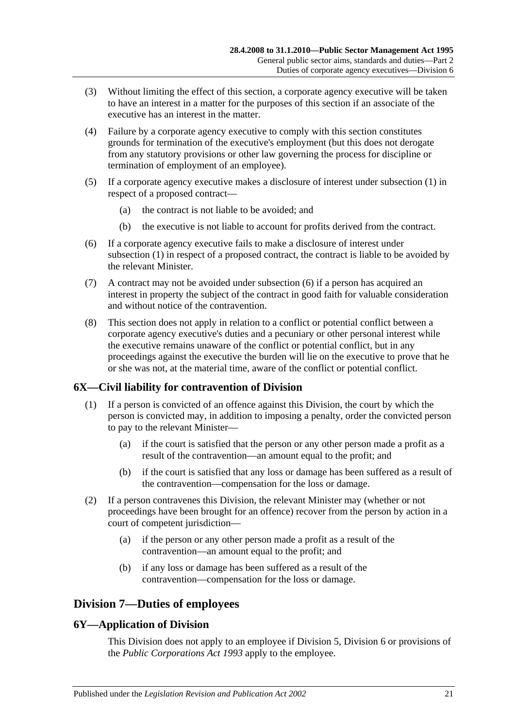- (3) Without limiting the effect of this section, a corporate agency executive will be taken to have an interest in a matter for the purposes of this section if an associate of the executive has an interest in the matter.
- (4) Failure by a corporate agency executive to comply with this section constitutes grounds for termination of the executive's employment (but this does not derogate from any statutory provisions or other law governing the process for discipline or termination of employment of an employee).
- (5) If a corporate agency executive makes a disclosure of interest under [subsection](#page-19-4) (1) in respect of a proposed contract—
	- (a) the contract is not liable to be avoided; and
	- (b) the executive is not liable to account for profits derived from the contract.
- <span id="page-20-3"></span>(6) If a corporate agency executive fails to make a disclosure of interest under [subsection](#page-19-4) (1) in respect of a proposed contract, the contract is liable to be avoided by the relevant Minister.
- (7) A contract may not be avoided under [subsection](#page-20-3) (6) if a person has acquired an interest in property the subject of the contract in good faith for valuable consideration and without notice of the contravention.
- (8) This section does not apply in relation to a conflict or potential conflict between a corporate agency executive's duties and a pecuniary or other personal interest while the executive remains unaware of the conflict or potential conflict, but in any proceedings against the executive the burden will lie on the executive to prove that he or she was not, at the material time, aware of the conflict or potential conflict.

## <span id="page-20-0"></span>**6X—Civil liability for contravention of Division**

- (1) If a person is convicted of an offence against this Division, the court by which the person is convicted may, in addition to imposing a penalty, order the convicted person to pay to the relevant Minister—
	- (a) if the court is satisfied that the person or any other person made a profit as a result of the contravention—an amount equal to the profit; and
	- (b) if the court is satisfied that any loss or damage has been suffered as a result of the contravention—compensation for the loss or damage.
- (2) If a person contravenes this Division, the relevant Minister may (whether or not proceedings have been brought for an offence) recover from the person by action in a court of competent jurisdiction—
	- (a) if the person or any other person made a profit as a result of the contravention—an amount equal to the profit; and
	- (b) if any loss or damage has been suffered as a result of the contravention—compensation for the loss or damage.

## <span id="page-20-1"></span>**Division 7—Duties of employees**

## <span id="page-20-2"></span>**6Y—Application of Division**

This Division does not apply to an employee if [Division 5,](#page-16-2) [Division 6](#page-18-0) or provisions of the *[Public Corporations Act](http://www.legislation.sa.gov.au/index.aspx?action=legref&type=act&legtitle=Public%20Corporations%20Act%201993) 1993* apply to the employee.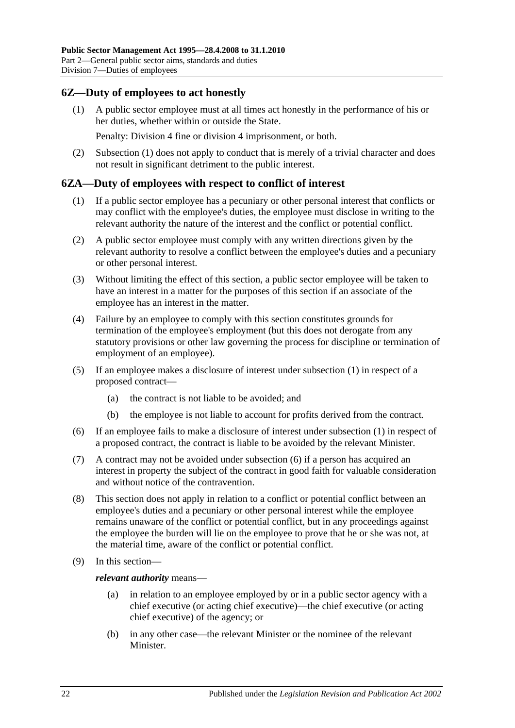## <span id="page-21-2"></span><span id="page-21-0"></span>**6Z—Duty of employees to act honestly**

(1) A public sector employee must at all times act honestly in the performance of his or her duties, whether within or outside the State.

Penalty: Division 4 fine or division 4 imprisonment, or both.

(2) [Subsection](#page-21-2) (1) does not apply to conduct that is merely of a trivial character and does not result in significant detriment to the public interest.

#### <span id="page-21-3"></span><span id="page-21-1"></span>**6ZA—Duty of employees with respect to conflict of interest**

- (1) If a public sector employee has a pecuniary or other personal interest that conflicts or may conflict with the employee's duties, the employee must disclose in writing to the relevant authority the nature of the interest and the conflict or potential conflict.
- (2) A public sector employee must comply with any written directions given by the relevant authority to resolve a conflict between the employee's duties and a pecuniary or other personal interest.
- (3) Without limiting the effect of this section, a public sector employee will be taken to have an interest in a matter for the purposes of this section if an associate of the employee has an interest in the matter.
- (4) Failure by an employee to comply with this section constitutes grounds for termination of the employee's employment (but this does not derogate from any statutory provisions or other law governing the process for discipline or termination of employment of an employee).
- (5) If an employee makes a disclosure of interest under [subsection](#page-21-3) (1) in respect of a proposed contract—
	- (a) the contract is not liable to be avoided; and
	- (b) the employee is not liable to account for profits derived from the contract.
- <span id="page-21-4"></span>(6) If an employee fails to make a disclosure of interest under [subsection](#page-21-3) (1) in respect of a proposed contract, the contract is liable to be avoided by the relevant Minister.
- (7) A contract may not be avoided under [subsection](#page-21-4) (6) if a person has acquired an interest in property the subject of the contract in good faith for valuable consideration and without notice of the contravention.
- (8) This section does not apply in relation to a conflict or potential conflict between an employee's duties and a pecuniary or other personal interest while the employee remains unaware of the conflict or potential conflict, but in any proceedings against the employee the burden will lie on the employee to prove that he or she was not, at the material time, aware of the conflict or potential conflict.
- (9) In this section—

*relevant authority* means—

- (a) in relation to an employee employed by or in a public sector agency with a chief executive (or acting chief executive)—the chief executive (or acting chief executive) of the agency; or
- (b) in any other case—the relevant Minister or the nominee of the relevant Minister.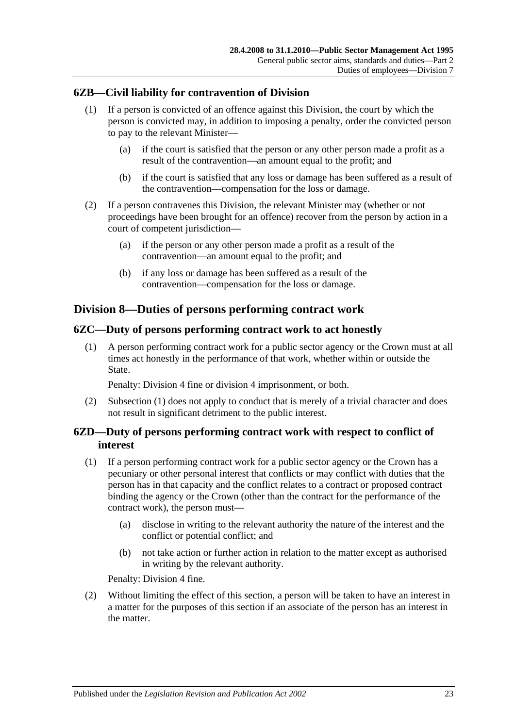## <span id="page-22-0"></span>**6ZB—Civil liability for contravention of Division**

- (1) If a person is convicted of an offence against this Division, the court by which the person is convicted may, in addition to imposing a penalty, order the convicted person to pay to the relevant Minister—
	- (a) if the court is satisfied that the person or any other person made a profit as a result of the contravention—an amount equal to the profit; and
	- (b) if the court is satisfied that any loss or damage has been suffered as a result of the contravention—compensation for the loss or damage.
- (2) If a person contravenes this Division, the relevant Minister may (whether or not proceedings have been brought for an offence) recover from the person by action in a court of competent jurisdiction—
	- (a) if the person or any other person made a profit as a result of the contravention—an amount equal to the profit; and
	- (b) if any loss or damage has been suffered as a result of the contravention—compensation for the loss or damage.

## <span id="page-22-1"></span>**Division 8—Duties of persons performing contract work**

## <span id="page-22-4"></span><span id="page-22-2"></span>**6ZC—Duty of persons performing contract work to act honestly**

(1) A person performing contract work for a public sector agency or the Crown must at all times act honestly in the performance of that work, whether within or outside the State.

Penalty: Division 4 fine or division 4 imprisonment, or both.

(2) [Subsection](#page-22-4) (1) does not apply to conduct that is merely of a trivial character and does not result in significant detriment to the public interest.

## <span id="page-22-3"></span>**6ZD—Duty of persons performing contract work with respect to conflict of interest**

- <span id="page-22-5"></span>(1) If a person performing contract work for a public sector agency or the Crown has a pecuniary or other personal interest that conflicts or may conflict with duties that the person has in that capacity and the conflict relates to a contract or proposed contract binding the agency or the Crown (other than the contract for the performance of the contract work), the person must—
	- (a) disclose in writing to the relevant authority the nature of the interest and the conflict or potential conflict; and
	- (b) not take action or further action in relation to the matter except as authorised in writing by the relevant authority.

Penalty: Division 4 fine.

(2) Without limiting the effect of this section, a person will be taken to have an interest in a matter for the purposes of this section if an associate of the person has an interest in the matter.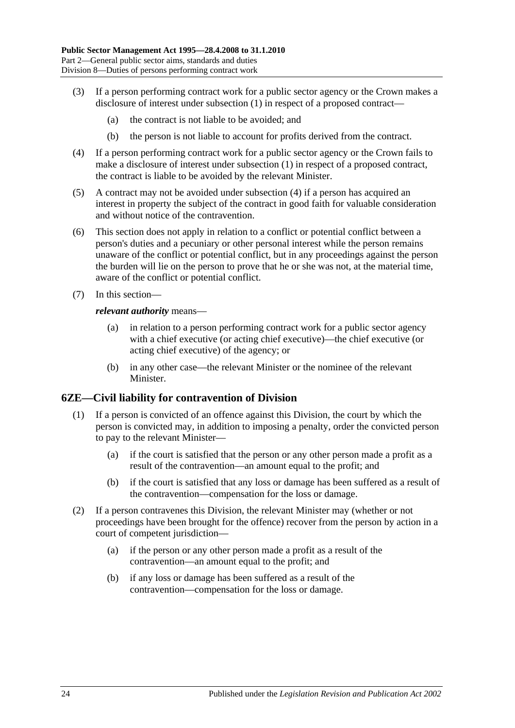- (3) If a person performing contract work for a public sector agency or the Crown makes a disclosure of interest under [subsection](#page-22-5) (1) in respect of a proposed contract—
	- (a) the contract is not liable to be avoided; and
	- (b) the person is not liable to account for profits derived from the contract.
- <span id="page-23-1"></span>(4) If a person performing contract work for a public sector agency or the Crown fails to make a disclosure of interest under [subsection](#page-22-5) (1) in respect of a proposed contract, the contract is liable to be avoided by the relevant Minister.
- (5) A contract may not be avoided under [subsection](#page-23-1) (4) if a person has acquired an interest in property the subject of the contract in good faith for valuable consideration and without notice of the contravention.
- (6) This section does not apply in relation to a conflict or potential conflict between a person's duties and a pecuniary or other personal interest while the person remains unaware of the conflict or potential conflict, but in any proceedings against the person the burden will lie on the person to prove that he or she was not, at the material time, aware of the conflict or potential conflict.
- (7) In this section—

#### *relevant authority* means—

- (a) in relation to a person performing contract work for a public sector agency with a chief executive (or acting chief executive)—the chief executive (or acting chief executive) of the agency; or
- (b) in any other case—the relevant Minister or the nominee of the relevant Minister.

#### <span id="page-23-0"></span>**6ZE—Civil liability for contravention of Division**

- (1) If a person is convicted of an offence against this Division, the court by which the person is convicted may, in addition to imposing a penalty, order the convicted person to pay to the relevant Minister—
	- (a) if the court is satisfied that the person or any other person made a profit as a result of the contravention—an amount equal to the profit; and
	- (b) if the court is satisfied that any loss or damage has been suffered as a result of the contravention—compensation for the loss or damage.
- (2) If a person contravenes this Division, the relevant Minister may (whether or not proceedings have been brought for the offence) recover from the person by action in a court of competent jurisdiction—
	- (a) if the person or any other person made a profit as a result of the contravention—an amount equal to the profit; and
	- (b) if any loss or damage has been suffered as a result of the contravention—compensation for the loss or damage.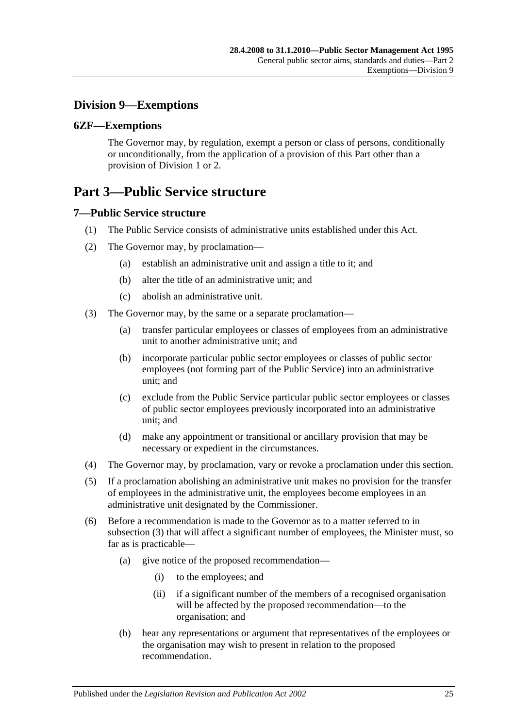## <span id="page-24-0"></span>**Division 9—Exemptions**

## <span id="page-24-1"></span>**6ZF—Exemptions**

The Governor may, by regulation, exempt a person or class of persons, conditionally or unconditionally, from the application of a provision of this Part other than a provision of [Division 1](#page-10-1) or [2.](#page-11-0)

# <span id="page-24-2"></span>**Part 3—Public Service structure**

## <span id="page-24-3"></span>**7—Public Service structure**

- (1) The Public Service consists of administrative units established under this Act.
- (2) The Governor may, by proclamation—
	- (a) establish an administrative unit and assign a title to it; and
	- (b) alter the title of an administrative unit; and
	- (c) abolish an administrative unit.
- <span id="page-24-4"></span>(3) The Governor may, by the same or a separate proclamation—
	- (a) transfer particular employees or classes of employees from an administrative unit to another administrative unit; and
	- (b) incorporate particular public sector employees or classes of public sector employees (not forming part of the Public Service) into an administrative unit; and
	- (c) exclude from the Public Service particular public sector employees or classes of public sector employees previously incorporated into an administrative unit; and
	- (d) make any appointment or transitional or ancillary provision that may be necessary or expedient in the circumstances.
- (4) The Governor may, by proclamation, vary or revoke a proclamation under this section.
- (5) If a proclamation abolishing an administrative unit makes no provision for the transfer of employees in the administrative unit, the employees become employees in an administrative unit designated by the Commissioner.
- (6) Before a recommendation is made to the Governor as to a matter referred to in [subsection](#page-24-4) (3) that will affect a significant number of employees, the Minister must, so far as is practicable—
	- (a) give notice of the proposed recommendation—
		- (i) to the employees; and
		- (ii) if a significant number of the members of a recognised organisation will be affected by the proposed recommendation—to the organisation; and
	- (b) hear any representations or argument that representatives of the employees or the organisation may wish to present in relation to the proposed recommendation.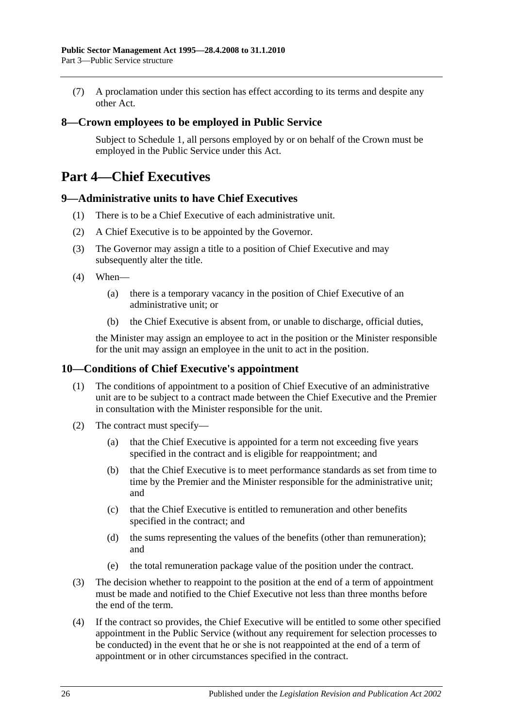(7) A proclamation under this section has effect according to its terms and despite any other Act.

## <span id="page-25-0"></span>**8—Crown employees to be employed in Public Service**

Subject to [Schedule 1,](#page-58-0) all persons employed by or on behalf of the Crown must be employed in the Public Service under this Act.

# <span id="page-25-1"></span>**Part 4—Chief Executives**

#### <span id="page-25-2"></span>**9—Administrative units to have Chief Executives**

- (1) There is to be a Chief Executive of each administrative unit.
- (2) A Chief Executive is to be appointed by the Governor.
- (3) The Governor may assign a title to a position of Chief Executive and may subsequently alter the title.
- (4) When—
	- (a) there is a temporary vacancy in the position of Chief Executive of an administrative unit; or
	- (b) the Chief Executive is absent from, or unable to discharge, official duties,

the Minister may assign an employee to act in the position or the Minister responsible for the unit may assign an employee in the unit to act in the position.

## <span id="page-25-3"></span>**10—Conditions of Chief Executive's appointment**

- (1) The conditions of appointment to a position of Chief Executive of an administrative unit are to be subject to a contract made between the Chief Executive and the Premier in consultation with the Minister responsible for the unit.
- (2) The contract must specify—
	- (a) that the Chief Executive is appointed for a term not exceeding five years specified in the contract and is eligible for reappointment; and
	- (b) that the Chief Executive is to meet performance standards as set from time to time by the Premier and the Minister responsible for the administrative unit; and
	- (c) that the Chief Executive is entitled to remuneration and other benefits specified in the contract; and
	- (d) the sums representing the values of the benefits (other than remuneration); and
	- (e) the total remuneration package value of the position under the contract.
- (3) The decision whether to reappoint to the position at the end of a term of appointment must be made and notified to the Chief Executive not less than three months before the end of the term.
- (4) If the contract so provides, the Chief Executive will be entitled to some other specified appointment in the Public Service (without any requirement for selection processes to be conducted) in the event that he or she is not reappointed at the end of a term of appointment or in other circumstances specified in the contract.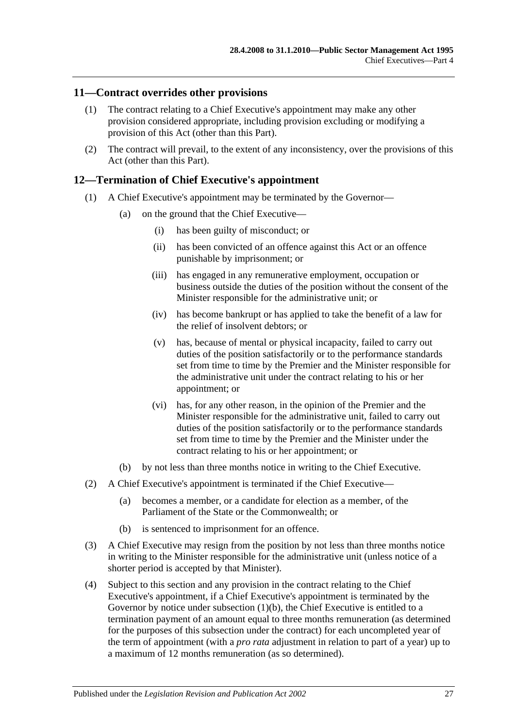## <span id="page-26-0"></span>**11—Contract overrides other provisions**

- (1) The contract relating to a Chief Executive's appointment may make any other provision considered appropriate, including provision excluding or modifying a provision of this Act (other than this Part).
- (2) The contract will prevail, to the extent of any inconsistency, over the provisions of this Act (other than this Part).

## <span id="page-26-1"></span>**12—Termination of Chief Executive's appointment**

- (1) A Chief Executive's appointment may be terminated by the Governor—
	- (a) on the ground that the Chief Executive—
		- (i) has been guilty of misconduct; or
		- (ii) has been convicted of an offence against this Act or an offence punishable by imprisonment; or
		- (iii) has engaged in any remunerative employment, occupation or business outside the duties of the position without the consent of the Minister responsible for the administrative unit; or
		- (iv) has become bankrupt or has applied to take the benefit of a law for the relief of insolvent debtors; or
		- (v) has, because of mental or physical incapacity, failed to carry out duties of the position satisfactorily or to the performance standards set from time to time by the Premier and the Minister responsible for the administrative unit under the contract relating to his or her appointment; or
		- (vi) has, for any other reason, in the opinion of the Premier and the Minister responsible for the administrative unit, failed to carry out duties of the position satisfactorily or to the performance standards set from time to time by the Premier and the Minister under the contract relating to his or her appointment; or
	- (b) by not less than three months notice in writing to the Chief Executive.
- <span id="page-26-2"></span>(2) A Chief Executive's appointment is terminated if the Chief Executive—
	- (a) becomes a member, or a candidate for election as a member, of the Parliament of the State or the Commonwealth; or
	- (b) is sentenced to imprisonment for an offence.
- (3) A Chief Executive may resign from the position by not less than three months notice in writing to the Minister responsible for the administrative unit (unless notice of a shorter period is accepted by that Minister).
- (4) Subject to this section and any provision in the contract relating to the Chief Executive's appointment, if a Chief Executive's appointment is terminated by the Governor by notice under [subsection](#page-26-2) (1)(b), the Chief Executive is entitled to a termination payment of an amount equal to three months remuneration (as determined for the purposes of this subsection under the contract) for each uncompleted year of the term of appointment (with a *pro rata* adjustment in relation to part of a year) up to a maximum of 12 months remuneration (as so determined).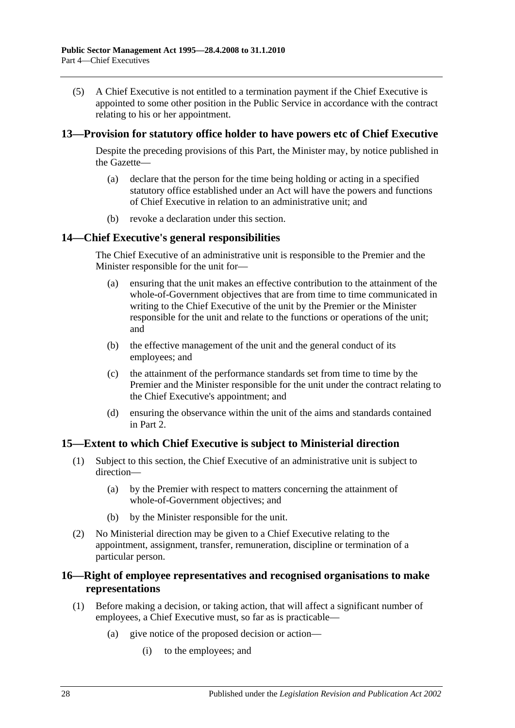(5) A Chief Executive is not entitled to a termination payment if the Chief Executive is appointed to some other position in the Public Service in accordance with the contract relating to his or her appointment.

## <span id="page-27-0"></span>**13—Provision for statutory office holder to have powers etc of Chief Executive**

Despite the preceding provisions of this Part, the Minister may, by notice published in the Gazette—

- (a) declare that the person for the time being holding or acting in a specified statutory office established under an Act will have the powers and functions of Chief Executive in relation to an administrative unit; and
- (b) revoke a declaration under this section.

#### <span id="page-27-1"></span>**14—Chief Executive's general responsibilities**

The Chief Executive of an administrative unit is responsible to the Premier and the Minister responsible for the unit for—

- (a) ensuring that the unit makes an effective contribution to the attainment of the whole-of-Government objectives that are from time to time communicated in writing to the Chief Executive of the unit by the Premier or the Minister responsible for the unit and relate to the functions or operations of the unit; and
- (b) the effective management of the unit and the general conduct of its employees; and
- (c) the attainment of the performance standards set from time to time by the Premier and the Minister responsible for the unit under the contract relating to the Chief Executive's appointment; and
- (d) ensuring the observance within the unit of the aims and standards contained in Part 2.

#### <span id="page-27-2"></span>**15—Extent to which Chief Executive is subject to Ministerial direction**

- (1) Subject to this section, the Chief Executive of an administrative unit is subject to direction—
	- (a) by the Premier with respect to matters concerning the attainment of whole-of-Government objectives; and
	- (b) by the Minister responsible for the unit.
- (2) No Ministerial direction may be given to a Chief Executive relating to the appointment, assignment, transfer, remuneration, discipline or termination of a particular person.

## <span id="page-27-3"></span>**16—Right of employee representatives and recognised organisations to make representations**

- (1) Before making a decision, or taking action, that will affect a significant number of employees, a Chief Executive must, so far as is practicable—
	- (a) give notice of the proposed decision or action—
		- (i) to the employees; and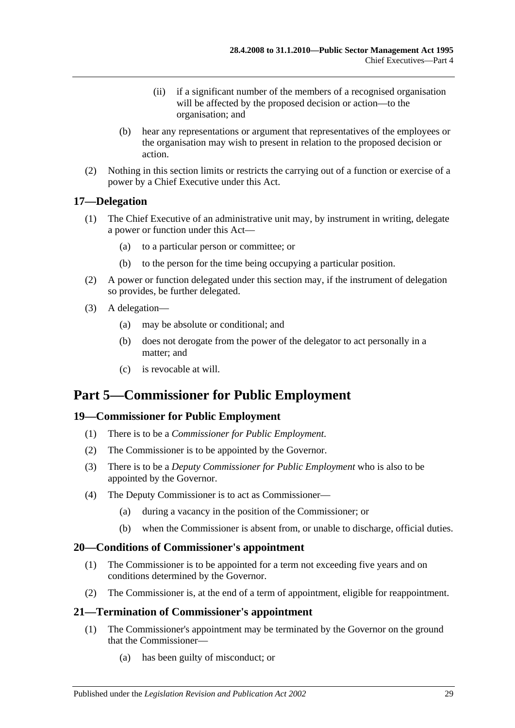- (ii) if a significant number of the members of a recognised organisation will be affected by the proposed decision or action—to the organisation; and
- (b) hear any representations or argument that representatives of the employees or the organisation may wish to present in relation to the proposed decision or action.
- (2) Nothing in this section limits or restricts the carrying out of a function or exercise of a power by a Chief Executive under this Act.

## <span id="page-28-0"></span>**17—Delegation**

- (1) The Chief Executive of an administrative unit may, by instrument in writing, delegate a power or function under this Act—
	- (a) to a particular person or committee; or
	- (b) to the person for the time being occupying a particular position.
- (2) A power or function delegated under this section may, if the instrument of delegation so provides, be further delegated.
- (3) A delegation—
	- (a) may be absolute or conditional; and
	- (b) does not derogate from the power of the delegator to act personally in a matter; and
	- (c) is revocable at will.

# <span id="page-28-1"></span>**Part 5—Commissioner for Public Employment**

## <span id="page-28-2"></span>**19—Commissioner for Public Employment**

- (1) There is to be a *Commissioner for Public Employment*.
- (2) The Commissioner is to be appointed by the Governor.
- (3) There is to be a *Deputy Commissioner for Public Employment* who is also to be appointed by the Governor.
- (4) The Deputy Commissioner is to act as Commissioner—
	- (a) during a vacancy in the position of the Commissioner; or
	- (b) when the Commissioner is absent from, or unable to discharge, official duties.

## <span id="page-28-3"></span>**20—Conditions of Commissioner's appointment**

- (1) The Commissioner is to be appointed for a term not exceeding five years and on conditions determined by the Governor.
- (2) The Commissioner is, at the end of a term of appointment, eligible for reappointment.

## <span id="page-28-4"></span>**21—Termination of Commissioner's appointment**

- (1) The Commissioner's appointment may be terminated by the Governor on the ground that the Commissioner—
	- (a) has been guilty of misconduct; or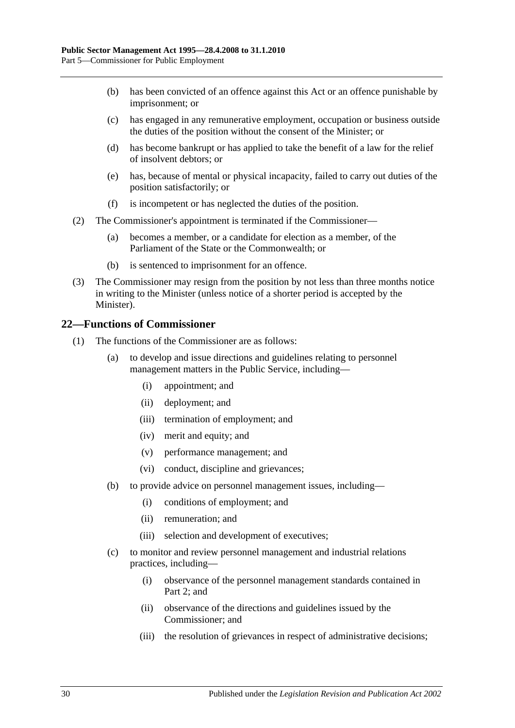- (b) has been convicted of an offence against this Act or an offence punishable by imprisonment; or
- (c) has engaged in any remunerative employment, occupation or business outside the duties of the position without the consent of the Minister; or
- (d) has become bankrupt or has applied to take the benefit of a law for the relief of insolvent debtors; or
- (e) has, because of mental or physical incapacity, failed to carry out duties of the position satisfactorily; or
- (f) is incompetent or has neglected the duties of the position.
- (2) The Commissioner's appointment is terminated if the Commissioner—
	- (a) becomes a member, or a candidate for election as a member, of the Parliament of the State or the Commonwealth; or
	- (b) is sentenced to imprisonment for an offence.
- (3) The Commissioner may resign from the position by not less than three months notice in writing to the Minister (unless notice of a shorter period is accepted by the Minister).

#### <span id="page-29-0"></span>**22—Functions of Commissioner**

- (1) The functions of the Commissioner are as follows:
	- (a) to develop and issue directions and guidelines relating to personnel management matters in the Public Service, including—
		- (i) appointment; and
		- (ii) deployment; and
		- (iii) termination of employment; and
		- (iv) merit and equity; and
		- (v) performance management; and
		- (vi) conduct, discipline and grievances;
	- (b) to provide advice on personnel management issues, including—
		- (i) conditions of employment; and
		- (ii) remuneration; and
		- (iii) selection and development of executives;
	- (c) to monitor and review personnel management and industrial relations practices, including—
		- (i) observance of the personnel management standards contained in [Part](#page-10-0) 2; and
		- (ii) observance of the directions and guidelines issued by the Commissioner; and
		- (iii) the resolution of grievances in respect of administrative decisions;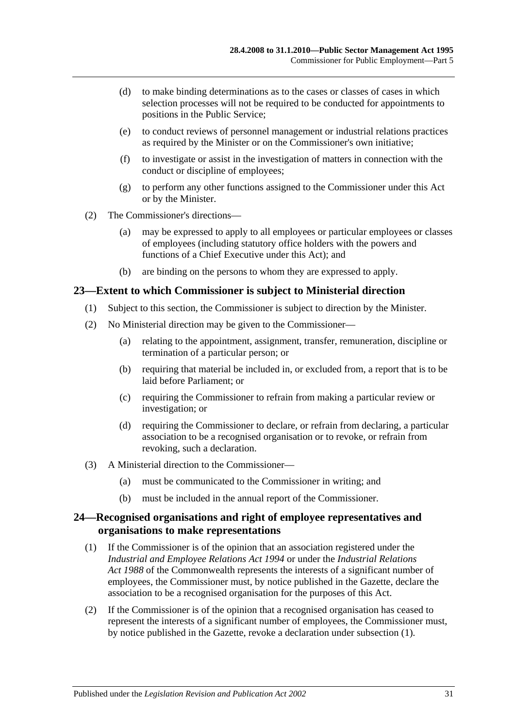- (d) to make binding determinations as to the cases or classes of cases in which selection processes will not be required to be conducted for appointments to positions in the Public Service;
- (e) to conduct reviews of personnel management or industrial relations practices as required by the Minister or on the Commissioner's own initiative;
- (f) to investigate or assist in the investigation of matters in connection with the conduct or discipline of employees;
- (g) to perform any other functions assigned to the Commissioner under this Act or by the Minister.
- (2) The Commissioner's directions—
	- (a) may be expressed to apply to all employees or particular employees or classes of employees (including statutory office holders with the powers and functions of a Chief Executive under this Act); and
	- (b) are binding on the persons to whom they are expressed to apply.

#### <span id="page-30-0"></span>**23—Extent to which Commissioner is subject to Ministerial direction**

- (1) Subject to this section, the Commissioner is subject to direction by the Minister.
- (2) No Ministerial direction may be given to the Commissioner—
	- (a) relating to the appointment, assignment, transfer, remuneration, discipline or termination of a particular person; or
	- (b) requiring that material be included in, or excluded from, a report that is to be laid before Parliament; or
	- (c) requiring the Commissioner to refrain from making a particular review or investigation; or
	- (d) requiring the Commissioner to declare, or refrain from declaring, a particular association to be a recognised organisation or to revoke, or refrain from revoking, such a declaration.
- (3) A Ministerial direction to the Commissioner—
	- (a) must be communicated to the Commissioner in writing; and
	- (b) must be included in the annual report of the Commissioner.

## <span id="page-30-1"></span>**24—Recognised organisations and right of employee representatives and organisations to make representations**

- <span id="page-30-2"></span>(1) If the Commissioner is of the opinion that an association registered under the *[Industrial and Employee Relations Act](http://www.legislation.sa.gov.au/index.aspx?action=legref&type=act&legtitle=Industrial%20and%20Employee%20Relations%20Act%201994) 1994* or under the *Industrial Relations Act 1988* of the Commonwealth represents the interests of a significant number of employees, the Commissioner must, by notice published in the Gazette, declare the association to be a recognised organisation for the purposes of this Act.
- (2) If the Commissioner is of the opinion that a recognised organisation has ceased to represent the interests of a significant number of employees, the Commissioner must, by notice published in the Gazette, revoke a declaration under [subsection](#page-30-2) (1).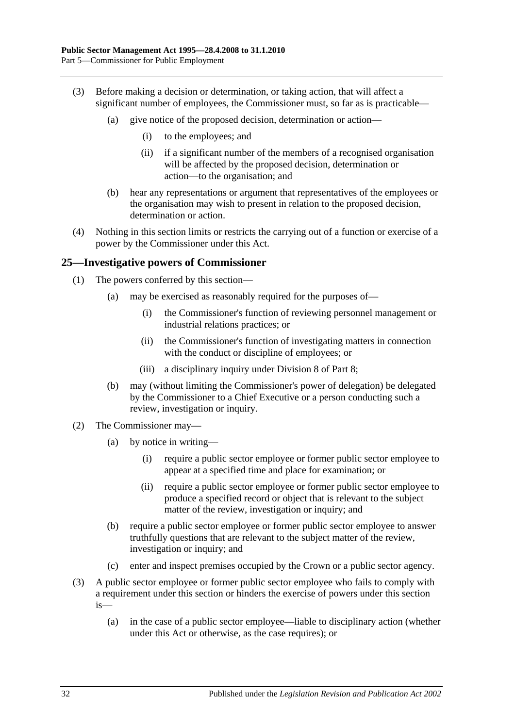- (3) Before making a decision or determination, or taking action, that will affect a significant number of employees, the Commissioner must, so far as is practicable—
	- (a) give notice of the proposed decision, determination or action—
		- (i) to the employees; and
		- (ii) if a significant number of the members of a recognised organisation will be affected by the proposed decision, determination or action—to the organisation; and
	- (b) hear any representations or argument that representatives of the employees or the organisation may wish to present in relation to the proposed decision, determination or action.
- (4) Nothing in this section limits or restricts the carrying out of a function or exercise of a power by the Commissioner under this Act.

#### <span id="page-31-0"></span>**25—Investigative powers of Commissioner**

- (1) The powers conferred by this section—
	- (a) may be exercised as reasonably required for the purposes of—
		- (i) the Commissioner's function of reviewing personnel management or industrial relations practices; or
		- (ii) the Commissioner's function of investigating matters in connection with the conduct or discipline of employees; or
		- (iii) a disciplinary inquiry under [Division 8](#page-47-4) of [Part 8;](#page-42-0)
	- (b) may (without limiting the Commissioner's power of delegation) be delegated by the Commissioner to a Chief Executive or a person conducting such a review, investigation or inquiry.
- (2) The Commissioner may—
	- (a) by notice in writing—
		- (i) require a public sector employee or former public sector employee to appear at a specified time and place for examination; or
		- (ii) require a public sector employee or former public sector employee to produce a specified record or object that is relevant to the subject matter of the review, investigation or inquiry; and
	- (b) require a public sector employee or former public sector employee to answer truthfully questions that are relevant to the subject matter of the review, investigation or inquiry; and
	- (c) enter and inspect premises occupied by the Crown or a public sector agency.
- (3) A public sector employee or former public sector employee who fails to comply with a requirement under this section or hinders the exercise of powers under this section is—
	- (a) in the case of a public sector employee—liable to disciplinary action (whether under this Act or otherwise, as the case requires); or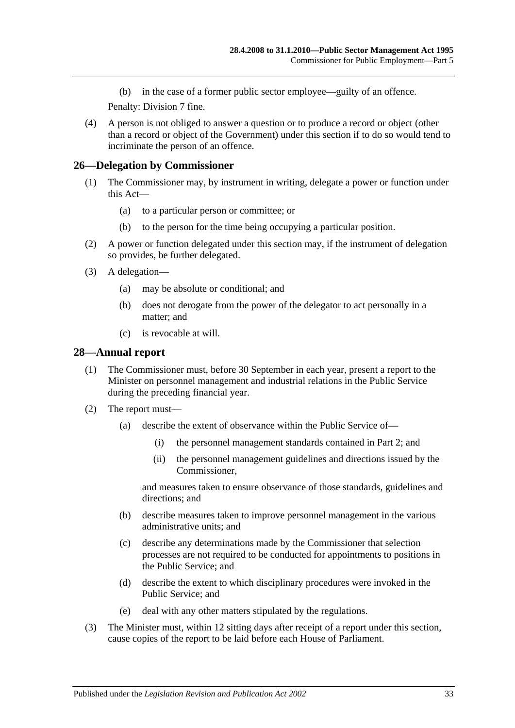(b) in the case of a former public sector employee—guilty of an offence.

Penalty: Division 7 fine.

(4) A person is not obliged to answer a question or to produce a record or object (other than a record or object of the Government) under this section if to do so would tend to incriminate the person of an offence.

## <span id="page-32-0"></span>**26—Delegation by Commissioner**

- (1) The Commissioner may, by instrument in writing, delegate a power or function under this Act—
	- (a) to a particular person or committee; or
	- (b) to the person for the time being occupying a particular position.
- (2) A power or function delegated under this section may, if the instrument of delegation so provides, be further delegated.
- (3) A delegation—
	- (a) may be absolute or conditional; and
	- (b) does not derogate from the power of the delegator to act personally in a matter; and
	- (c) is revocable at will.

#### <span id="page-32-1"></span>**28—Annual report**

- (1) The Commissioner must, before 30 September in each year, present a report to the Minister on personnel management and industrial relations in the Public Service during the preceding financial year.
- (2) The report must—
	- (a) describe the extent of observance within the Public Service of—
		- (i) the personnel management standards contained in [Part 2;](#page-10-0) and
		- (ii) the personnel management guidelines and directions issued by the Commissioner,

and measures taken to ensure observance of those standards, guidelines and directions; and

- (b) describe measures taken to improve personnel management in the various administrative units; and
- (c) describe any determinations made by the Commissioner that selection processes are not required to be conducted for appointments to positions in the Public Service; and
- (d) describe the extent to which disciplinary procedures were invoked in the Public Service; and
- (e) deal with any other matters stipulated by the regulations.
- (3) The Minister must, within 12 sitting days after receipt of a report under this section, cause copies of the report to be laid before each House of Parliament.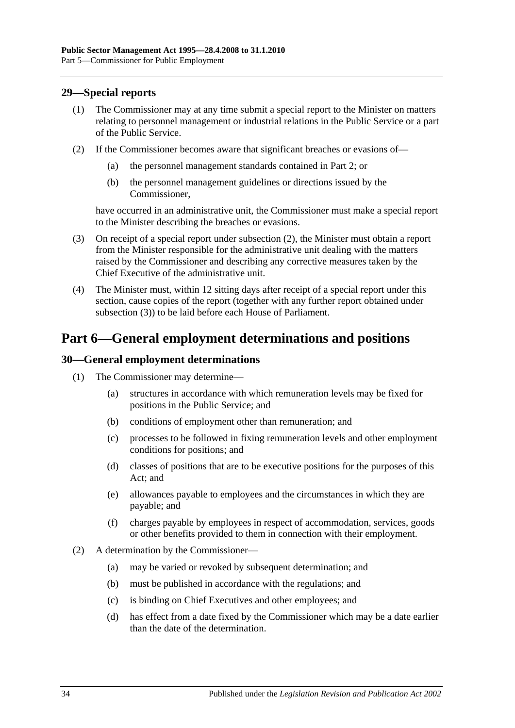## <span id="page-33-0"></span>**29—Special reports**

- (1) The Commissioner may at any time submit a special report to the Minister on matters relating to personnel management or industrial relations in the Public Service or a part of the Public Service.
- <span id="page-33-3"></span>(2) If the Commissioner becomes aware that significant breaches or evasions of—
	- (a) the personnel management standards contained in [Part 2;](#page-10-0) or
	- (b) the personnel management guidelines or directions issued by the Commissioner,

have occurred in an administrative unit, the Commissioner must make a special report to the Minister describing the breaches or evasions.

- <span id="page-33-4"></span>(3) On receipt of a special report under [subsection](#page-33-3) (2), the Minister must obtain a report from the Minister responsible for the administrative unit dealing with the matters raised by the Commissioner and describing any corrective measures taken by the Chief Executive of the administrative unit.
- (4) The Minister must, within 12 sitting days after receipt of a special report under this section, cause copies of the report (together with any further report obtained under [subsection](#page-33-4) (3)) to be laid before each House of Parliament.

# <span id="page-33-1"></span>**Part 6—General employment determinations and positions**

#### <span id="page-33-2"></span>**30—General employment determinations**

- (1) The Commissioner may determine—
	- (a) structures in accordance with which remuneration levels may be fixed for positions in the Public Service; and
	- (b) conditions of employment other than remuneration; and
	- (c) processes to be followed in fixing remuneration levels and other employment conditions for positions; and
	- (d) classes of positions that are to be executive positions for the purposes of this Act; and
	- (e) allowances payable to employees and the circumstances in which they are payable; and
	- (f) charges payable by employees in respect of accommodation, services, goods or other benefits provided to them in connection with their employment.
- (2) A determination by the Commissioner—
	- (a) may be varied or revoked by subsequent determination; and
	- (b) must be published in accordance with the regulations; and
	- (c) is binding on Chief Executives and other employees; and
	- (d) has effect from a date fixed by the Commissioner which may be a date earlier than the date of the determination.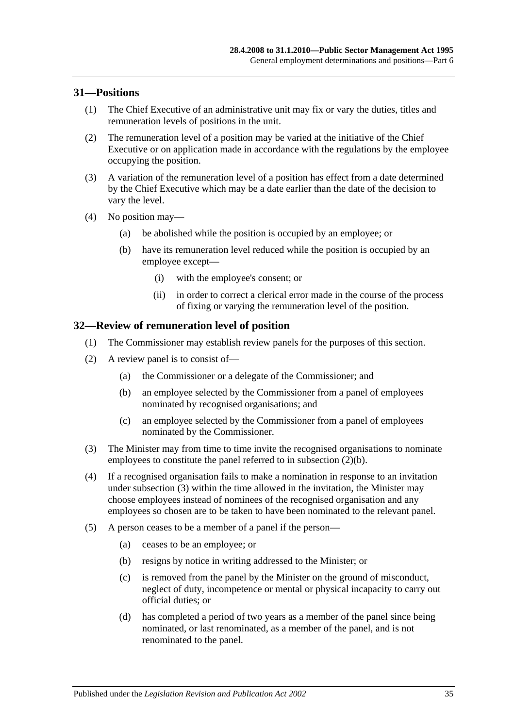#### <span id="page-34-0"></span>**31—Positions**

- (1) The Chief Executive of an administrative unit may fix or vary the duties, titles and remuneration levels of positions in the unit.
- (2) The remuneration level of a position may be varied at the initiative of the Chief Executive or on application made in accordance with the regulations by the employee occupying the position.
- (3) A variation of the remuneration level of a position has effect from a date determined by the Chief Executive which may be a date earlier than the date of the decision to vary the level.
- (4) No position may—
	- (a) be abolished while the position is occupied by an employee; or
	- (b) have its remuneration level reduced while the position is occupied by an employee except—
		- (i) with the employee's consent; or
		- (ii) in order to correct a clerical error made in the course of the process of fixing or varying the remuneration level of the position.

#### <span id="page-34-1"></span>**32—Review of remuneration level of position**

- (1) The Commissioner may establish review panels for the purposes of this section.
- <span id="page-34-2"></span>(2) A review panel is to consist of—
	- (a) the Commissioner or a delegate of the Commissioner; and
	- (b) an employee selected by the Commissioner from a panel of employees nominated by recognised organisations; and
	- (c) an employee selected by the Commissioner from a panel of employees nominated by the Commissioner.
- <span id="page-34-3"></span>(3) The Minister may from time to time invite the recognised organisations to nominate employees to constitute the panel referred to in [subsection](#page-34-2) (2)(b).
- (4) If a recognised organisation fails to make a nomination in response to an invitation under [subsection](#page-34-3) (3) within the time allowed in the invitation, the Minister may choose employees instead of nominees of the recognised organisation and any employees so chosen are to be taken to have been nominated to the relevant panel.
- (5) A person ceases to be a member of a panel if the person—
	- (a) ceases to be an employee; or
	- (b) resigns by notice in writing addressed to the Minister; or
	- (c) is removed from the panel by the Minister on the ground of misconduct, neglect of duty, incompetence or mental or physical incapacity to carry out official duties; or
	- (d) has completed a period of two years as a member of the panel since being nominated, or last renominated, as a member of the panel, and is not renominated to the panel.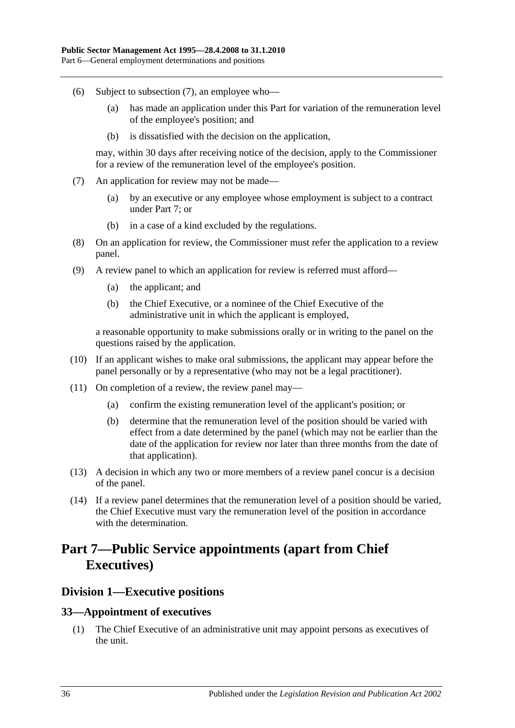- (6) Subject to [subsection](#page-35-3) (7), an employee who—
	- (a) has made an application under this Part for variation of the remuneration level of the employee's position; and
	- (b) is dissatisfied with the decision on the application,

may, within 30 days after receiving notice of the decision, apply to the Commissioner for a review of the remuneration level of the employee's position.

- <span id="page-35-3"></span>(7) An application for review may not be made—
	- (a) by an executive or any employee whose employment is subject to a contract under [Part 7;](#page-35-0) or
	- (b) in a case of a kind excluded by the regulations.
- (8) On an application for review, the Commissioner must refer the application to a review panel.
- (9) A review panel to which an application for review is referred must afford—
	- (a) the applicant; and
	- (b) the Chief Executive, or a nominee of the Chief Executive of the administrative unit in which the applicant is employed,

a reasonable opportunity to make submissions orally or in writing to the panel on the questions raised by the application.

- (10) If an applicant wishes to make oral submissions, the applicant may appear before the panel personally or by a representative (who may not be a legal practitioner).
- (11) On completion of a review, the review panel may—
	- (a) confirm the existing remuneration level of the applicant's position; or
	- (b) determine that the remuneration level of the position should be varied with effect from a date determined by the panel (which may not be earlier than the date of the application for review nor later than three months from the date of that application).
- (13) A decision in which any two or more members of a review panel concur is a decision of the panel.
- (14) If a review panel determines that the remuneration level of a position should be varied, the Chief Executive must vary the remuneration level of the position in accordance with the determination.

# <span id="page-35-0"></span>**Part 7—Public Service appointments (apart from Chief Executives)**

## <span id="page-35-1"></span>**Division 1—Executive positions**

#### <span id="page-35-2"></span>**33—Appointment of executives**

(1) The Chief Executive of an administrative unit may appoint persons as executives of the unit.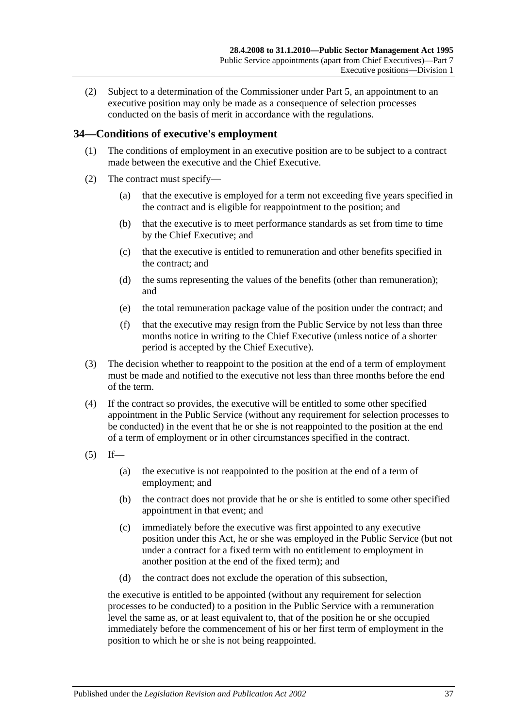(2) Subject to a determination of the Commissioner under [Part 5,](#page-28-0) an appointment to an executive position may only be made as a consequence of selection processes conducted on the basis of merit in accordance with the regulations.

#### **34—Conditions of executive's employment**

- (1) The conditions of employment in an executive position are to be subject to a contract made between the executive and the Chief Executive.
- (2) The contract must specify—
	- (a) that the executive is employed for a term not exceeding five years specified in the contract and is eligible for reappointment to the position; and
	- (b) that the executive is to meet performance standards as set from time to time by the Chief Executive; and
	- (c) that the executive is entitled to remuneration and other benefits specified in the contract; and
	- (d) the sums representing the values of the benefits (other than remuneration); and
	- (e) the total remuneration package value of the position under the contract; and
	- (f) that the executive may resign from the Public Service by not less than three months notice in writing to the Chief Executive (unless notice of a shorter period is accepted by the Chief Executive).
- (3) The decision whether to reappoint to the position at the end of a term of employment must be made and notified to the executive not less than three months before the end of the term.
- (4) If the contract so provides, the executive will be entitled to some other specified appointment in the Public Service (without any requirement for selection processes to be conducted) in the event that he or she is not reappointed to the position at the end of a term of employment or in other circumstances specified in the contract.
- <span id="page-36-0"></span> $(5)$  If—
	- (a) the executive is not reappointed to the position at the end of a term of employment; and
	- (b) the contract does not provide that he or she is entitled to some other specified appointment in that event; and
	- (c) immediately before the executive was first appointed to any executive position under this Act, he or she was employed in the Public Service (but not under a contract for a fixed term with no entitlement to employment in another position at the end of the fixed term); and
	- (d) the contract does not exclude the operation of this subsection,

the executive is entitled to be appointed (without any requirement for selection processes to be conducted) to a position in the Public Service with a remuneration level the same as, or at least equivalent to, that of the position he or she occupied immediately before the commencement of his or her first term of employment in the position to which he or she is not being reappointed.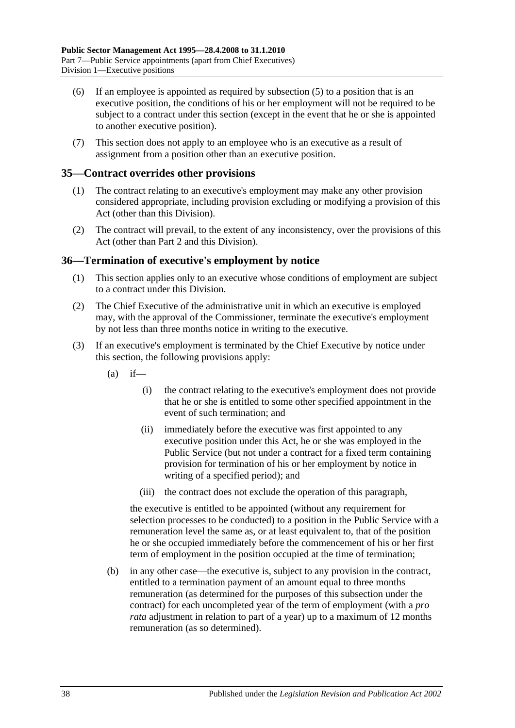- (6) If an employee is appointed as required by [subsection](#page-36-0) (5) to a position that is an executive position, the conditions of his or her employment will not be required to be subject to a contract under this section (except in the event that he or she is appointed to another executive position).
- (7) This section does not apply to an employee who is an executive as a result of assignment from a position other than an executive position.

#### **35—Contract overrides other provisions**

- (1) The contract relating to an executive's employment may make any other provision considered appropriate, including provision excluding or modifying a provision of this Act (other than this Division).
- (2) The contract will prevail, to the extent of any inconsistency, over the provisions of this Act (other than [Part 2](#page-10-0) and this Division).

#### **36—Termination of executive's employment by notice**

- (1) This section applies only to an executive whose conditions of employment are subject to a contract under this Division.
- (2) The Chief Executive of the administrative unit in which an executive is employed may, with the approval of the Commissioner, terminate the executive's employment by not less than three months notice in writing to the executive.
- <span id="page-37-0"></span>(3) If an executive's employment is terminated by the Chief Executive by notice under this section, the following provisions apply:
	- $(a)$  if—
		- (i) the contract relating to the executive's employment does not provide that he or she is entitled to some other specified appointment in the event of such termination; and
		- (ii) immediately before the executive was first appointed to any executive position under this Act, he or she was employed in the Public Service (but not under a contract for a fixed term containing provision for termination of his or her employment by notice in writing of a specified period); and
		- (iii) the contract does not exclude the operation of this paragraph,

the executive is entitled to be appointed (without any requirement for selection processes to be conducted) to a position in the Public Service with a remuneration level the same as, or at least equivalent to, that of the position he or she occupied immediately before the commencement of his or her first term of employment in the position occupied at the time of termination;

(b) in any other case—the executive is, subject to any provision in the contract, entitled to a termination payment of an amount equal to three months remuneration (as determined for the purposes of this subsection under the contract) for each uncompleted year of the term of employment (with a *pro rata* adjustment in relation to part of a year) up to a maximum of 12 months remuneration (as so determined).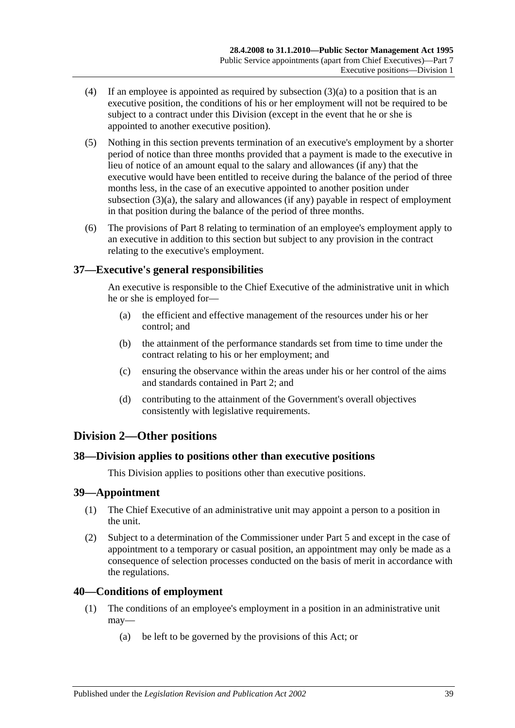- (4) If an employee is appointed as required by [subsection](#page-37-0) (3)(a) to a position that is an executive position, the conditions of his or her employment will not be required to be subject to a contract under this Division (except in the event that he or she is appointed to another executive position).
- (5) Nothing in this section prevents termination of an executive's employment by a shorter period of notice than three months provided that a payment is made to the executive in lieu of notice of an amount equal to the salary and allowances (if any) that the executive would have been entitled to receive during the balance of the period of three months less, in the case of an executive appointed to another position under [subsection](#page-37-0) (3)(a), the salary and allowances (if any) payable in respect of employment in that position during the balance of the period of three months.
- (6) The provisions of [Part 8](#page-42-0) relating to termination of an employee's employment apply to an executive in addition to this section but subject to any provision in the contract relating to the executive's employment.

## **37—Executive's general responsibilities**

An executive is responsible to the Chief Executive of the administrative unit in which he or she is employed for—

- (a) the efficient and effective management of the resources under his or her control; and
- (b) the attainment of the performance standards set from time to time under the contract relating to his or her employment; and
- (c) ensuring the observance within the areas under his or her control of the aims and standards contained in [Part 2;](#page-10-0) and
- (d) contributing to the attainment of the Government's overall objectives consistently with legislative requirements.

## **Division 2—Other positions**

#### **38—Division applies to positions other than executive positions**

This Division applies to positions other than executive positions.

#### **39—Appointment**

- (1) The Chief Executive of an administrative unit may appoint a person to a position in the unit.
- (2) Subject to a determination of the Commissioner under [Part 5](#page-28-0) and except in the case of appointment to a temporary or casual position, an appointment may only be made as a consequence of selection processes conducted on the basis of merit in accordance with the regulations.

#### **40—Conditions of employment**

- (1) The conditions of an employee's employment in a position in an administrative unit may—
	- (a) be left to be governed by the provisions of this Act; or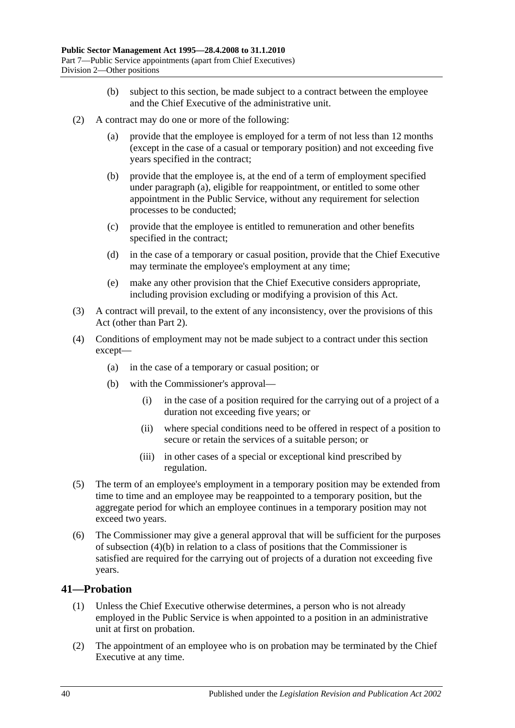- (b) subject to this section, be made subject to a contract between the employee and the Chief Executive of the administrative unit.
- <span id="page-39-0"></span>(2) A contract may do one or more of the following:
	- (a) provide that the employee is employed for a term of not less than 12 months (except in the case of a casual or temporary position) and not exceeding five years specified in the contract;
	- (b) provide that the employee is, at the end of a term of employment specified under [paragraph](#page-39-0) (a), eligible for reappointment, or entitled to some other appointment in the Public Service, without any requirement for selection processes to be conducted;
	- (c) provide that the employee is entitled to remuneration and other benefits specified in the contract;
	- (d) in the case of a temporary or casual position, provide that the Chief Executive may terminate the employee's employment at any time;
	- (e) make any other provision that the Chief Executive considers appropriate, including provision excluding or modifying a provision of this Act.
- (3) A contract will prevail, to the extent of any inconsistency, over the provisions of this Act (other than [Part 2\)](#page-10-0).
- <span id="page-39-1"></span>(4) Conditions of employment may not be made subject to a contract under this section except—
	- (a) in the case of a temporary or casual position; or
	- (b) with the Commissioner's approval—
		- (i) in the case of a position required for the carrying out of a project of a duration not exceeding five years; or
		- (ii) where special conditions need to be offered in respect of a position to secure or retain the services of a suitable person; or
		- (iii) in other cases of a special or exceptional kind prescribed by regulation.
- (5) The term of an employee's employment in a temporary position may be extended from time to time and an employee may be reappointed to a temporary position, but the aggregate period for which an employee continues in a temporary position may not exceed two years.
- (6) The Commissioner may give a general approval that will be sufficient for the purposes of [subsection](#page-39-1) (4)(b) in relation to a class of positions that the Commissioner is satisfied are required for the carrying out of projects of a duration not exceeding five years.

#### **41—Probation**

- (1) Unless the Chief Executive otherwise determines, a person who is not already employed in the Public Service is when appointed to a position in an administrative unit at first on probation.
- (2) The appointment of an employee who is on probation may be terminated by the Chief Executive at any time.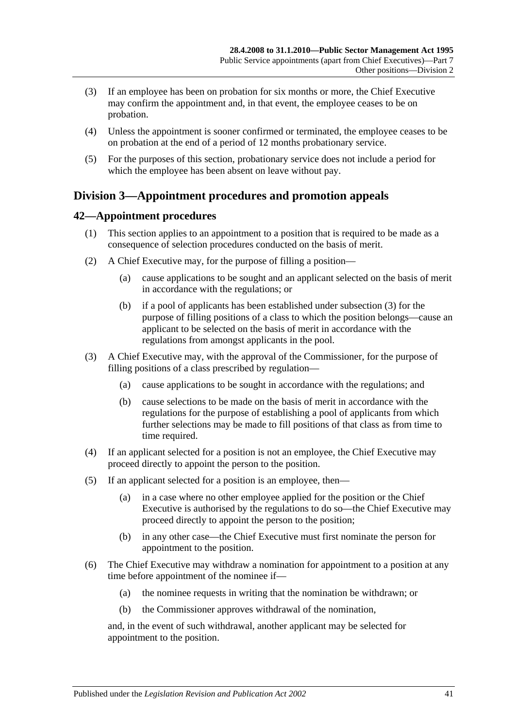- (3) If an employee has been on probation for six months or more, the Chief Executive may confirm the appointment and, in that event, the employee ceases to be on probation.
- (4) Unless the appointment is sooner confirmed or terminated, the employee ceases to be on probation at the end of a period of 12 months probationary service.
- (5) For the purposes of this section, probationary service does not include a period for which the employee has been absent on leave without pay.

## **Division 3—Appointment procedures and promotion appeals**

## **42—Appointment procedures**

- (1) This section applies to an appointment to a position that is required to be made as a consequence of selection procedures conducted on the basis of merit.
- (2) A Chief Executive may, for the purpose of filling a position—
	- (a) cause applications to be sought and an applicant selected on the basis of merit in accordance with the regulations; or
	- (b) if a pool of applicants has been established under [subsection](#page-40-0) (3) for the purpose of filling positions of a class to which the position belongs—cause an applicant to be selected on the basis of merit in accordance with the regulations from amongst applicants in the pool.
- <span id="page-40-0"></span>(3) A Chief Executive may, with the approval of the Commissioner, for the purpose of filling positions of a class prescribed by regulation—
	- (a) cause applications to be sought in accordance with the regulations; and
	- (b) cause selections to be made on the basis of merit in accordance with the regulations for the purpose of establishing a pool of applicants from which further selections may be made to fill positions of that class as from time to time required.
- (4) If an applicant selected for a position is not an employee, the Chief Executive may proceed directly to appoint the person to the position.
- (5) If an applicant selected for a position is an employee, then—
	- (a) in a case where no other employee applied for the position or the Chief Executive is authorised by the regulations to do so—the Chief Executive may proceed directly to appoint the person to the position;
	- (b) in any other case—the Chief Executive must first nominate the person for appointment to the position.
- (6) The Chief Executive may withdraw a nomination for appointment to a position at any time before appointment of the nominee if—
	- (a) the nominee requests in writing that the nomination be withdrawn; or
	- (b) the Commissioner approves withdrawal of the nomination,

and, in the event of such withdrawal, another applicant may be selected for appointment to the position.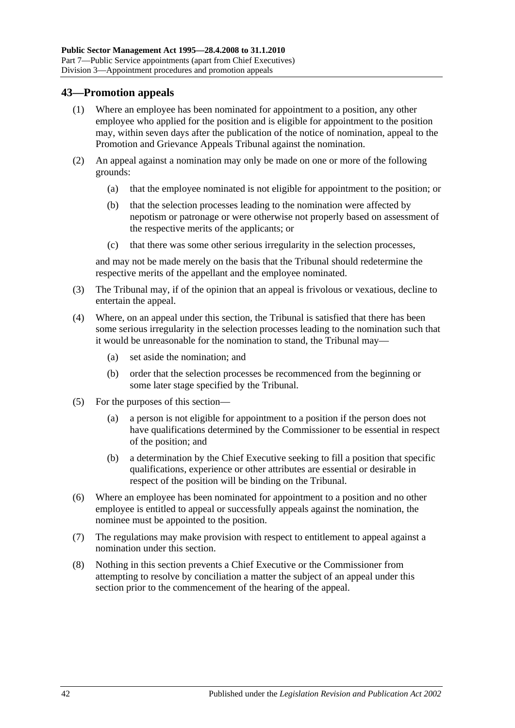## **43—Promotion appeals**

- (1) Where an employee has been nominated for appointment to a position, any other employee who applied for the position and is eligible for appointment to the position may, within seven days after the publication of the notice of nomination, appeal to the Promotion and Grievance Appeals Tribunal against the nomination.
- (2) An appeal against a nomination may only be made on one or more of the following grounds:
	- (a) that the employee nominated is not eligible for appointment to the position; or
	- (b) that the selection processes leading to the nomination were affected by nepotism or patronage or were otherwise not properly based on assessment of the respective merits of the applicants; or
	- (c) that there was some other serious irregularity in the selection processes,

and may not be made merely on the basis that the Tribunal should redetermine the respective merits of the appellant and the employee nominated.

- (3) The Tribunal may, if of the opinion that an appeal is frivolous or vexatious, decline to entertain the appeal.
- (4) Where, on an appeal under this section, the Tribunal is satisfied that there has been some serious irregularity in the selection processes leading to the nomination such that it would be unreasonable for the nomination to stand, the Tribunal may—
	- (a) set aside the nomination; and
	- (b) order that the selection processes be recommenced from the beginning or some later stage specified by the Tribunal.
- (5) For the purposes of this section—
	- (a) a person is not eligible for appointment to a position if the person does not have qualifications determined by the Commissioner to be essential in respect of the position; and
	- (b) a determination by the Chief Executive seeking to fill a position that specific qualifications, experience or other attributes are essential or desirable in respect of the position will be binding on the Tribunal.
- (6) Where an employee has been nominated for appointment to a position and no other employee is entitled to appeal or successfully appeals against the nomination, the nominee must be appointed to the position.
- (7) The regulations may make provision with respect to entitlement to appeal against a nomination under this section.
- (8) Nothing in this section prevents a Chief Executive or the Commissioner from attempting to resolve by conciliation a matter the subject of an appeal under this section prior to the commencement of the hearing of the appeal.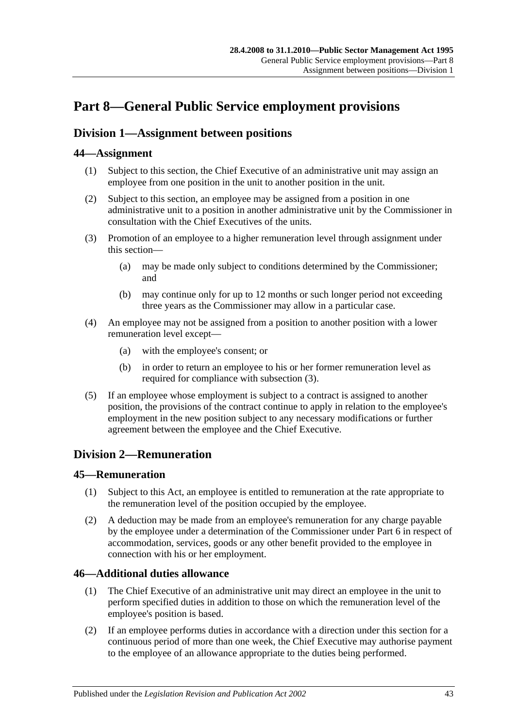# <span id="page-42-0"></span>**Part 8—General Public Service employment provisions**

## <span id="page-42-2"></span>**Division 1—Assignment between positions**

## **44—Assignment**

- (1) Subject to this section, the Chief Executive of an administrative unit may assign an employee from one position in the unit to another position in the unit.
- (2) Subject to this section, an employee may be assigned from a position in one administrative unit to a position in another administrative unit by the Commissioner in consultation with the Chief Executives of the units.
- <span id="page-42-1"></span>(3) Promotion of an employee to a higher remuneration level through assignment under this section—
	- (a) may be made only subject to conditions determined by the Commissioner; and
	- (b) may continue only for up to 12 months or such longer period not exceeding three years as the Commissioner may allow in a particular case.
- (4) An employee may not be assigned from a position to another position with a lower remuneration level except—
	- (a) with the employee's consent; or
	- (b) in order to return an employee to his or her former remuneration level as required for compliance with [subsection](#page-42-1) (3).
- (5) If an employee whose employment is subject to a contract is assigned to another position, the provisions of the contract continue to apply in relation to the employee's employment in the new position subject to any necessary modifications or further agreement between the employee and the Chief Executive.

## **Division 2—Remuneration**

#### **45—Remuneration**

- (1) Subject to this Act, an employee is entitled to remuneration at the rate appropriate to the remuneration level of the position occupied by the employee.
- (2) A deduction may be made from an employee's remuneration for any charge payable by the employee under a determination of the Commissioner under [Part 6](#page-33-0) in respect of accommodation, services, goods or any other benefit provided to the employee in connection with his or her employment.

## **46—Additional duties allowance**

- (1) The Chief Executive of an administrative unit may direct an employee in the unit to perform specified duties in addition to those on which the remuneration level of the employee's position is based.
- (2) If an employee performs duties in accordance with a direction under this section for a continuous period of more than one week, the Chief Executive may authorise payment to the employee of an allowance appropriate to the duties being performed.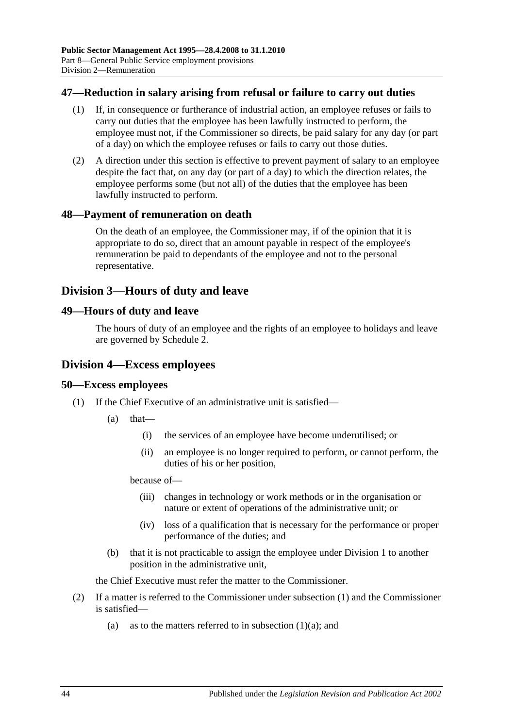#### **47—Reduction in salary arising from refusal or failure to carry out duties**

- (1) If, in consequence or furtherance of industrial action, an employee refuses or fails to carry out duties that the employee has been lawfully instructed to perform, the employee must not, if the Commissioner so directs, be paid salary for any day (or part of a day) on which the employee refuses or fails to carry out those duties.
- (2) A direction under this section is effective to prevent payment of salary to an employee despite the fact that, on any day (or part of a day) to which the direction relates, the employee performs some (but not all) of the duties that the employee has been lawfully instructed to perform.

#### **48—Payment of remuneration on death**

On the death of an employee, the Commissioner may, if of the opinion that it is appropriate to do so, direct that an amount payable in respect of the employee's remuneration be paid to dependants of the employee and not to the personal representative.

## **Division 3—Hours of duty and leave**

#### **49—Hours of duty and leave**

The hours of duty of an employee and the rights of an employee to holidays and leave are governed by [Schedule 2.](#page-59-0)

#### **Division 4—Excess employees**

#### <span id="page-43-0"></span>**50—Excess employees**

- <span id="page-43-1"></span>(1) If the Chief Executive of an administrative unit is satisfied—
	- (a) that—
		- (i) the services of an employee have become underutilised; or
		- (ii) an employee is no longer required to perform, or cannot perform, the duties of his or her position,

because of—

- (iii) changes in technology or work methods or in the organisation or nature or extent of operations of the administrative unit; or
- (iv) loss of a qualification that is necessary for the performance or proper performance of the duties; and
- (b) that it is not practicable to assign the employee under [Division 1](#page-42-2) to another position in the administrative unit,

the Chief Executive must refer the matter to the Commissioner.

- (2) If a matter is referred to the Commissioner under [subsection](#page-43-0) (1) and the Commissioner is satisfied
	- (a) as to the matters referred to in [subsection](#page-43-1)  $(1)(a)$ ; and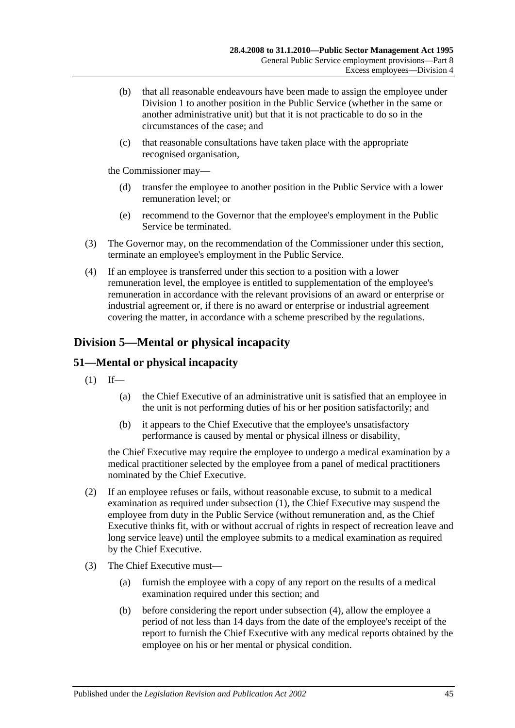- (b) that all reasonable endeavours have been made to assign the employee under [Division 1](#page-42-2) to another position in the Public Service (whether in the same or another administrative unit) but that it is not practicable to do so in the circumstances of the case; and
- (c) that reasonable consultations have taken place with the appropriate recognised organisation,

the Commissioner may—

- (d) transfer the employee to another position in the Public Service with a lower remuneration level; or
- (e) recommend to the Governor that the employee's employment in the Public Service be terminated.
- (3) The Governor may, on the recommendation of the Commissioner under this section, terminate an employee's employment in the Public Service.
- (4) If an employee is transferred under this section to a position with a lower remuneration level, the employee is entitled to supplementation of the employee's remuneration in accordance with the relevant provisions of an award or enterprise or industrial agreement or, if there is no award or enterprise or industrial agreement covering the matter, in accordance with a scheme prescribed by the regulations.

## **Division 5—Mental or physical incapacity**

## <span id="page-44-0"></span>**51—Mental or physical incapacity**

- $(1)$  If—
	- (a) the Chief Executive of an administrative unit is satisfied that an employee in the unit is not performing duties of his or her position satisfactorily; and
	- (b) it appears to the Chief Executive that the employee's unsatisfactory performance is caused by mental or physical illness or disability,

the Chief Executive may require the employee to undergo a medical examination by a medical practitioner selected by the employee from a panel of medical practitioners nominated by the Chief Executive.

- (2) If an employee refuses or fails, without reasonable excuse, to submit to a medical examination as required under [subsection](#page-44-0) (1), the Chief Executive may suspend the employee from duty in the Public Service (without remuneration and, as the Chief Executive thinks fit, with or without accrual of rights in respect of recreation leave and long service leave) until the employee submits to a medical examination as required by the Chief Executive.
- <span id="page-44-1"></span>(3) The Chief Executive must—
	- (a) furnish the employee with a copy of any report on the results of a medical examination required under this section; and
	- (b) before considering the report under [subsection](#page-45-0) (4), allow the employee a period of not less than 14 days from the date of the employee's receipt of the report to furnish the Chief Executive with any medical reports obtained by the employee on his or her mental or physical condition.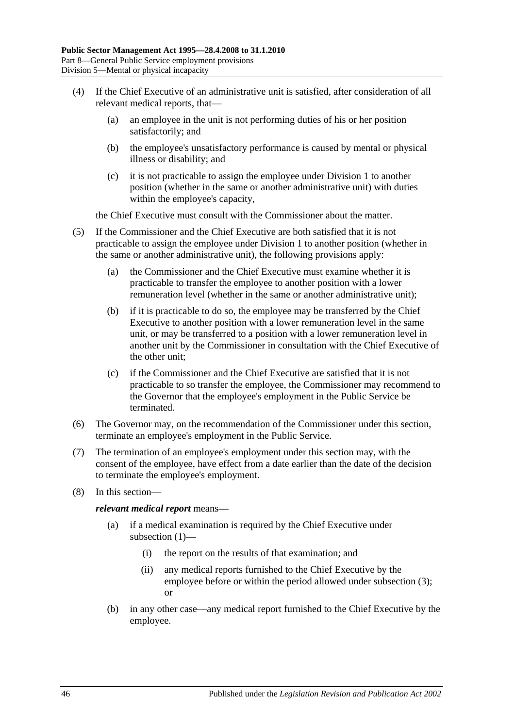- <span id="page-45-0"></span>(4) If the Chief Executive of an administrative unit is satisfied, after consideration of all relevant medical reports, that—
	- (a) an employee in the unit is not performing duties of his or her position satisfactorily; and
	- (b) the employee's unsatisfactory performance is caused by mental or physical illness or disability; and
	- (c) it is not practicable to assign the employee under [Division 1](#page-42-2) to another position (whether in the same or another administrative unit) with duties within the employee's capacity,

the Chief Executive must consult with the Commissioner about the matter.

- (5) If the Commissioner and the Chief Executive are both satisfied that it is not practicable to assign the employee under [Division 1](#page-42-2) to another position (whether in the same or another administrative unit), the following provisions apply:
	- (a) the Commissioner and the Chief Executive must examine whether it is practicable to transfer the employee to another position with a lower remuneration level (whether in the same or another administrative unit);
	- (b) if it is practicable to do so, the employee may be transferred by the Chief Executive to another position with a lower remuneration level in the same unit, or may be transferred to a position with a lower remuneration level in another unit by the Commissioner in consultation with the Chief Executive of the other unit;
	- (c) if the Commissioner and the Chief Executive are satisfied that it is not practicable to so transfer the employee, the Commissioner may recommend to the Governor that the employee's employment in the Public Service be terminated.
- (6) The Governor may, on the recommendation of the Commissioner under this section, terminate an employee's employment in the Public Service.
- (7) The termination of an employee's employment under this section may, with the consent of the employee, have effect from a date earlier than the date of the decision to terminate the employee's employment.
- (8) In this section—

*relevant medical report* means—

- (a) if a medical examination is required by the Chief Executive under [subsection](#page-44-0) (1)—
	- (i) the report on the results of that examination; and
	- (ii) any medical reports furnished to the Chief Executive by the employee before or within the period allowed under [subsection](#page-44-1) (3); or
- (b) in any other case—any medical report furnished to the Chief Executive by the employee.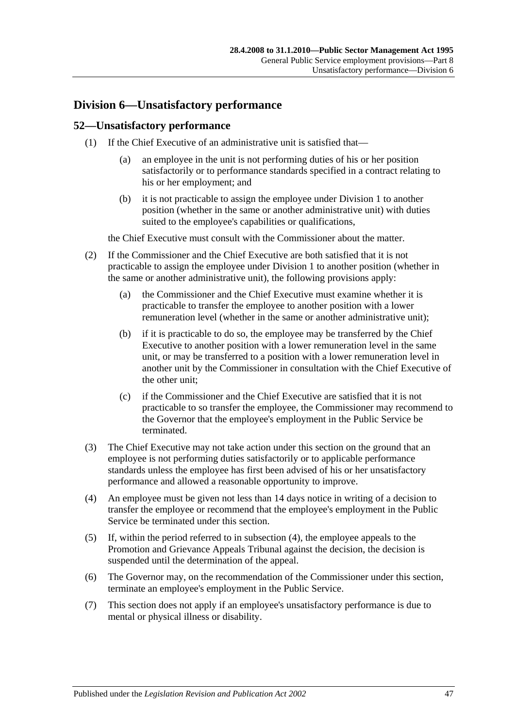## **Division 6—Unsatisfactory performance**

#### **52—Unsatisfactory performance**

- (1) If the Chief Executive of an administrative unit is satisfied that—
	- (a) an employee in the unit is not performing duties of his or her position satisfactorily or to performance standards specified in a contract relating to his or her employment; and
	- (b) it is not practicable to assign the employee under [Division 1](#page-42-2) to another position (whether in the same or another administrative unit) with duties suited to the employee's capabilities or qualifications,

the Chief Executive must consult with the Commissioner about the matter.

- (2) If the Commissioner and the Chief Executive are both satisfied that it is not practicable to assign the employee under [Division 1](#page-42-2) to another position (whether in the same or another administrative unit), the following provisions apply:
	- (a) the Commissioner and the Chief Executive must examine whether it is practicable to transfer the employee to another position with a lower remuneration level (whether in the same or another administrative unit);
	- (b) if it is practicable to do so, the employee may be transferred by the Chief Executive to another position with a lower remuneration level in the same unit, or may be transferred to a position with a lower remuneration level in another unit by the Commissioner in consultation with the Chief Executive of the other unit;
	- (c) if the Commissioner and the Chief Executive are satisfied that it is not practicable to so transfer the employee, the Commissioner may recommend to the Governor that the employee's employment in the Public Service be terminated.
- (3) The Chief Executive may not take action under this section on the ground that an employee is not performing duties satisfactorily or to applicable performance standards unless the employee has first been advised of his or her unsatisfactory performance and allowed a reasonable opportunity to improve.
- <span id="page-46-0"></span>(4) An employee must be given not less than 14 days notice in writing of a decision to transfer the employee or recommend that the employee's employment in the Public Service be terminated under this section.
- (5) If, within the period referred to in [subsection](#page-46-0) (4), the employee appeals to the Promotion and Grievance Appeals Tribunal against the decision, the decision is suspended until the determination of the appeal.
- (6) The Governor may, on the recommendation of the Commissioner under this section, terminate an employee's employment in the Public Service.
- (7) This section does not apply if an employee's unsatisfactory performance is due to mental or physical illness or disability.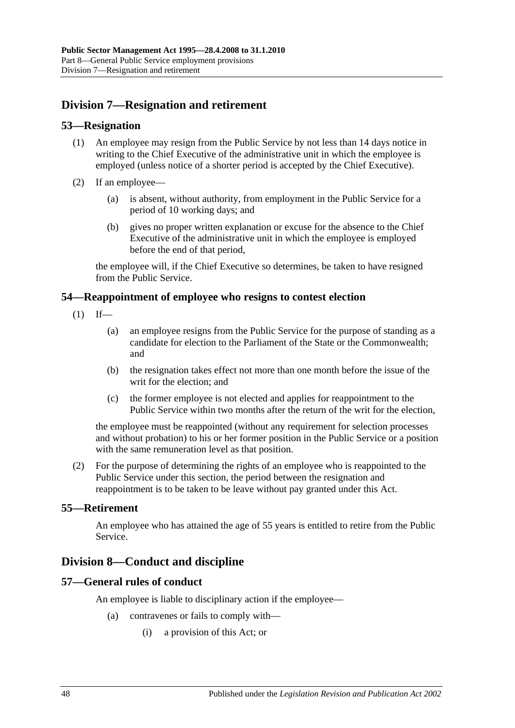## **Division 7—Resignation and retirement**

#### **53—Resignation**

- (1) An employee may resign from the Public Service by not less than 14 days notice in writing to the Chief Executive of the administrative unit in which the employee is employed (unless notice of a shorter period is accepted by the Chief Executive).
- (2) If an employee—
	- (a) is absent, without authority, from employment in the Public Service for a period of 10 working days; and
	- (b) gives no proper written explanation or excuse for the absence to the Chief Executive of the administrative unit in which the employee is employed before the end of that period,

the employee will, if the Chief Executive so determines, be taken to have resigned from the Public Service.

#### **54—Reappointment of employee who resigns to contest election**

- $(1)$  If—
	- (a) an employee resigns from the Public Service for the purpose of standing as a candidate for election to the Parliament of the State or the Commonwealth; and
	- (b) the resignation takes effect not more than one month before the issue of the writ for the election; and
	- (c) the former employee is not elected and applies for reappointment to the Public Service within two months after the return of the writ for the election,

the employee must be reappointed (without any requirement for selection processes and without probation) to his or her former position in the Public Service or a position with the same remuneration level as that position.

(2) For the purpose of determining the rights of an employee who is reappointed to the Public Service under this section, the period between the resignation and reappointment is to be taken to be leave without pay granted under this Act.

#### **55—Retirement**

An employee who has attained the age of 55 years is entitled to retire from the Public Service.

## **Division 8—Conduct and discipline**

#### **57—General rules of conduct**

An employee is liable to disciplinary action if the employee—

- (a) contravenes or fails to comply with—
	- (i) a provision of this Act; or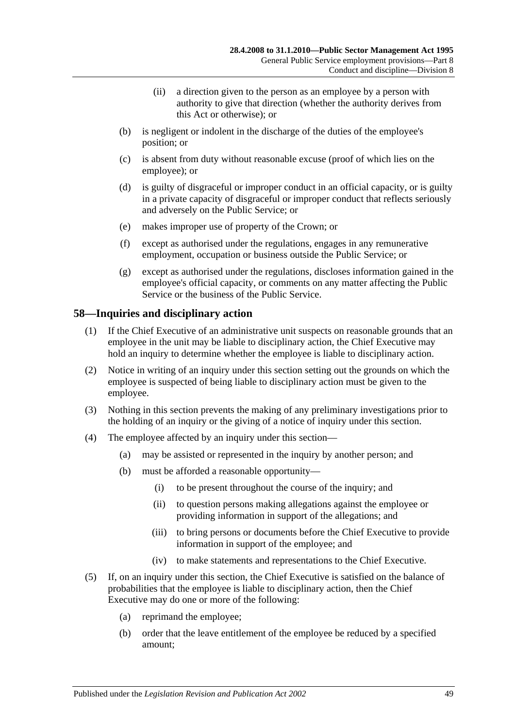- (ii) a direction given to the person as an employee by a person with authority to give that direction (whether the authority derives from this Act or otherwise); or
- (b) is negligent or indolent in the discharge of the duties of the employee's position; or
- (c) is absent from duty without reasonable excuse (proof of which lies on the employee); or
- (d) is guilty of disgraceful or improper conduct in an official capacity, or is guilty in a private capacity of disgraceful or improper conduct that reflects seriously and adversely on the Public Service; or
- (e) makes improper use of property of the Crown; or
- (f) except as authorised under the regulations, engages in any remunerative employment, occupation or business outside the Public Service; or
- (g) except as authorised under the regulations, discloses information gained in the employee's official capacity, or comments on any matter affecting the Public Service or the business of the Public Service.

#### **58—Inquiries and disciplinary action**

- (1) If the Chief Executive of an administrative unit suspects on reasonable grounds that an employee in the unit may be liable to disciplinary action, the Chief Executive may hold an inquiry to determine whether the employee is liable to disciplinary action.
- (2) Notice in writing of an inquiry under this section setting out the grounds on which the employee is suspected of being liable to disciplinary action must be given to the employee.
- (3) Nothing in this section prevents the making of any preliminary investigations prior to the holding of an inquiry or the giving of a notice of inquiry under this section.
- (4) The employee affected by an inquiry under this section—
	- (a) may be assisted or represented in the inquiry by another person; and
	- (b) must be afforded a reasonable opportunity—
		- (i) to be present throughout the course of the inquiry; and
		- (ii) to question persons making allegations against the employee or providing information in support of the allegations; and
		- (iii) to bring persons or documents before the Chief Executive to provide information in support of the employee; and
		- (iv) to make statements and representations to the Chief Executive.
- <span id="page-48-0"></span>(5) If, on an inquiry under this section, the Chief Executive is satisfied on the balance of probabilities that the employee is liable to disciplinary action, then the Chief Executive may do one or more of the following:
	- (a) reprimand the employee;
	- (b) order that the leave entitlement of the employee be reduced by a specified amount;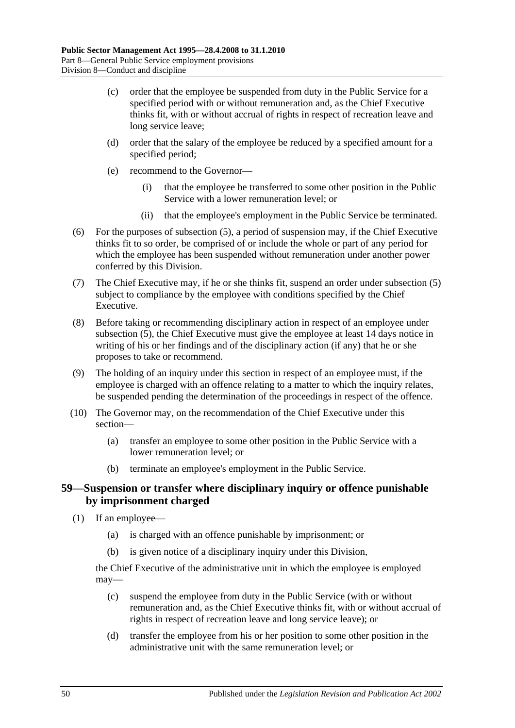- (c) order that the employee be suspended from duty in the Public Service for a specified period with or without remuneration and, as the Chief Executive thinks fit, with or without accrual of rights in respect of recreation leave and long service leave;
- (d) order that the salary of the employee be reduced by a specified amount for a specified period;
- (e) recommend to the Governor—
	- (i) that the employee be transferred to some other position in the Public Service with a lower remuneration level; or
	- (ii) that the employee's employment in the Public Service be terminated.
- (6) For the purposes of [subsection](#page-48-0) (5), a period of suspension may, if the Chief Executive thinks fit to so order, be comprised of or include the whole or part of any period for which the employee has been suspended without remuneration under another power conferred by this Division.
- (7) The Chief Executive may, if he or she thinks fit, suspend an order under [subsection](#page-48-0) (5) subject to compliance by the employee with conditions specified by the Chief Executive.
- (8) Before taking or recommending disciplinary action in respect of an employee under [subsection](#page-48-0) (5), the Chief Executive must give the employee at least 14 days notice in writing of his or her findings and of the disciplinary action (if any) that he or she proposes to take or recommend.
- (9) The holding of an inquiry under this section in respect of an employee must, if the employee is charged with an offence relating to a matter to which the inquiry relates, be suspended pending the determination of the proceedings in respect of the offence.
- (10) The Governor may, on the recommendation of the Chief Executive under this section—
	- (a) transfer an employee to some other position in the Public Service with a lower remuneration level; or
	- (b) terminate an employee's employment in the Public Service.

#### **59—Suspension or transfer where disciplinary inquiry or offence punishable by imprisonment charged**

- (1) If an employee—
	- (a) is charged with an offence punishable by imprisonment; or
	- (b) is given notice of a disciplinary inquiry under this Division,

the Chief Executive of the administrative unit in which the employee is employed may—

- (c) suspend the employee from duty in the Public Service (with or without remuneration and, as the Chief Executive thinks fit, with or without accrual of rights in respect of recreation leave and long service leave); or
- (d) transfer the employee from his or her position to some other position in the administrative unit with the same remuneration level; or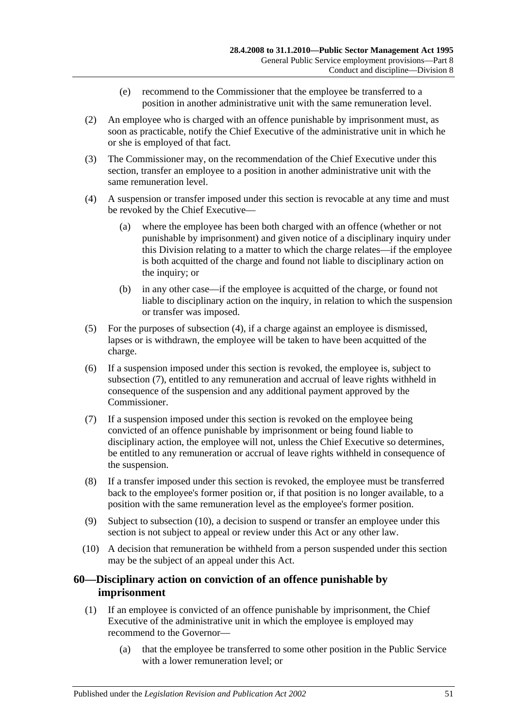- (e) recommend to the Commissioner that the employee be transferred to a position in another administrative unit with the same remuneration level.
- (2) An employee who is charged with an offence punishable by imprisonment must, as soon as practicable, notify the Chief Executive of the administrative unit in which he or she is employed of that fact.
- (3) The Commissioner may, on the recommendation of the Chief Executive under this section, transfer an employee to a position in another administrative unit with the same remuneration level.
- <span id="page-50-0"></span>(4) A suspension or transfer imposed under this section is revocable at any time and must be revoked by the Chief Executive—
	- (a) where the employee has been both charged with an offence (whether or not punishable by imprisonment) and given notice of a disciplinary inquiry under this Division relating to a matter to which the charge relates—if the employee is both acquitted of the charge and found not liable to disciplinary action on the inquiry; or
	- (b) in any other case—if the employee is acquitted of the charge, or found not liable to disciplinary action on the inquiry, in relation to which the suspension or transfer was imposed.
- (5) For the purposes of [subsection](#page-50-0) (4), if a charge against an employee is dismissed, lapses or is withdrawn, the employee will be taken to have been acquitted of the charge.
- (6) If a suspension imposed under this section is revoked, the employee is, subject to [subsection](#page-50-1) (7), entitled to any remuneration and accrual of leave rights withheld in consequence of the suspension and any additional payment approved by the Commissioner.
- <span id="page-50-1"></span>(7) If a suspension imposed under this section is revoked on the employee being convicted of an offence punishable by imprisonment or being found liable to disciplinary action, the employee will not, unless the Chief Executive so determines, be entitled to any remuneration or accrual of leave rights withheld in consequence of the suspension.
- (8) If a transfer imposed under this section is revoked, the employee must be transferred back to the employee's former position or, if that position is no longer available, to a position with the same remuneration level as the employee's former position.
- (9) Subject to [subsection](#page-50-2) (10), a decision to suspend or transfer an employee under this section is not subject to appeal or review under this Act or any other law.
- <span id="page-50-2"></span>(10) A decision that remuneration be withheld from a person suspended under this section may be the subject of an appeal under this Act.

## **60—Disciplinary action on conviction of an offence punishable by imprisonment**

- <span id="page-50-3"></span>(1) If an employee is convicted of an offence punishable by imprisonment, the Chief Executive of the administrative unit in which the employee is employed may recommend to the Governor—
	- (a) that the employee be transferred to some other position in the Public Service with a lower remuneration level; or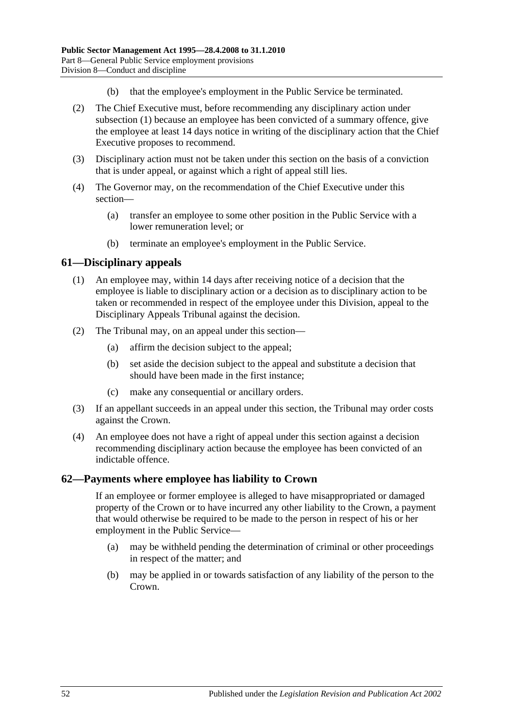- (b) that the employee's employment in the Public Service be terminated.
- (2) The Chief Executive must, before recommending any disciplinary action under [subsection](#page-50-3) (1) because an employee has been convicted of a summary offence, give the employee at least 14 days notice in writing of the disciplinary action that the Chief Executive proposes to recommend.
- (3) Disciplinary action must not be taken under this section on the basis of a conviction that is under appeal, or against which a right of appeal still lies.
- (4) The Governor may, on the recommendation of the Chief Executive under this section—
	- (a) transfer an employee to some other position in the Public Service with a lower remuneration level; or
	- (b) terminate an employee's employment in the Public Service.

#### **61—Disciplinary appeals**

- (1) An employee may, within 14 days after receiving notice of a decision that the employee is liable to disciplinary action or a decision as to disciplinary action to be taken or recommended in respect of the employee under this Division, appeal to the Disciplinary Appeals Tribunal against the decision.
- (2) The Tribunal may, on an appeal under this section—
	- (a) affirm the decision subject to the appeal;
	- (b) set aside the decision subject to the appeal and substitute a decision that should have been made in the first instance;
	- (c) make any consequential or ancillary orders.
- (3) If an appellant succeeds in an appeal under this section, the Tribunal may order costs against the Crown.
- (4) An employee does not have a right of appeal under this section against a decision recommending disciplinary action because the employee has been convicted of an indictable offence.

#### **62—Payments where employee has liability to Crown**

If an employee or former employee is alleged to have misappropriated or damaged property of the Crown or to have incurred any other liability to the Crown, a payment that would otherwise be required to be made to the person in respect of his or her employment in the Public Service—

- (a) may be withheld pending the determination of criminal or other proceedings in respect of the matter; and
- (b) may be applied in or towards satisfaction of any liability of the person to the Crown.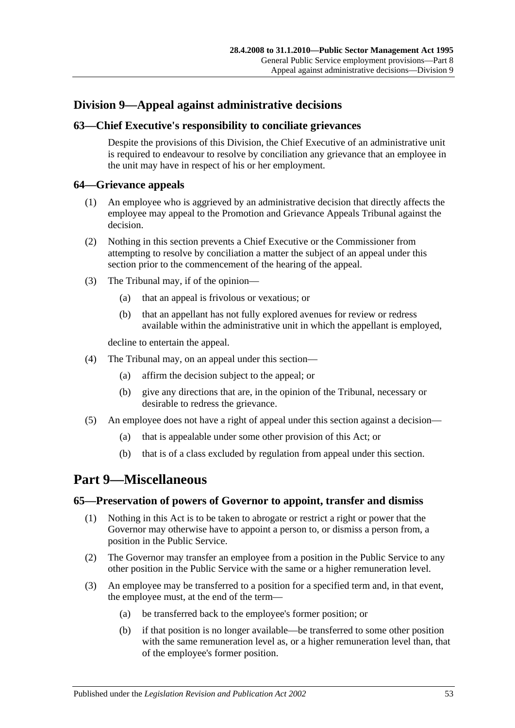## **Division 9—Appeal against administrative decisions**

## **63—Chief Executive's responsibility to conciliate grievances**

Despite the provisions of this Division, the Chief Executive of an administrative unit is required to endeavour to resolve by conciliation any grievance that an employee in the unit may have in respect of his or her employment.

#### **64—Grievance appeals**

- (1) An employee who is aggrieved by an administrative decision that directly affects the employee may appeal to the Promotion and Grievance Appeals Tribunal against the decision.
- (2) Nothing in this section prevents a Chief Executive or the Commissioner from attempting to resolve by conciliation a matter the subject of an appeal under this section prior to the commencement of the hearing of the appeal.
- (3) The Tribunal may, if of the opinion—
	- (a) that an appeal is frivolous or vexatious; or
	- (b) that an appellant has not fully explored avenues for review or redress available within the administrative unit in which the appellant is employed,

decline to entertain the appeal.

- (4) The Tribunal may, on an appeal under this section—
	- (a) affirm the decision subject to the appeal; or
	- (b) give any directions that are, in the opinion of the Tribunal, necessary or desirable to redress the grievance.
- (5) An employee does not have a right of appeal under this section against a decision—
	- (a) that is appealable under some other provision of this Act; or
	- (b) that is of a class excluded by regulation from appeal under this section.

## <span id="page-52-0"></span>**Part 9—Miscellaneous**

#### **65—Preservation of powers of Governor to appoint, transfer and dismiss**

- (1) Nothing in this Act is to be taken to abrogate or restrict a right or power that the Governor may otherwise have to appoint a person to, or dismiss a person from, a position in the Public Service.
- (2) The Governor may transfer an employee from a position in the Public Service to any other position in the Public Service with the same or a higher remuneration level.
- (3) An employee may be transferred to a position for a specified term and, in that event, the employee must, at the end of the term—
	- (a) be transferred back to the employee's former position; or
	- (b) if that position is no longer available—be transferred to some other position with the same remuneration level as, or a higher remuneration level than, that of the employee's former position.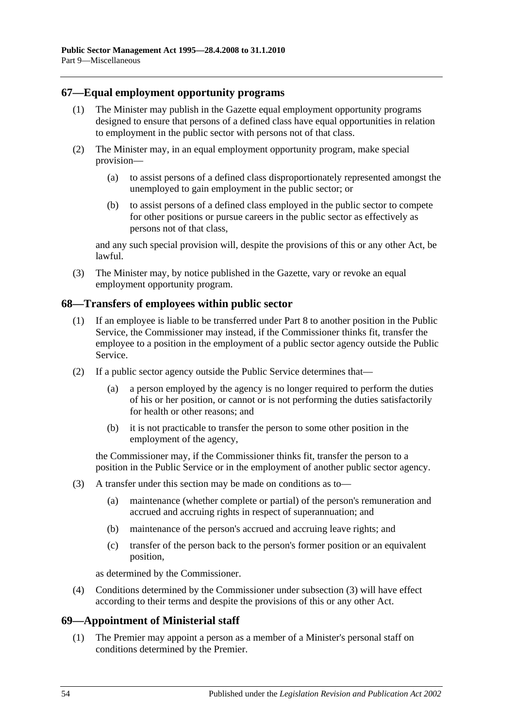#### **67—Equal employment opportunity programs**

- (1) The Minister may publish in the Gazette equal employment opportunity programs designed to ensure that persons of a defined class have equal opportunities in relation to employment in the public sector with persons not of that class.
- (2) The Minister may, in an equal employment opportunity program, make special provision—
	- (a) to assist persons of a defined class disproportionately represented amongst the unemployed to gain employment in the public sector; or
	- (b) to assist persons of a defined class employed in the public sector to compete for other positions or pursue careers in the public sector as effectively as persons not of that class,

and any such special provision will, despite the provisions of this or any other Act, be lawful.

(3) The Minister may, by notice published in the Gazette, vary or revoke an equal employment opportunity program.

#### **68—Transfers of employees within public sector**

- (1) If an employee is liable to be transferred under [Part 8](#page-42-0) to another position in the Public Service, the Commissioner may instead, if the Commissioner thinks fit, transfer the employee to a position in the employment of a public sector agency outside the Public Service.
- (2) If a public sector agency outside the Public Service determines that—
	- (a) a person employed by the agency is no longer required to perform the duties of his or her position, or cannot or is not performing the duties satisfactorily for health or other reasons; and
	- (b) it is not practicable to transfer the person to some other position in the employment of the agency,

the Commissioner may, if the Commissioner thinks fit, transfer the person to a position in the Public Service or in the employment of another public sector agency.

- <span id="page-53-0"></span>(3) A transfer under this section may be made on conditions as to—
	- (a) maintenance (whether complete or partial) of the person's remuneration and accrued and accruing rights in respect of superannuation; and
	- (b) maintenance of the person's accrued and accruing leave rights; and
	- (c) transfer of the person back to the person's former position or an equivalent position,

as determined by the Commissioner.

(4) Conditions determined by the Commissioner under [subsection](#page-53-0) (3) will have effect according to their terms and despite the provisions of this or any other Act.

#### **69—Appointment of Ministerial staff**

(1) The Premier may appoint a person as a member of a Minister's personal staff on conditions determined by the Premier.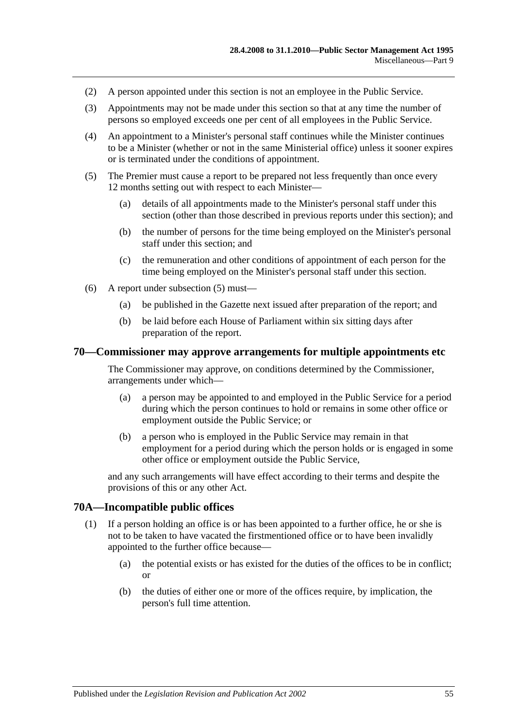- (2) A person appointed under this section is not an employee in the Public Service.
- (3) Appointments may not be made under this section so that at any time the number of persons so employed exceeds one per cent of all employees in the Public Service.
- (4) An appointment to a Minister's personal staff continues while the Minister continues to be a Minister (whether or not in the same Ministerial office) unless it sooner expires or is terminated under the conditions of appointment.
- <span id="page-54-0"></span>(5) The Premier must cause a report to be prepared not less frequently than once every 12 months setting out with respect to each Minister—
	- (a) details of all appointments made to the Minister's personal staff under this section (other than those described in previous reports under this section); and
	- (b) the number of persons for the time being employed on the Minister's personal staff under this section; and
	- (c) the remuneration and other conditions of appointment of each person for the time being employed on the Minister's personal staff under this section.
- (6) A report under [subsection](#page-54-0) (5) must—
	- (a) be published in the Gazette next issued after preparation of the report; and
	- (b) be laid before each House of Parliament within six sitting days after preparation of the report.

#### **70—Commissioner may approve arrangements for multiple appointments etc**

The Commissioner may approve, on conditions determined by the Commissioner, arrangements under which—

- (a) a person may be appointed to and employed in the Public Service for a period during which the person continues to hold or remains in some other office or employment outside the Public Service; or
- (b) a person who is employed in the Public Service may remain in that employment for a period during which the person holds or is engaged in some other office or employment outside the Public Service,

and any such arrangements will have effect according to their terms and despite the provisions of this or any other Act.

#### **70A—Incompatible public offices**

- (1) If a person holding an office is or has been appointed to a further office, he or she is not to be taken to have vacated the firstmentioned office or to have been invalidly appointed to the further office because—
	- (a) the potential exists or has existed for the duties of the offices to be in conflict; or
	- (b) the duties of either one or more of the offices require, by implication, the person's full time attention.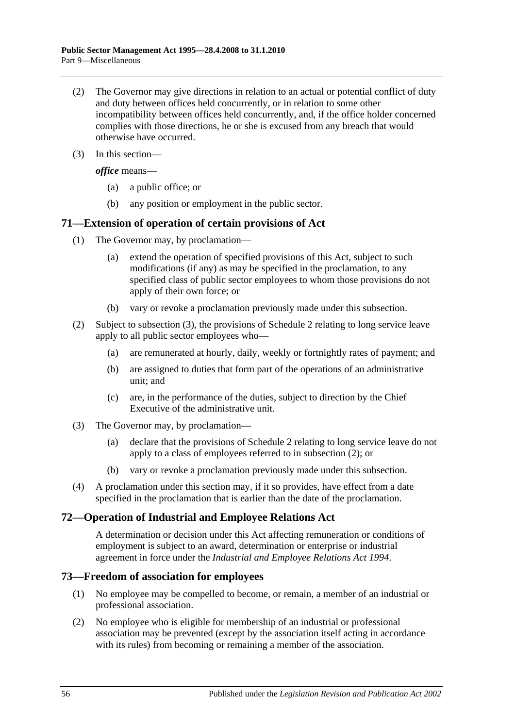- (2) The Governor may give directions in relation to an actual or potential conflict of duty and duty between offices held concurrently, or in relation to some other incompatibility between offices held concurrently, and, if the office holder concerned complies with those directions, he or she is excused from any breach that would otherwise have occurred.
- (3) In this section—

*office* means—

- (a) a public office; or
- (b) any position or employment in the public sector.

#### **71—Extension of operation of certain provisions of Act**

- (1) The Governor may, by proclamation—
	- (a) extend the operation of specified provisions of this Act, subject to such modifications (if any) as may be specified in the proclamation, to any specified class of public sector employees to whom those provisions do not apply of their own force; or
	- (b) vary or revoke a proclamation previously made under this subsection.
- <span id="page-55-1"></span>(2) Subject to [subsection](#page-55-0) (3), the provisions of [Schedule 2](#page-59-0) relating to long service leave apply to all public sector employees who—
	- (a) are remunerated at hourly, daily, weekly or fortnightly rates of payment; and
	- (b) are assigned to duties that form part of the operations of an administrative unit; and
	- (c) are, in the performance of the duties, subject to direction by the Chief Executive of the administrative unit.
- <span id="page-55-0"></span>(3) The Governor may, by proclamation—
	- (a) declare that the provisions of [Schedule 2](#page-59-0) relating to long service leave do not apply to a class of employees referred to in [subsection](#page-55-1) (2); or
	- (b) vary or revoke a proclamation previously made under this subsection.
- (4) A proclamation under this section may, if it so provides, have effect from a date specified in the proclamation that is earlier than the date of the proclamation.

#### **72—Operation of Industrial and Employee Relations Act**

A determination or decision under this Act affecting remuneration or conditions of employment is subject to an award, determination or enterprise or industrial agreement in force under the *Industrial [and Employee Relations Act](http://www.legislation.sa.gov.au/index.aspx?action=legref&type=act&legtitle=Industrial%20and%20Employee%20Relations%20Act%201994) 1994*.

#### **73—Freedom of association for employees**

- (1) No employee may be compelled to become, or remain, a member of an industrial or professional association.
- (2) No employee who is eligible for membership of an industrial or professional association may be prevented (except by the association itself acting in accordance with its rules) from becoming or remaining a member of the association.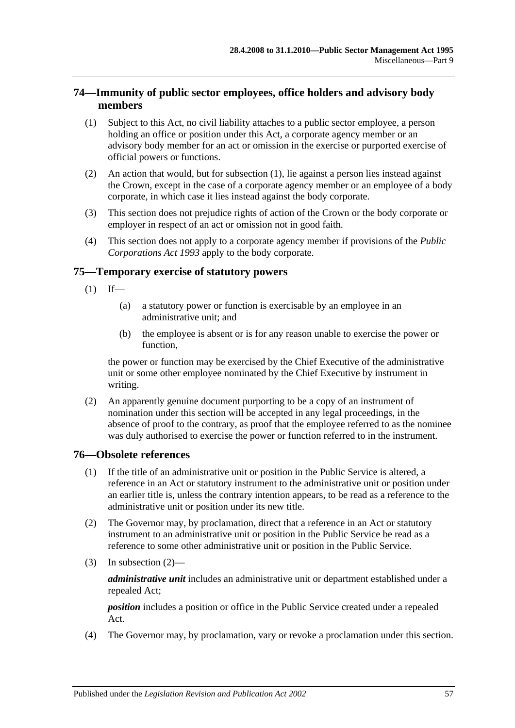## **74—Immunity of public sector employees, office holders and advisory body members**

- <span id="page-56-0"></span>(1) Subject to this Act, no civil liability attaches to a public sector employee, a person holding an office or position under this Act, a corporate agency member or an advisory body member for an act or omission in the exercise or purported exercise of official powers or functions.
- (2) An action that would, but for [subsection](#page-56-0) (1), lie against a person lies instead against the Crown, except in the case of a corporate agency member or an employee of a body corporate, in which case it lies instead against the body corporate.
- (3) This section does not prejudice rights of action of the Crown or the body corporate or employer in respect of an act or omission not in good faith.
- (4) This section does not apply to a corporate agency member if provisions of the *[Public](http://www.legislation.sa.gov.au/index.aspx?action=legref&type=act&legtitle=Public%20Corporations%20Act%201993)  [Corporations Act](http://www.legislation.sa.gov.au/index.aspx?action=legref&type=act&legtitle=Public%20Corporations%20Act%201993) 1993* apply to the body corporate.

#### **75—Temporary exercise of statutory powers**

- $(1)$  If—
	- (a) a statutory power or function is exercisable by an employee in an administrative unit; and
	- (b) the employee is absent or is for any reason unable to exercise the power or function,

the power or function may be exercised by the Chief Executive of the administrative unit or some other employee nominated by the Chief Executive by instrument in writing.

(2) An apparently genuine document purporting to be a copy of an instrument of nomination under this section will be accepted in any legal proceedings, in the absence of proof to the contrary, as proof that the employee referred to as the nominee was duly authorised to exercise the power or function referred to in the instrument.

#### **76—Obsolete references**

- (1) If the title of an administrative unit or position in the Public Service is altered, a reference in an Act or statutory instrument to the administrative unit or position under an earlier title is, unless the contrary intention appears, to be read as a reference to the administrative unit or position under its new title.
- <span id="page-56-1"></span>(2) The Governor may, by proclamation, direct that a reference in an Act or statutory instrument to an administrative unit or position in the Public Service be read as a reference to some other administrative unit or position in the Public Service.
- (3) In [subsection](#page-56-1) (2)—

*administrative unit* includes an administrative unit or department established under a repealed Act;

*position* includes a position or office in the Public Service created under a repealed Act.

(4) The Governor may, by proclamation, vary or revoke a proclamation under this section.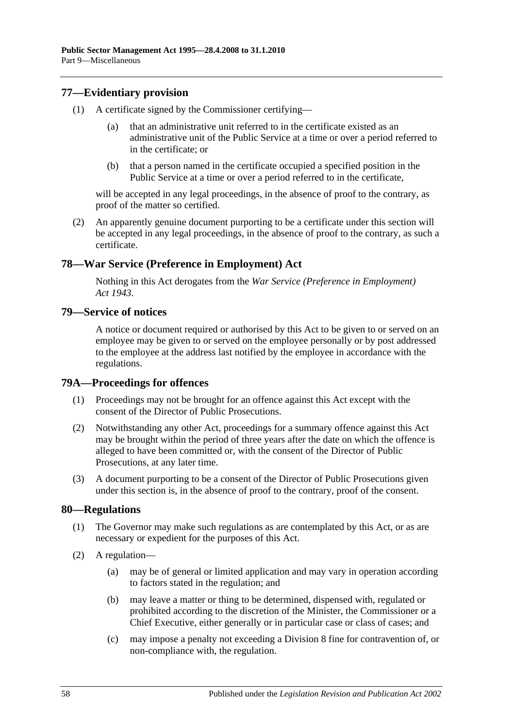## **77—Evidentiary provision**

- (1) A certificate signed by the Commissioner certifying
	- that an administrative unit referred to in the certificate existed as an administrative unit of the Public Service at a time or over a period referred to in the certificate; or
	- (b) that a person named in the certificate occupied a specified position in the Public Service at a time or over a period referred to in the certificate,

will be accepted in any legal proceedings, in the absence of proof to the contrary, as proof of the matter so certified.

(2) An apparently genuine document purporting to be a certificate under this section will be accepted in any legal proceedings, in the absence of proof to the contrary, as such a certificate.

## **78—War Service (Preference in Employment) Act**

Nothing in this Act derogates from the *[War Service \(Preference in Employment\)](http://www.legislation.sa.gov.au/index.aspx?action=legref&type=act&legtitle=War%20Service%20(Preference%20in%20Employment)%20Act%201943)  Act [1943](http://www.legislation.sa.gov.au/index.aspx?action=legref&type=act&legtitle=War%20Service%20(Preference%20in%20Employment)%20Act%201943)*.

#### **79—Service of notices**

A notice or document required or authorised by this Act to be given to or served on an employee may be given to or served on the employee personally or by post addressed to the employee at the address last notified by the employee in accordance with the regulations.

#### **79A—Proceedings for offences**

- (1) Proceedings may not be brought for an offence against this Act except with the consent of the Director of Public Prosecutions.
- (2) Notwithstanding any other Act, proceedings for a summary offence against this Act may be brought within the period of three years after the date on which the offence is alleged to have been committed or, with the consent of the Director of Public Prosecutions, at any later time.
- (3) A document purporting to be a consent of the Director of Public Prosecutions given under this section is, in the absence of proof to the contrary, proof of the consent.

#### **80—Regulations**

- (1) The Governor may make such regulations as are contemplated by this Act, or as are necessary or expedient for the purposes of this Act.
- (2) A regulation—
	- (a) may be of general or limited application and may vary in operation according to factors stated in the regulation; and
	- (b) may leave a matter or thing to be determined, dispensed with, regulated or prohibited according to the discretion of the Minister, the Commissioner or a Chief Executive, either generally or in particular case or class of cases; and
	- (c) may impose a penalty not exceeding a Division 8 fine for contravention of, or non-compliance with, the regulation.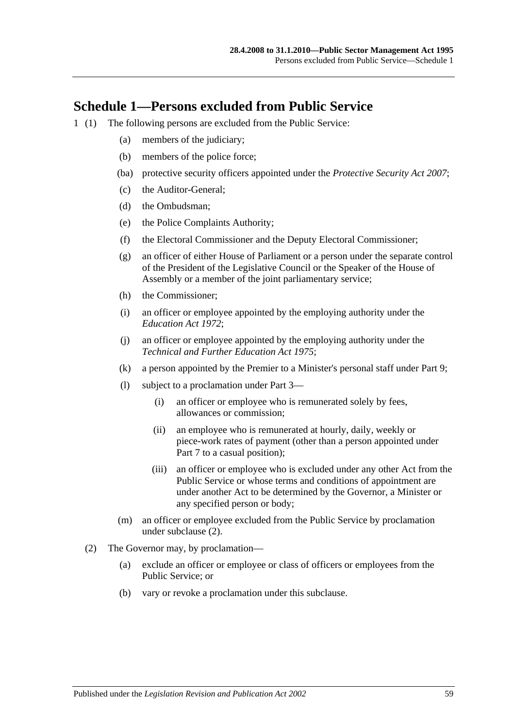## **Schedule 1—Persons excluded from Public Service**

- <span id="page-58-0"></span>1 (1) The following persons are excluded from the Public Service:
	- (a) members of the judiciary;
	- (b) members of the police force;
	- (ba) protective security officers appointed under the *[Protective Security Act](http://www.legislation.sa.gov.au/index.aspx?action=legref&type=act&legtitle=Protective%20Security%20Act%202007) 2007*;
	- (c) the Auditor-General;
	- (d) the Ombudsman;
	- (e) the Police Complaints Authority;
	- (f) the Electoral Commissioner and the Deputy Electoral Commissioner;
	- (g) an officer of either House of Parliament or a person under the separate control of the President of the Legislative Council or the Speaker of the House of Assembly or a member of the joint parliamentary service;
	- (h) the Commissioner;
	- (i) an officer or employee appointed by the employing authority under the *[Education Act](http://www.legislation.sa.gov.au/index.aspx?action=legref&type=act&legtitle=Education%20Act%201972) 1972*;
	- (j) an officer or employee appointed by the employing authority under the *[Technical and Further Education Act](http://www.legislation.sa.gov.au/index.aspx?action=legref&type=act&legtitle=Technical%20and%20Further%20Education%20Act%201975) 1975*;
	- (k) a person appointed by the Premier to a Minister's personal staff under [Part 9;](#page-52-0)
	- (l) subject to a proclamation under [Part 3—](#page-24-0)
		- (i) an officer or employee who is remunerated solely by fees, allowances or commission;
		- (ii) an employee who is remunerated at hourly, daily, weekly or piece-work rates of payment (other than a person appointed under [Part 7](#page-35-0) to a casual position);
		- (iii) an officer or employee who is excluded under any other Act from the Public Service or whose terms and conditions of appointment are under another Act to be determined by the Governor, a Minister or any specified person or body;
	- (m) an officer or employee excluded from the Public Service by proclamation under [subclause](#page-58-0) (2).
	- (2) The Governor may, by proclamation—
		- (a) exclude an officer or employee or class of officers or employees from the Public Service; or
		- (b) vary or revoke a proclamation under this subclause.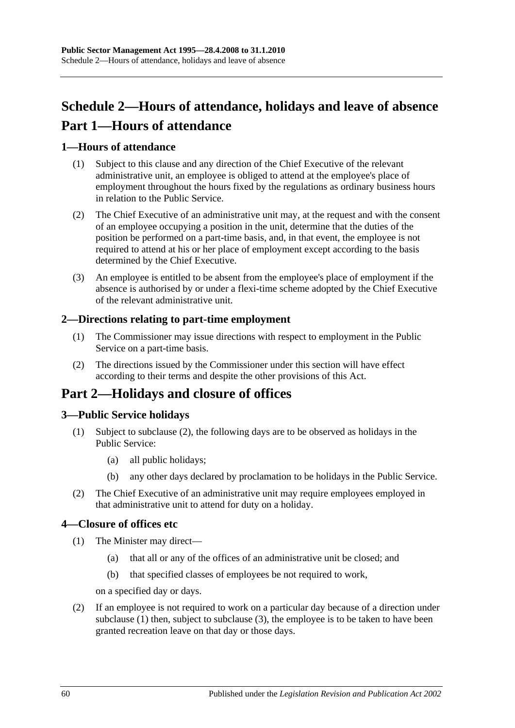# <span id="page-59-0"></span>**Schedule 2—Hours of attendance, holidays and leave of absence Part 1—Hours of attendance**

## **1—Hours of attendance**

- (1) Subject to this clause and any direction of the Chief Executive of the relevant administrative unit, an employee is obliged to attend at the employee's place of employment throughout the hours fixed by the regulations as ordinary business hours in relation to the Public Service.
- (2) The Chief Executive of an administrative unit may, at the request and with the consent of an employee occupying a position in the unit, determine that the duties of the position be performed on a part-time basis, and, in that event, the employee is not required to attend at his or her place of employment except according to the basis determined by the Chief Executive.
- (3) An employee is entitled to be absent from the employee's place of employment if the absence is authorised by or under a flexi-time scheme adopted by the Chief Executive of the relevant administrative unit.

#### **2—Directions relating to part-time employment**

- (1) The Commissioner may issue directions with respect to employment in the Public Service on a part-time basis.
- (2) The directions issued by the Commissioner under this section will have effect according to their terms and despite the other provisions of this Act.

## **Part 2—Holidays and closure of offices**

## **3—Public Service holidays**

- (1) Subject to [subclause](#page-59-1) (2), the following days are to be observed as holidays in the Public Service:
	- (a) all public holidays;
	- (b) any other days declared by proclamation to be holidays in the Public Service.
- <span id="page-59-1"></span>(2) The Chief Executive of an administrative unit may require employees employed in that administrative unit to attend for duty on a holiday.

#### <span id="page-59-2"></span>**4—Closure of offices etc**

- (1) The Minister may direct—
	- (a) that all or any of the offices of an administrative unit be closed; and
	- (b) that specified classes of employees be not required to work,

on a specified day or days.

<span id="page-59-3"></span>(2) If an employee is not required to work on a particular day because of a direction under [subclause](#page-59-2) (1) then, subject to [subclause](#page-60-0) (3), the employee is to be taken to have been granted recreation leave on that day or those days.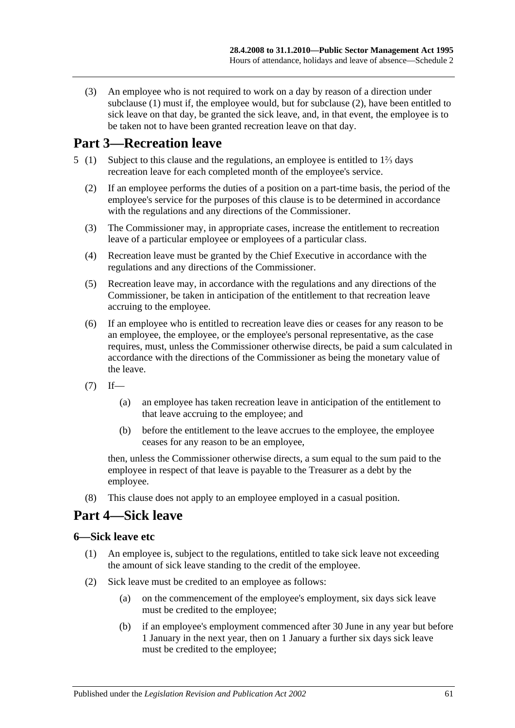<span id="page-60-0"></span>(3) An employee who is not required to work on a day by reason of a direction under [subclause](#page-59-2) (1) must if, the employee would, but for [subclause](#page-59-3) (2), have been entitled to sick leave on that day, be granted the sick leave, and, in that event, the employee is to be taken not to have been granted recreation leave on that day.

## **Part 3—Recreation leave**

- 5 (1) Subject to this clause and the regulations, an employee is entitled to 1⅔ days recreation leave for each completed month of the employee's service.
	- (2) If an employee performs the duties of a position on a part-time basis, the period of the employee's service for the purposes of this clause is to be determined in accordance with the regulations and any directions of the Commissioner.
	- (3) The Commissioner may, in appropriate cases, increase the entitlement to recreation leave of a particular employee or employees of a particular class.
	- (4) Recreation leave must be granted by the Chief Executive in accordance with the regulations and any directions of the Commissioner.
	- (5) Recreation leave may, in accordance with the regulations and any directions of the Commissioner, be taken in anticipation of the entitlement to that recreation leave accruing to the employee.
	- (6) If an employee who is entitled to recreation leave dies or ceases for any reason to be an employee, the employee, or the employee's personal representative, as the case requires, must, unless the Commissioner otherwise directs, be paid a sum calculated in accordance with the directions of the Commissioner as being the monetary value of the leave.
	- $(7)$  If—
		- (a) an employee has taken recreation leave in anticipation of the entitlement to that leave accruing to the employee; and
		- (b) before the entitlement to the leave accrues to the employee, the employee ceases for any reason to be an employee,

then, unless the Commissioner otherwise directs, a sum equal to the sum paid to the employee in respect of that leave is payable to the Treasurer as a debt by the employee.

(8) This clause does not apply to an employee employed in a casual position.

## **Part 4—Sick leave**

#### **6—Sick leave etc**

- (1) An employee is, subject to the regulations, entitled to take sick leave not exceeding the amount of sick leave standing to the credit of the employee.
- (2) Sick leave must be credited to an employee as follows:
	- (a) on the commencement of the employee's employment, six days sick leave must be credited to the employee;
	- (b) if an employee's employment commenced after 30 June in any year but before 1 January in the next year, then on 1 January a further six days sick leave must be credited to the employee;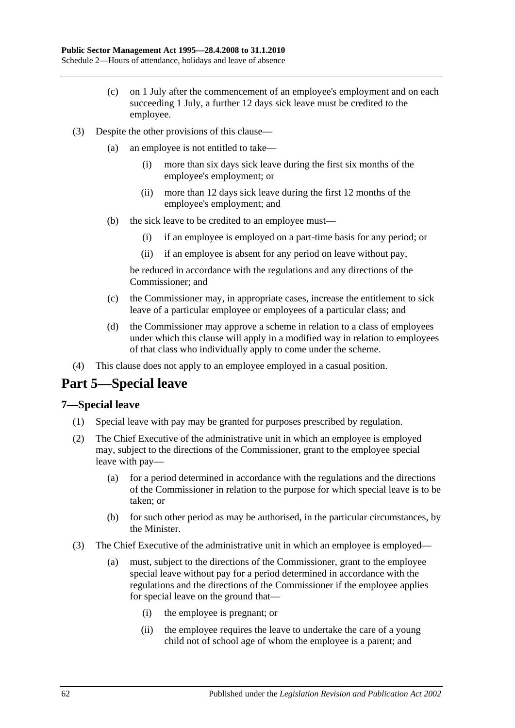- (c) on 1 July after the commencement of an employee's employment and on each succeeding 1 July, a further 12 days sick leave must be credited to the employee.
- (3) Despite the other provisions of this clause—
	- (a) an employee is not entitled to take—
		- (i) more than six days sick leave during the first six months of the employee's employment; or
		- (ii) more than 12 days sick leave during the first 12 months of the employee's employment; and
	- (b) the sick leave to be credited to an employee must—
		- (i) if an employee is employed on a part-time basis for any period; or
		- (ii) if an employee is absent for any period on leave without pay,

be reduced in accordance with the regulations and any directions of the Commissioner; and

- (c) the Commissioner may, in appropriate cases, increase the entitlement to sick leave of a particular employee or employees of a particular class; and
- (d) the Commissioner may approve a scheme in relation to a class of employees under which this clause will apply in a modified way in relation to employees of that class who individually apply to come under the scheme.
- (4) This clause does not apply to an employee employed in a casual position.

# **Part 5—Special leave**

#### **7—Special leave**

- (1) Special leave with pay may be granted for purposes prescribed by regulation.
- (2) The Chief Executive of the administrative unit in which an employee is employed may, subject to the directions of the Commissioner, grant to the employee special leave with pay—
	- (a) for a period determined in accordance with the regulations and the directions of the Commissioner in relation to the purpose for which special leave is to be taken; or
	- (b) for such other period as may be authorised, in the particular circumstances, by the Minister.
- (3) The Chief Executive of the administrative unit in which an employee is employed—
	- (a) must, subject to the directions of the Commissioner, grant to the employee special leave without pay for a period determined in accordance with the regulations and the directions of the Commissioner if the employee applies for special leave on the ground that—
		- (i) the employee is pregnant; or
		- (ii) the employee requires the leave to undertake the care of a young child not of school age of whom the employee is a parent; and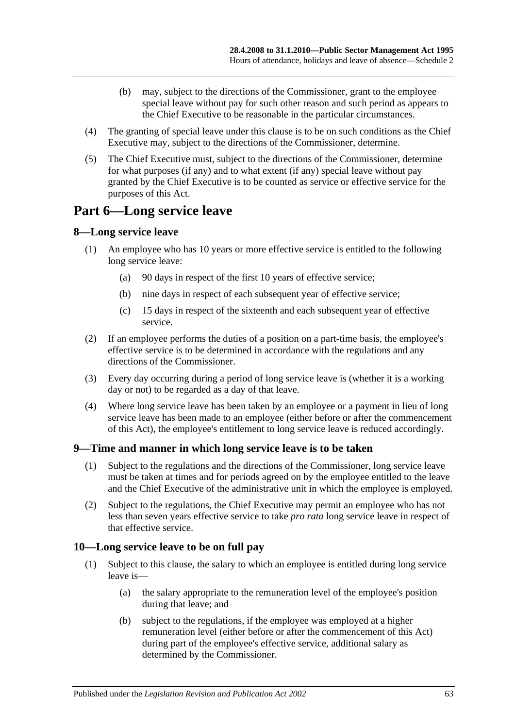- (b) may, subject to the directions of the Commissioner, grant to the employee special leave without pay for such other reason and such period as appears to the Chief Executive to be reasonable in the particular circumstances.
- (4) The granting of special leave under this clause is to be on such conditions as the Chief Executive may, subject to the directions of the Commissioner, determine.
- (5) The Chief Executive must, subject to the directions of the Commissioner, determine for what purposes (if any) and to what extent (if any) special leave without pay granted by the Chief Executive is to be counted as service or effective service for the purposes of this Act.

## **Part 6—Long service leave**

## **8—Long service leave**

- (1) An employee who has 10 years or more effective service is entitled to the following long service leave:
	- (a) 90 days in respect of the first 10 years of effective service;
	- (b) nine days in respect of each subsequent year of effective service;
	- (c) 15 days in respect of the sixteenth and each subsequent year of effective service.
- (2) If an employee performs the duties of a position on a part-time basis, the employee's effective service is to be determined in accordance with the regulations and any directions of the Commissioner.
- (3) Every day occurring during a period of long service leave is (whether it is a working day or not) to be regarded as a day of that leave.
- (4) Where long service leave has been taken by an employee or a payment in lieu of long service leave has been made to an employee (either before or after the commencement of this Act), the employee's entitlement to long service leave is reduced accordingly.

## **9—Time and manner in which long service leave is to be taken**

- (1) Subject to the regulations and the directions of the Commissioner, long service leave must be taken at times and for periods agreed on by the employee entitled to the leave and the Chief Executive of the administrative unit in which the employee is employed.
- (2) Subject to the regulations, the Chief Executive may permit an employee who has not less than seven years effective service to take *pro rata* long service leave in respect of that effective service.

#### **10—Long service leave to be on full pay**

- (1) Subject to this clause, the salary to which an employee is entitled during long service leave is—
	- (a) the salary appropriate to the remuneration level of the employee's position during that leave; and
	- (b) subject to the regulations, if the employee was employed at a higher remuneration level (either before or after the commencement of this Act) during part of the employee's effective service, additional salary as determined by the Commissioner.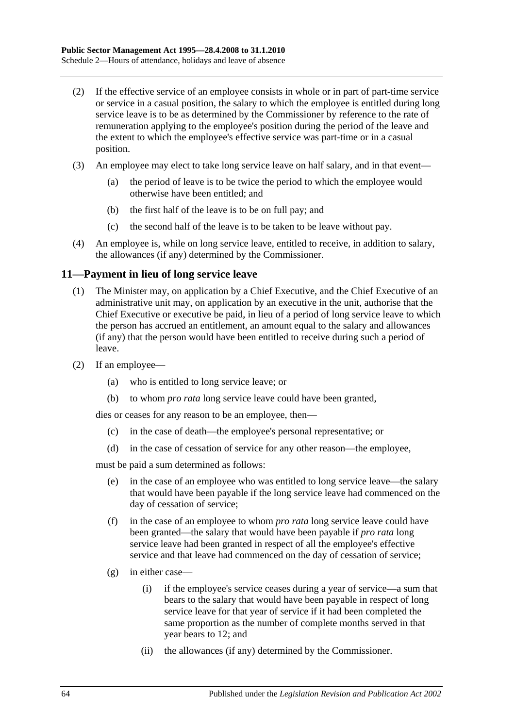- (2) If the effective service of an employee consists in whole or in part of part-time service or service in a casual position, the salary to which the employee is entitled during long service leave is to be as determined by the Commissioner by reference to the rate of remuneration applying to the employee's position during the period of the leave and the extent to which the employee's effective service was part-time or in a casual position.
- (3) An employee may elect to take long service leave on half salary, and in that event—
	- (a) the period of leave is to be twice the period to which the employee would otherwise have been entitled; and
	- (b) the first half of the leave is to be on full pay; and
	- (c) the second half of the leave is to be taken to be leave without pay.
- (4) An employee is, while on long service leave, entitled to receive, in addition to salary, the allowances (if any) determined by the Commissioner.

#### **11—Payment in lieu of long service leave**

- (1) The Minister may, on application by a Chief Executive, and the Chief Executive of an administrative unit may, on application by an executive in the unit, authorise that the Chief Executive or executive be paid, in lieu of a period of long service leave to which the person has accrued an entitlement, an amount equal to the salary and allowances (if any) that the person would have been entitled to receive during such a period of leave.
- (2) If an employee—
	- (a) who is entitled to long service leave; or
	- (b) to whom *pro rata* long service leave could have been granted,

dies or ceases for any reason to be an employee, then—

- (c) in the case of death—the employee's personal representative; or
- (d) in the case of cessation of service for any other reason—the employee,

must be paid a sum determined as follows:

- (e) in the case of an employee who was entitled to long service leave—the salary that would have been payable if the long service leave had commenced on the day of cessation of service;
- (f) in the case of an employee to whom *pro rata* long service leave could have been granted—the salary that would have been payable if *pro rata* long service leave had been granted in respect of all the employee's effective service and that leave had commenced on the day of cessation of service;
- (g) in either case—
	- (i) if the employee's service ceases during a year of service—a sum that bears to the salary that would have been payable in respect of long service leave for that year of service if it had been completed the same proportion as the number of complete months served in that year bears to 12; and
	- (ii) the allowances (if any) determined by the Commissioner.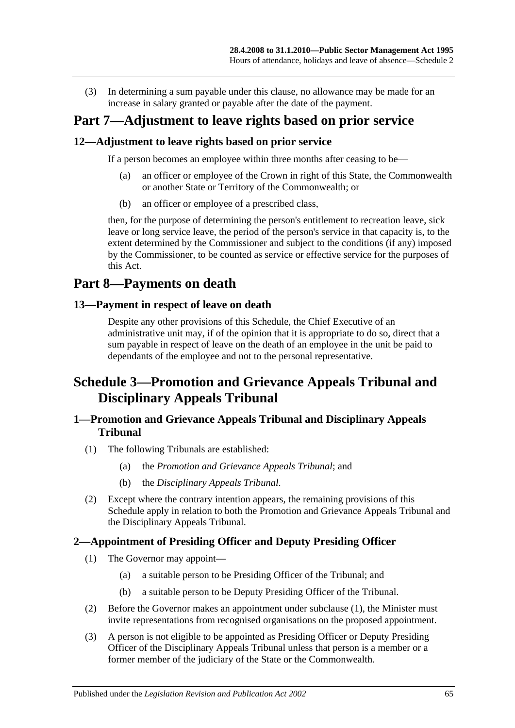(3) In determining a sum payable under this clause, no allowance may be made for an increase in salary granted or payable after the date of the payment.

## **Part 7—Adjustment to leave rights based on prior service**

#### **12—Adjustment to leave rights based on prior service**

If a person becomes an employee within three months after ceasing to be—

- (a) an officer or employee of the Crown in right of this State, the Commonwealth or another State or Territory of the Commonwealth; or
- (b) an officer or employee of a prescribed class,

then, for the purpose of determining the person's entitlement to recreation leave, sick leave or long service leave, the period of the person's service in that capacity is, to the extent determined by the Commissioner and subject to the conditions (if any) imposed by the Commissioner, to be counted as service or effective service for the purposes of this Act.

## **Part 8—Payments on death**

#### **13—Payment in respect of leave on death**

Despite any other provisions of this Schedule, the Chief Executive of an administrative unit may, if of the opinion that it is appropriate to do so, direct that a sum payable in respect of leave on the death of an employee in the unit be paid to dependants of the employee and not to the personal representative.

## **Schedule 3—Promotion and Grievance Appeals Tribunal and Disciplinary Appeals Tribunal**

## **1—Promotion and Grievance Appeals Tribunal and Disciplinary Appeals Tribunal**

- (1) The following Tribunals are established:
	- (a) the *Promotion and Grievance Appeals Tribunal*; and
	- (b) the *Disciplinary Appeals Tribunal*.
- (2) Except where the contrary intention appears, the remaining provisions of this Schedule apply in relation to both the Promotion and Grievance Appeals Tribunal and the Disciplinary Appeals Tribunal.

#### <span id="page-64-0"></span>**2—Appointment of Presiding Officer and Deputy Presiding Officer**

- (1) The Governor may appoint—
	- (a) a suitable person to be Presiding Officer of the Tribunal; and
	- (b) a suitable person to be Deputy Presiding Officer of the Tribunal.
- (2) Before the Governor makes an appointment under [subclause](#page-64-0) (1), the Minister must invite representations from recognised organisations on the proposed appointment.
- (3) A person is not eligible to be appointed as Presiding Officer or Deputy Presiding Officer of the Disciplinary Appeals Tribunal unless that person is a member or a former member of the judiciary of the State or the Commonwealth.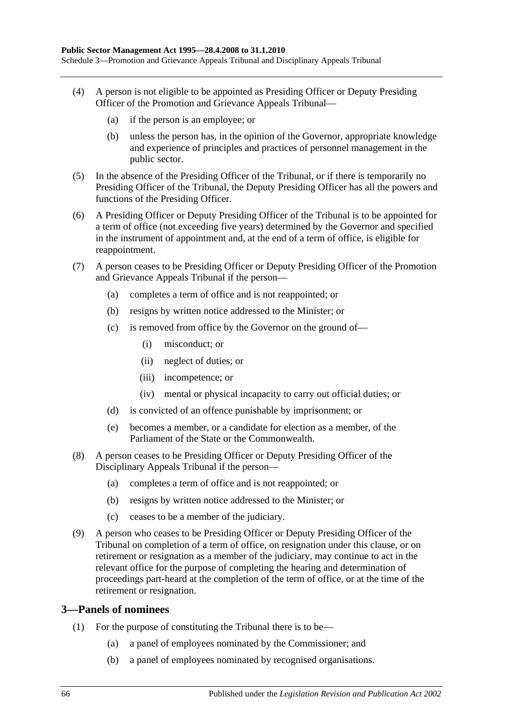- (4) A person is not eligible to be appointed as Presiding Officer or Deputy Presiding Officer of the Promotion and Grievance Appeals Tribunal—
	- (a) if the person is an employee; or
	- (b) unless the person has, in the opinion of the Governor, appropriate knowledge and experience of principles and practices of personnel management in the public sector.
- (5) In the absence of the Presiding Officer of the Tribunal, or if there is temporarily no Presiding Officer of the Tribunal, the Deputy Presiding Officer has all the powers and functions of the Presiding Officer.
- (6) A Presiding Officer or Deputy Presiding Officer of the Tribunal is to be appointed for a term of office (not exceeding five years) determined by the Governor and specified in the instrument of appointment and, at the end of a term of office, is eligible for reappointment.
- (7) A person ceases to be Presiding Officer or Deputy Presiding Officer of the Promotion and Grievance Appeals Tribunal if the person—
	- (a) completes a term of office and is not reappointed; or
	- (b) resigns by written notice addressed to the Minister; or
	- (c) is removed from office by the Governor on the ground of—
		- (i) misconduct; or
		- (ii) neglect of duties; or
		- (iii) incompetence; or
		- (iv) mental or physical incapacity to carry out official duties; or
	- (d) is convicted of an offence punishable by imprisonment; or
	- (e) becomes a member, or a candidate for election as a member, of the Parliament of the State or the Commonwealth.
- (8) A person ceases to be Presiding Officer or Deputy Presiding Officer of the Disciplinary Appeals Tribunal if the person—
	- (a) completes a term of office and is not reappointed; or
	- (b) resigns by written notice addressed to the Minister; or
	- (c) ceases to be a member of the judiciary.
- (9) A person who ceases to be Presiding Officer or Deputy Presiding Officer of the Tribunal on completion of a term of office, on resignation under this clause, or on retirement or resignation as a member of the judiciary, may continue to act in the relevant office for the purpose of completing the hearing and determination of proceedings part-heard at the completion of the term of office, or at the time of the retirement or resignation.

#### **3—Panels of nominees**

- <span id="page-65-0"></span>(1) For the purpose of constituting the Tribunal there is to be—
	- (a) a panel of employees nominated by the Commissioner; and
	- (b) a panel of employees nominated by recognised organisations.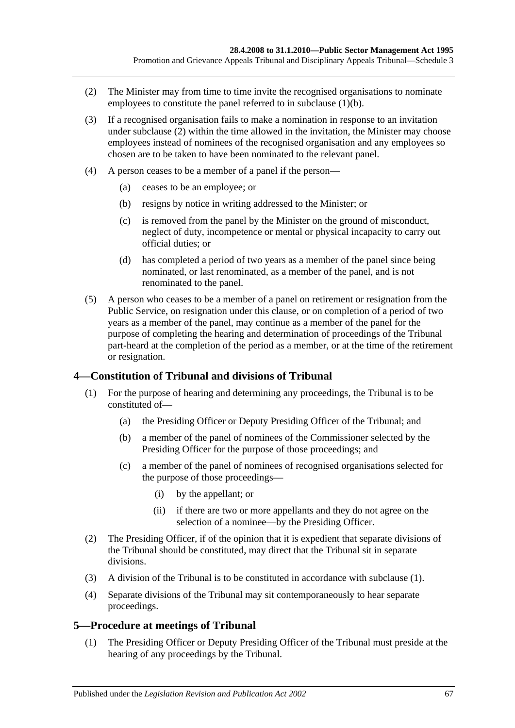- <span id="page-66-0"></span>(2) The Minister may from time to time invite the recognised organisations to nominate employees to constitute the panel referred to in [subclause](#page-65-0) (1)(b).
- (3) If a recognised organisation fails to make a nomination in response to an invitation under [subclause](#page-66-0) (2) within the time allowed in the invitation, the Minister may choose employees instead of nominees of the recognised organisation and any employees so chosen are to be taken to have been nominated to the relevant panel.
- (4) A person ceases to be a member of a panel if the person—
	- (a) ceases to be an employee; or
	- (b) resigns by notice in writing addressed to the Minister; or
	- (c) is removed from the panel by the Minister on the ground of misconduct, neglect of duty, incompetence or mental or physical incapacity to carry out official duties; or
	- (d) has completed a period of two years as a member of the panel since being nominated, or last renominated, as a member of the panel, and is not renominated to the panel.
- (5) A person who ceases to be a member of a panel on retirement or resignation from the Public Service, on resignation under this clause, or on completion of a period of two years as a member of the panel, may continue as a member of the panel for the purpose of completing the hearing and determination of proceedings of the Tribunal part-heard at the completion of the period as a member, or at the time of the retirement or resignation.

#### <span id="page-66-1"></span>**4—Constitution of Tribunal and divisions of Tribunal**

- (1) For the purpose of hearing and determining any proceedings, the Tribunal is to be constituted of—
	- (a) the Presiding Officer or Deputy Presiding Officer of the Tribunal; and
	- (b) a member of the panel of nominees of the Commissioner selected by the Presiding Officer for the purpose of those proceedings; and
	- (c) a member of the panel of nominees of recognised organisations selected for the purpose of those proceedings—
		- (i) by the appellant; or
		- (ii) if there are two or more appellants and they do not agree on the selection of a nominee—by the Presiding Officer.
- (2) The Presiding Officer, if of the opinion that it is expedient that separate divisions of the Tribunal should be constituted, may direct that the Tribunal sit in separate divisions.
- (3) A division of the Tribunal is to be constituted in accordance with [subclause](#page-66-1) (1).
- (4) Separate divisions of the Tribunal may sit contemporaneously to hear separate proceedings.

#### **5—Procedure at meetings of Tribunal**

(1) The Presiding Officer or Deputy Presiding Officer of the Tribunal must preside at the hearing of any proceedings by the Tribunal.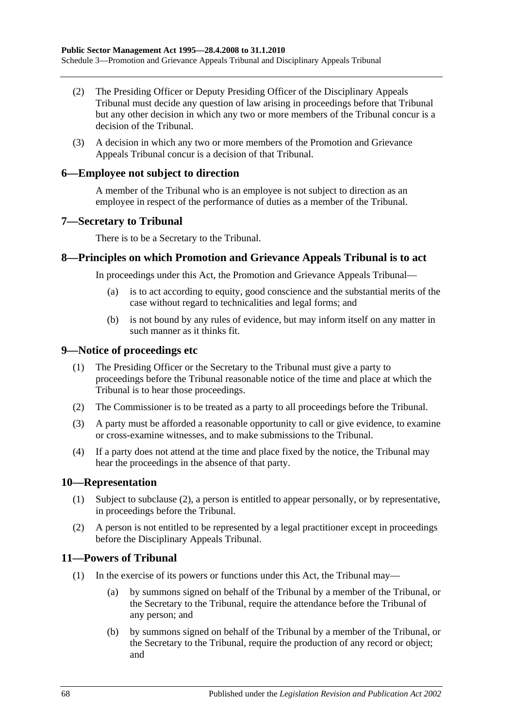- (2) The Presiding Officer or Deputy Presiding Officer of the Disciplinary Appeals Tribunal must decide any question of law arising in proceedings before that Tribunal but any other decision in which any two or more members of the Tribunal concur is a decision of the Tribunal.
- (3) A decision in which any two or more members of the Promotion and Grievance Appeals Tribunal concur is a decision of that Tribunal.

#### **6—Employee not subject to direction**

A member of the Tribunal who is an employee is not subject to direction as an employee in respect of the performance of duties as a member of the Tribunal.

#### **7—Secretary to Tribunal**

There is to be a Secretary to the Tribunal.

#### **8—Principles on which Promotion and Grievance Appeals Tribunal is to act**

In proceedings under this Act, the Promotion and Grievance Appeals Tribunal—

- (a) is to act according to equity, good conscience and the substantial merits of the case without regard to technicalities and legal forms; and
- (b) is not bound by any rules of evidence, but may inform itself on any matter in such manner as it thinks fit.

#### **9—Notice of proceedings etc**

- (1) The Presiding Officer or the Secretary to the Tribunal must give a party to proceedings before the Tribunal reasonable notice of the time and place at which the Tribunal is to hear those proceedings.
- (2) The Commissioner is to be treated as a party to all proceedings before the Tribunal.
- (3) A party must be afforded a reasonable opportunity to call or give evidence, to examine or cross-examine witnesses, and to make submissions to the Tribunal.
- (4) If a party does not attend at the time and place fixed by the notice, the Tribunal may hear the proceedings in the absence of that party.

#### **10—Representation**

- (1) Subject to [subclause](#page-67-0) (2), a person is entitled to appear personally, or by representative, in proceedings before the Tribunal.
- <span id="page-67-0"></span>(2) A person is not entitled to be represented by a legal practitioner except in proceedings before the Disciplinary Appeals Tribunal.

#### **11—Powers of Tribunal**

- (1) In the exercise of its powers or functions under this Act, the Tribunal may—
	- (a) by summons signed on behalf of the Tribunal by a member of the Tribunal, or the Secretary to the Tribunal, require the attendance before the Tribunal of any person; and
	- (b) by summons signed on behalf of the Tribunal by a member of the Tribunal, or the Secretary to the Tribunal, require the production of any record or object; and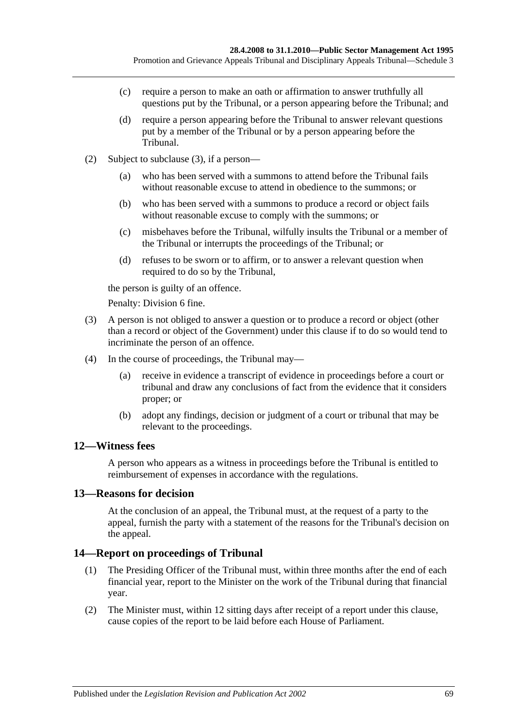- (c) require a person to make an oath or affirmation to answer truthfully all questions put by the Tribunal, or a person appearing before the Tribunal; and
- (d) require a person appearing before the Tribunal to answer relevant questions put by a member of the Tribunal or by a person appearing before the Tribunal.
- (2) Subject to [subclause](#page-68-0) (3), if a person—
	- (a) who has been served with a summons to attend before the Tribunal fails without reasonable excuse to attend in obedience to the summons; or
	- (b) who has been served with a summons to produce a record or object fails without reasonable excuse to comply with the summons; or
	- (c) misbehaves before the Tribunal, wilfully insults the Tribunal or a member of the Tribunal or interrupts the proceedings of the Tribunal; or
	- (d) refuses to be sworn or to affirm, or to answer a relevant question when required to do so by the Tribunal,

the person is guilty of an offence.

Penalty: Division 6 fine.

- <span id="page-68-0"></span>(3) A person is not obliged to answer a question or to produce a record or object (other than a record or object of the Government) under this clause if to do so would tend to incriminate the person of an offence.
- (4) In the course of proceedings, the Tribunal may—
	- (a) receive in evidence a transcript of evidence in proceedings before a court or tribunal and draw any conclusions of fact from the evidence that it considers proper; or
	- (b) adopt any findings, decision or judgment of a court or tribunal that may be relevant to the proceedings.

#### **12—Witness fees**

A person who appears as a witness in proceedings before the Tribunal is entitled to reimbursement of expenses in accordance with the regulations.

#### **13—Reasons for decision**

At the conclusion of an appeal, the Tribunal must, at the request of a party to the appeal, furnish the party with a statement of the reasons for the Tribunal's decision on the appeal.

#### **14—Report on proceedings of Tribunal**

- (1) The Presiding Officer of the Tribunal must, within three months after the end of each financial year, report to the Minister on the work of the Tribunal during that financial year.
- (2) The Minister must, within 12 sitting days after receipt of a report under this clause, cause copies of the report to be laid before each House of Parliament.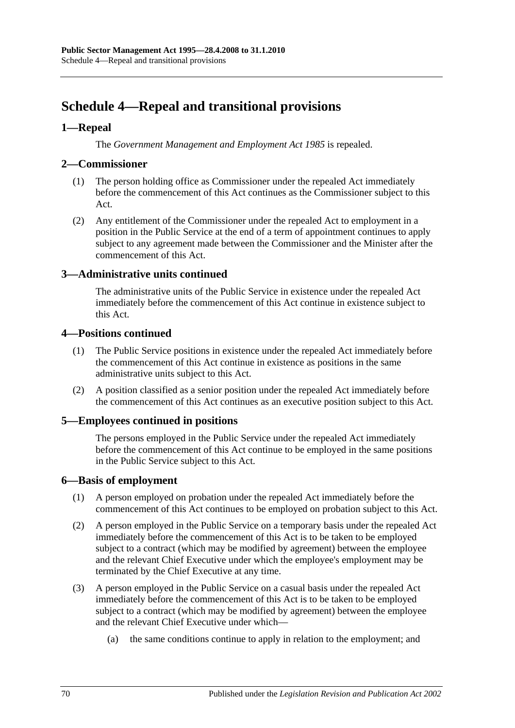# **Schedule 4—Repeal and transitional provisions**

## **1—Repeal**

The *[Government Management and Employment Act](http://www.legislation.sa.gov.au/index.aspx?action=legref&type=act&legtitle=Government%20Management%20and%20Employment%20Act%201985) 1985* is repealed.

#### **2—Commissioner**

- (1) The person holding office as Commissioner under the repealed Act immediately before the commencement of this Act continues as the Commissioner subject to this Act.
- (2) Any entitlement of the Commissioner under the repealed Act to employment in a position in the Public Service at the end of a term of appointment continues to apply subject to any agreement made between the Commissioner and the Minister after the commencement of this Act.

## **3—Administrative units continued**

The administrative units of the Public Service in existence under the repealed Act immediately before the commencement of this Act continue in existence subject to this Act.

## **4—Positions continued**

- (1) The Public Service positions in existence under the repealed Act immediately before the commencement of this Act continue in existence as positions in the same administrative units subject to this Act.
- (2) A position classified as a senior position under the repealed Act immediately before the commencement of this Act continues as an executive position subject to this Act.

## **5—Employees continued in positions**

The persons employed in the Public Service under the repealed Act immediately before the commencement of this Act continue to be employed in the same positions in the Public Service subject to this Act.

#### **6—Basis of employment**

- (1) A person employed on probation under the repealed Act immediately before the commencement of this Act continues to be employed on probation subject to this Act.
- (2) A person employed in the Public Service on a temporary basis under the repealed Act immediately before the commencement of this Act is to be taken to be employed subject to a contract (which may be modified by agreement) between the employee and the relevant Chief Executive under which the employee's employment may be terminated by the Chief Executive at any time.
- (3) A person employed in the Public Service on a casual basis under the repealed Act immediately before the commencement of this Act is to be taken to be employed subject to a contract (which may be modified by agreement) between the employee and the relevant Chief Executive under which—
	- (a) the same conditions continue to apply in relation to the employment; and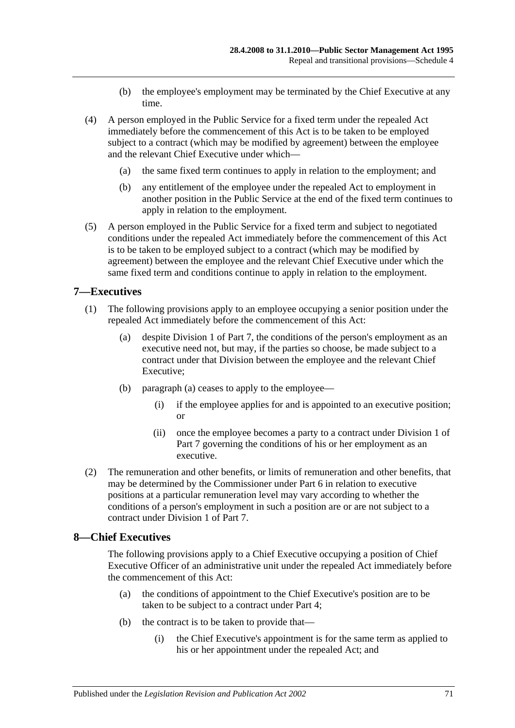- (b) the employee's employment may be terminated by the Chief Executive at any time.
- (4) A person employed in the Public Service for a fixed term under the repealed Act immediately before the commencement of this Act is to be taken to be employed subject to a contract (which may be modified by agreement) between the employee and the relevant Chief Executive under which—
	- (a) the same fixed term continues to apply in relation to the employment; and
	- (b) any entitlement of the employee under the repealed Act to employment in another position in the Public Service at the end of the fixed term continues to apply in relation to the employment.
- (5) A person employed in the Public Service for a fixed term and subject to negotiated conditions under the repealed Act immediately before the commencement of this Act is to be taken to be employed subject to a contract (which may be modified by agreement) between the employee and the relevant Chief Executive under which the same fixed term and conditions continue to apply in relation to the employment.

#### **7—Executives**

- <span id="page-70-0"></span>(1) The following provisions apply to an employee occupying a senior position under the repealed Act immediately before the commencement of this Act:
	- (a) despite [Division 1](#page-35-1) of [Part 7,](#page-35-0) the conditions of the person's employment as an executive need not, but may, if the parties so choose, be made subject to a contract under that Division between the employee and the relevant Chief Executive;
	- (b) [paragraph](#page-70-0) (a) ceases to apply to the employee—
		- (i) if the employee applies for and is appointed to an executive position; or
		- (ii) once the employee becomes a party to a contract under [Division 1](#page-35-1) of [Part 7](#page-35-0) governing the conditions of his or her employment as an executive.
- (2) The remuneration and other benefits, or limits of remuneration and other benefits, that may be determined by the Commissioner under [Part 6](#page-33-0) in relation to executive positions at a particular remuneration level may vary according to whether the conditions of a person's employment in such a position are or are not subject to a contract under [Division 1](#page-35-1) of [Part 7.](#page-35-0)

#### **8—Chief Executives**

The following provisions apply to a Chief Executive occupying a position of Chief Executive Officer of an administrative unit under the repealed Act immediately before the commencement of this Act:

- (a) the conditions of appointment to the Chief Executive's position are to be taken to be subject to a contract under [Part 4;](#page-25-0)
- (b) the contract is to be taken to provide that—
	- (i) the Chief Executive's appointment is for the same term as applied to his or her appointment under the repealed Act; and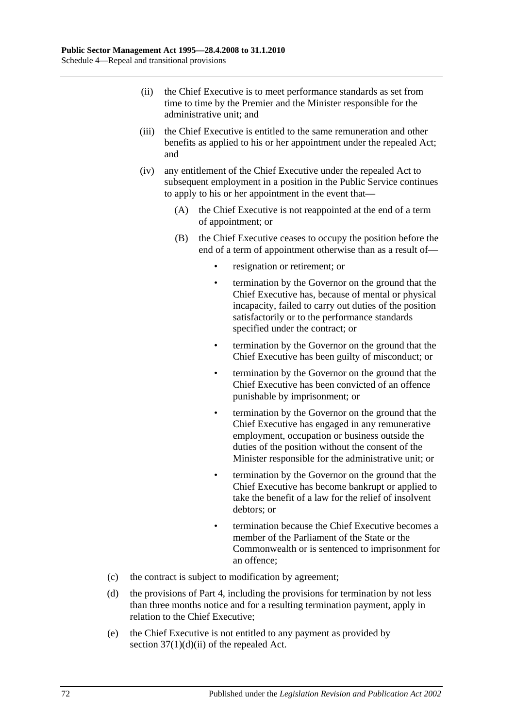- (ii) the Chief Executive is to meet performance standards as set from time to time by the Premier and the Minister responsible for the administrative unit; and
- (iii) the Chief Executive is entitled to the same remuneration and other benefits as applied to his or her appointment under the repealed Act; and
- (iv) any entitlement of the Chief Executive under the repealed Act to subsequent employment in a position in the Public Service continues to apply to his or her appointment in the event that—
	- (A) the Chief Executive is not reappointed at the end of a term of appointment; or
	- (B) the Chief Executive ceases to occupy the position before the end of a term of appointment otherwise than as a result of
		- resignation or retirement; or
		- termination by the Governor on the ground that the Chief Executive has, because of mental or physical incapacity, failed to carry out duties of the position satisfactorily or to the performance standards specified under the contract; or
		- termination by the Governor on the ground that the Chief Executive has been guilty of misconduct; or
		- termination by the Governor on the ground that the Chief Executive has been convicted of an offence punishable by imprisonment; or
		- termination by the Governor on the ground that the Chief Executive has engaged in any remunerative employment, occupation or business outside the duties of the position without the consent of the Minister responsible for the administrative unit; or
		- termination by the Governor on the ground that the Chief Executive has become bankrupt or applied to take the benefit of a law for the relief of insolvent debtors; or
		- termination because the Chief Executive becomes a member of the Parliament of the State or the Commonwealth or is sentenced to imprisonment for an offence;
- (c) the contract is subject to modification by agreement;
- (d) the provisions of [Part 4,](#page-25-0) including the provisions for termination by not less than three months notice and for a resulting termination payment, apply in relation to the Chief Executive;
- (e) the Chief Executive is not entitled to any payment as provided by section  $37(1)(d)(ii)$  of the repealed Act.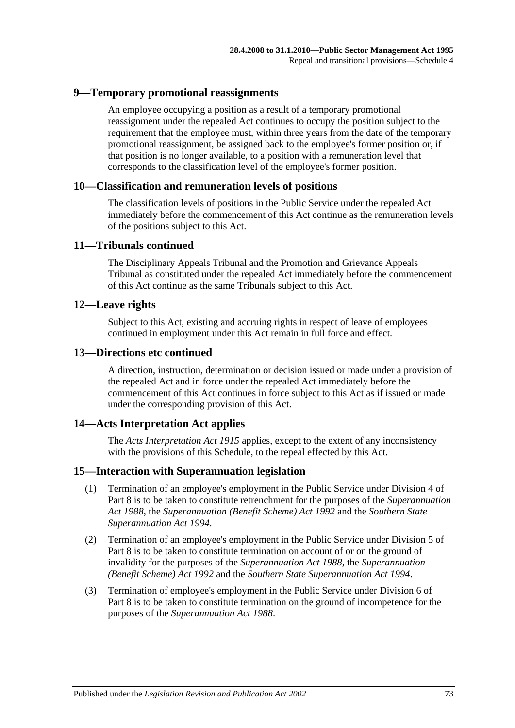### **9—Temporary promotional reassignments**

An employee occupying a position as a result of a temporary promotional reassignment under the repealed Act continues to occupy the position subject to the requirement that the employee must, within three years from the date of the temporary promotional reassignment, be assigned back to the employee's former position or, if that position is no longer available, to a position with a remuneration level that corresponds to the classification level of the employee's former position.

### **10—Classification and remuneration levels of positions**

The classification levels of positions in the Public Service under the repealed Act immediately before the commencement of this Act continue as the remuneration levels of the positions subject to this Act.

### **11—Tribunals continued**

The Disciplinary Appeals Tribunal and the Promotion and Grievance Appeals Tribunal as constituted under the repealed Act immediately before the commencement of this Act continue as the same Tribunals subject to this Act.

### **12—Leave rights**

Subject to this Act, existing and accruing rights in respect of leave of employees continued in employment under this Act remain in full force and effect.

#### **13—Directions etc continued**

A direction, instruction, determination or decision issued or made under a provision of the repealed Act and in force under the repealed Act immediately before the commencement of this Act continues in force subject to this Act as if issued or made under the corresponding provision of this Act.

### **14—Acts Interpretation Act applies**

The *[Acts Interpretation Act](http://www.legislation.sa.gov.au/index.aspx?action=legref&type=act&legtitle=Acts%20Interpretation%20Act%201915) 1915* applies, except to the extent of any inconsistency with the provisions of this Schedule, to the repeal effected by this Act.

#### **15—Interaction with Superannuation legislation**

- (1) Termination of an employee's employment in the Public Service under [Division 4](#page-43-0) of [Part 8](#page-42-0) is to be taken to constitute retrenchment for the purposes of the *[Superannuation](http://www.legislation.sa.gov.au/index.aspx?action=legref&type=act&legtitle=Superannuation%20Act%201988)  Act [1988](http://www.legislation.sa.gov.au/index.aspx?action=legref&type=act&legtitle=Superannuation%20Act%201988)*, the *[Superannuation \(Benefit Scheme\) Act](http://www.legislation.sa.gov.au/index.aspx?action=legref&type=act&legtitle=Superannuation%20(Benefit%20Scheme)%20Act%201992) 1992* and the *[Southern State](http://www.legislation.sa.gov.au/index.aspx?action=legref&type=act&legtitle=Southern%20State%20Superannuation%20Act%201994)  [Superannuation Act](http://www.legislation.sa.gov.au/index.aspx?action=legref&type=act&legtitle=Southern%20State%20Superannuation%20Act%201994) 1994*.
- (2) Termination of an employee's employment in the Public Service under [Division 5](#page-44-0) of [Part 8](#page-42-0) is to be taken to constitute termination on account of or on the ground of invalidity for the purposes of the *[Superannuation Act](http://www.legislation.sa.gov.au/index.aspx?action=legref&type=act&legtitle=Superannuation%20Act%201988) 1988*, the *[Superannuation](http://www.legislation.sa.gov.au/index.aspx?action=legref&type=act&legtitle=Superannuation%20(Benefit%20Scheme)%20Act%201992) [\(Benefit Scheme\) Act](http://www.legislation.sa.gov.au/index.aspx?action=legref&type=act&legtitle=Superannuation%20(Benefit%20Scheme)%20Act%201992) 1992* and the *[Southern State Superannuation Act](http://www.legislation.sa.gov.au/index.aspx?action=legref&type=act&legtitle=Southern%20State%20Superannuation%20Act%201994) 1994*.
- (3) Termination of employee's employment in the Public Service under [Division 6](#page-46-0) of [Part](#page-42-0) 8 is to be taken to constitute termination on the ground of incompetence for the purposes of the *[Superannuation Act](http://www.legislation.sa.gov.au/index.aspx?action=legref&type=act&legtitle=Superannuation%20Act%201988) 1988*.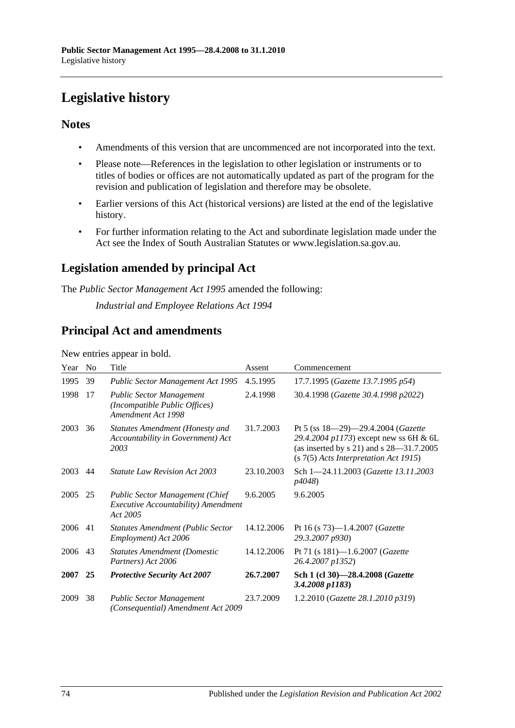# **Legislative history**

### **Notes**

- Amendments of this version that are uncommenced are not incorporated into the text.
- Please note—References in the legislation to other legislation or instruments or to titles of bodies or offices are not automatically updated as part of the program for the revision and publication of legislation and therefore may be obsolete.
- Earlier versions of this Act (historical versions) are listed at the end of the legislative history.
- For further information relating to the Act and subordinate legislation made under the Act see the Index of South Australian Statutes or www.legislation.sa.gov.au.

## **Legislation amended by principal Act**

The *Public Sector Management Act 1995* amended the following:

*Industrial and Employee Relations Act 1994*

## **Principal Act and amendments**

New entries appear in bold.

| Year | N <sub>0</sub> | Title                                                                                                    | Assent     | Commencement                                                                                                                                                             |
|------|----------------|----------------------------------------------------------------------------------------------------------|------------|--------------------------------------------------------------------------------------------------------------------------------------------------------------------------|
| 1995 | 39             | Public Sector Management Act 1995                                                                        | 4.5.1995   | 17.7.1995 (Gazette 13.7.1995 p54)                                                                                                                                        |
| 1998 | 17             | <b>Public Sector Management</b><br>(Incompatible Public Offices)<br>Amendment Act 1998                   | 2.4.1998   | 30.4.1998 (Gazette 30.4.1998 p2022)                                                                                                                                      |
| 2003 | 36             | <b>Statutes Amendment (Honesty and</b><br>Accountability in Government) Act<br>2003                      | 31.7.2003  | Pt 5 (ss $18-29-29.4.2004$ (Gazette<br>29.4.2004 p1173) except new ss 6H & 6L<br>(as inserted by $s$ 21) and $s$ 28–31.7.2005<br>$(s 7(5)$ Acts Interpretation Act 1915) |
| 2003 | 44             | <b>Statute Law Revision Act 2003</b>                                                                     | 23.10.2003 | Sch 1-24.11.2003 (Gazette 13.11.2003<br><i>p4048</i> )                                                                                                                   |
| 2005 | 25             | <b>Public Sector Management (Chief</b><br><i>Executive Accountability</i> ) <i>Amendment</i><br>Act 2005 | 9.6.2005   | 9.6.2005                                                                                                                                                                 |
| 2006 | 41             | <b>Statutes Amendment (Public Sector</b><br>Employment) Act 2006                                         | 14.12.2006 | Pt 16 (s 73)-1.4.2007 (Gazette<br>29.3.2007 p930)                                                                                                                        |
| 2006 | 43             | <b>Statutes Amendment (Domestic</b><br>Partners) Act 2006                                                | 14.12.2006 | Pt 71 (s 181)-1.6.2007 (Gazette<br>26.4.2007 p1352)                                                                                                                      |
| 2007 | 25             | <b>Protective Security Act 2007</b>                                                                      | 26.7.2007  | Sch 1 (cl 30)-28.4.2008 (Gazette<br>3.4.2008 p1183)                                                                                                                      |
| 2009 | 38             | <b>Public Sector Management</b><br>(Consequential) Amendment Act 2009                                    | 23.7.2009  | 1.2.2010 (Gazette 28.1.2010 p319)                                                                                                                                        |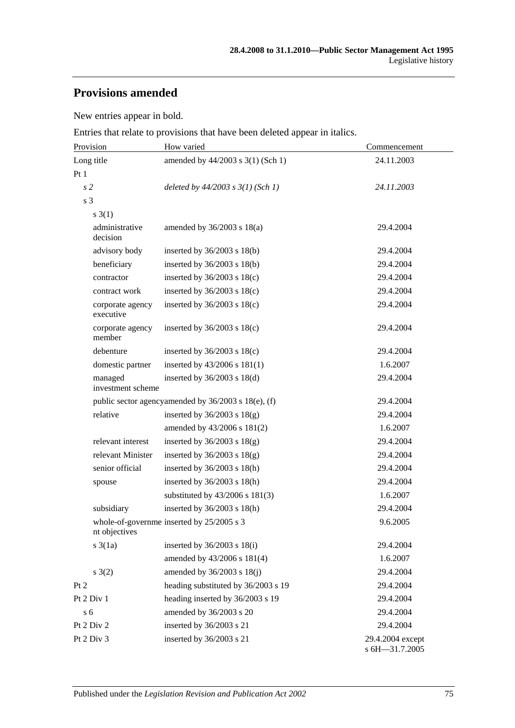## **Provisions amended**

New entries appear in bold.

Entries that relate to provisions that have been deleted appear in italics.

| Provision                     | How varied                                          | Commencement                       |  |
|-------------------------------|-----------------------------------------------------|------------------------------------|--|
| Long title                    | amended by 44/2003 s 3(1) (Sch 1)                   | 24.11.2003                         |  |
| Pt1                           |                                                     |                                    |  |
| s <sub>2</sub>                | deleted by $44/2003$ s $3(1)$ (Sch 1)               | 24.11.2003                         |  |
| s 3                           |                                                     |                                    |  |
| $s \; 3(1)$                   |                                                     |                                    |  |
| administrative<br>decision    | amended by $36/2003$ s $18(a)$                      | 29.4.2004                          |  |
| advisory body                 | inserted by $36/2003$ s $18(b)$                     | 29.4.2004                          |  |
| beneficiary                   | inserted by $36/2003$ s $18(b)$                     | 29.4.2004                          |  |
| contractor                    | inserted by $36/2003$ s $18(c)$                     | 29.4.2004                          |  |
| contract work                 | inserted by $36/2003$ s $18(c)$                     | 29.4.2004                          |  |
| corporate agency<br>executive | inserted by $36/2003$ s $18(c)$                     | 29.4.2004                          |  |
| corporate agency<br>member    | inserted by $36/2003$ s $18(c)$                     | 29.4.2004                          |  |
| debenture                     | inserted by $36/2003$ s $18(c)$                     | 29.4.2004                          |  |
| domestic partner              | inserted by 43/2006 s 181(1)                        | 1.6.2007                           |  |
| managed<br>investment scheme  | inserted by $36/2003$ s $18(d)$                     | 29.4.2004                          |  |
|                               | public sector agencyamended by 36/2003 s 18(e), (f) | 29.4.2004                          |  |
| relative                      | inserted by $36/2003$ s $18(g)$                     | 29.4.2004                          |  |
|                               | amended by 43/2006 s 181(2)                         | 1.6.2007                           |  |
| relevant interest             | inserted by $36/2003$ s $18(g)$                     | 29.4.2004                          |  |
| relevant Minister             | inserted by $36/2003$ s $18(g)$                     | 29.4.2004                          |  |
| senior official               | inserted by 36/2003 s 18(h)                         | 29.4.2004                          |  |
| spouse                        | inserted by $36/2003$ s $18(h)$                     | 29.4.2004                          |  |
|                               | substituted by $43/2006$ s $181(3)$                 | 1.6.2007                           |  |
| subsidiary                    | inserted by $36/2003$ s $18(h)$                     | 29.4.2004                          |  |
| nt objectives                 | whole-of-governme inserted by 25/2005 s 3           | 9.6.2005                           |  |
| $s \cdot 3(1a)$               | inserted by $36/2003$ s $18(i)$                     | 29.4.2004                          |  |
|                               | amended by 43/2006 s 181(4)                         | 1.6.2007                           |  |
| s(2)                          | amended by 36/2003 s 18(j)                          | 29.4.2004                          |  |
| Pt 2                          | heading substituted by 36/2003 s 19                 | 29.4.2004                          |  |
| Pt 2 Div 1                    | heading inserted by 36/2003 s 19                    | 29.4.2004                          |  |
| s <sub>6</sub>                | amended by 36/2003 s 20                             | 29.4.2004                          |  |
| Pt 2 Div 2                    | inserted by 36/2003 s 21                            | 29.4.2004                          |  |
| Pt 2 Div 3                    | inserted by 36/2003 s 21                            | 29.4.2004 except<br>s 6H-31.7.2005 |  |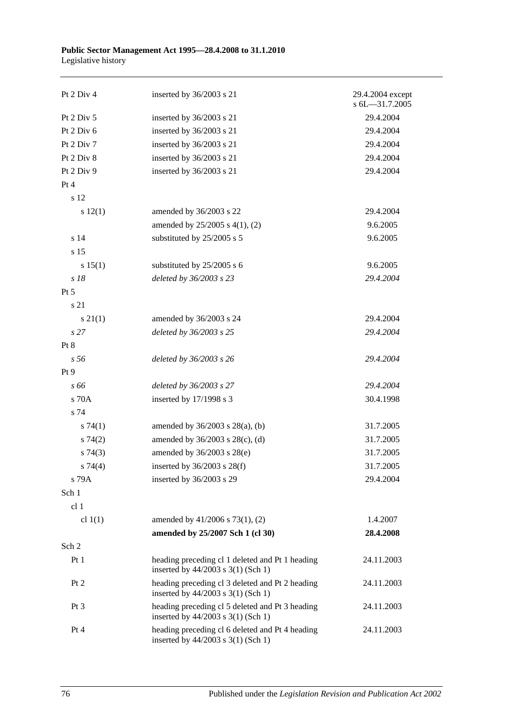| Pt 2 Div 4      | inserted by 36/2003 s 21                                                              | 29.4.2004 except<br>s 6L-31.7.2005 |
|-----------------|---------------------------------------------------------------------------------------|------------------------------------|
| Pt 2 Div 5      | inserted by 36/2003 s 21                                                              | 29.4.2004                          |
| Pt 2 Div 6      | inserted by 36/2003 s 21                                                              | 29.4.2004                          |
| Pt 2 Div 7      | inserted by 36/2003 s 21                                                              | 29.4.2004                          |
| Pt 2 Div 8      | inserted by 36/2003 s 21                                                              | 29.4.2004                          |
| Pt 2 Div 9      | inserted by 36/2003 s 21                                                              | 29.4.2004                          |
| Pt 4            |                                                                                       |                                    |
| s 12            |                                                                                       |                                    |
| s 12(1)         | amended by 36/2003 s 22                                                               | 29.4.2004                          |
|                 | amended by 25/2005 s 4(1), (2)                                                        | 9.6.2005                           |
| s 14            | substituted by 25/2005 s 5                                                            | 9.6.2005                           |
| s 15            |                                                                                       |                                    |
| s 15(1)         | substituted by 25/2005 s 6                                                            | 9.6.2005                           |
| $s$ 18          | deleted by 36/2003 s 23                                                               | 29.4.2004                          |
| Pt 5            |                                                                                       |                                    |
| s 21            |                                                                                       |                                    |
| $s \, 21(1)$    | amended by 36/2003 s 24                                                               | 29.4.2004                          |
| s <sub>27</sub> | deleted by 36/2003 s 25                                                               | 29.4.2004                          |
| Pt 8            |                                                                                       |                                    |
| s 56            | deleted by 36/2003 s 26                                                               | 29.4.2004                          |
| Pt 9            |                                                                                       |                                    |
| s 66            | deleted by 36/2003 s 27                                                               | 29.4.2004                          |
| s 70A           | inserted by 17/1998 s 3                                                               | 30.4.1998                          |
| s 74            |                                                                                       |                                    |
| $s \, 74(1)$    | amended by 36/2003 s 28(a), (b)                                                       | 31.7.2005                          |
| s74(2)          | amended by 36/2003 s 28(c), (d)                                                       | 31.7.2005                          |
| s74(3)          | amended by 36/2003 s 28(e)                                                            | 31.7.2005                          |
| s 74(4)         | inserted by $36/2003$ s $28(f)$                                                       | 31.7.2005                          |
| s 79A           | inserted by 36/2003 s 29                                                              | 29.4.2004                          |
| Sch 1           |                                                                                       |                                    |
| cl <sub>1</sub> |                                                                                       |                                    |
| cl $1(1)$       | amended by 41/2006 s 73(1), (2)                                                       | 1.4.2007                           |
|                 | amended by 25/2007 Sch 1 (cl 30)                                                      | 28.4.2008                          |
| Sch 2           |                                                                                       |                                    |
| Pt <sub>1</sub> | heading preceding cl 1 deleted and Pt 1 heading<br>inserted by 44/2003 s 3(1) (Sch 1) | 24.11.2003                         |
| Pt 2            | heading preceding cl 3 deleted and Pt 2 heading<br>inserted by 44/2003 s 3(1) (Sch 1) | 24.11.2003                         |
| Pt <sub>3</sub> | heading preceding cl 5 deleted and Pt 3 heading<br>inserted by 44/2003 s 3(1) (Sch 1) | 24.11.2003                         |
| Pt 4            | heading preceding cl 6 deleted and Pt 4 heading<br>inserted by 44/2003 s 3(1) (Sch 1) | 24.11.2003                         |